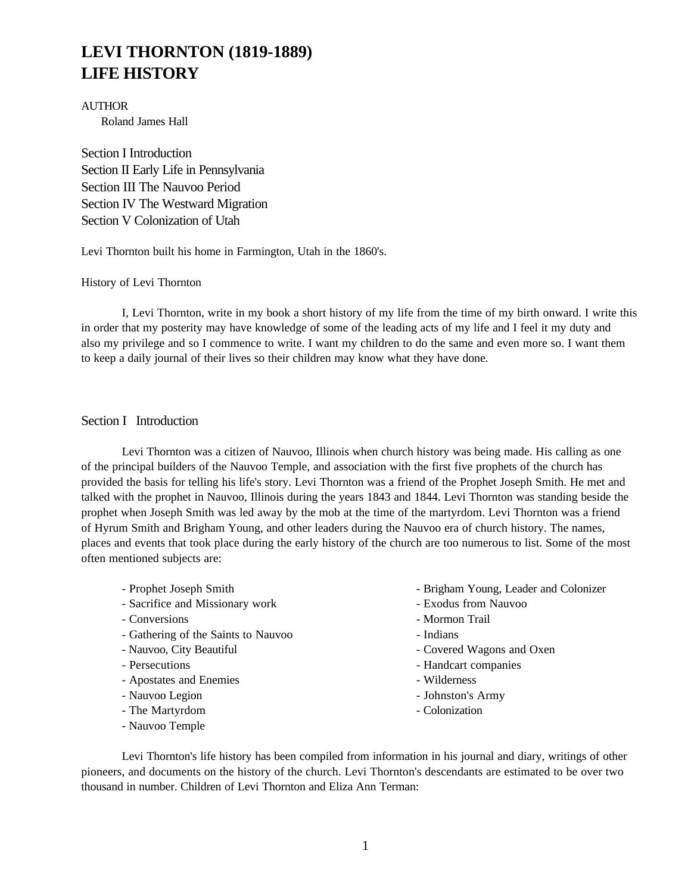# **LEVI THORNTON (1819-1889) LIFE HISTORY**

## AUTHOR

Roland James Hall

Section I Introduction Section II Early Life in Pennsylvania Section III The Nauvoo Period Section IV The Westward Migration Section V Colonization of Utah

Levi Thornton built his home in Farmington, Utah in the 1860's.

## History of Levi Thornton

I, Levi Thornton, write in my book a short history of my life from the time of my birth onward. I write this in order that my posterity may have knowledge of some of the leading acts of my life and I feel it my duty and also my privilege and so I commence to write. I want my children to do the same and even more so. I want them to keep a daily journal of their lives so their children may know what they have done.

# Section I Introduction

Levi Thornton was a citizen of Nauvoo, Illinois when church history was being made. His calling as one of the principal builders of the Nauvoo Temple, and association with the first five prophets of the church has provided the basis for telling his life's story. Levi Thornton was a friend of the Prophet Joseph Smith. He met and talked with the prophet in Nauvoo, Illinois during the years 1843 and 1844. Levi Thornton was standing beside the prophet when Joseph Smith was led away by the mob at the time of the martyrdom. Levi Thornton was a friend of Hyrum Smith and Brigham Young, and other leaders during the Nauvoo era of church history. The names, places and events that took place during the early history of the church are too numerous to list. Some of the most often mentioned subjects are:

- Prophet Joseph Smith
- Sacrifice and Missionary work
- Conversions
- Gathering of the Saints to Nauvoo
- Nauvoo, City Beautiful
- Persecutions
- Apostates and Enemies
- Nauvoo Legion
- The Martyrdom
- Nauvoo Temple
- Brigham Young, Leader and Colonizer
- Exodus from Nauvoo
- Mormon Trail
- Indians
- Covered Wagons and Oxen
- Handcart companies
- Wilderness
- Johnston's Army
- Colonization

Levi Thornton's life history has been compiled from information in his journal and diary, writings of other pioneers, and documents on the history of the church. Levi Thornton's descendants are estimated to be over two thousand in number. Children of Levi Thornton and Eliza Ann Terman: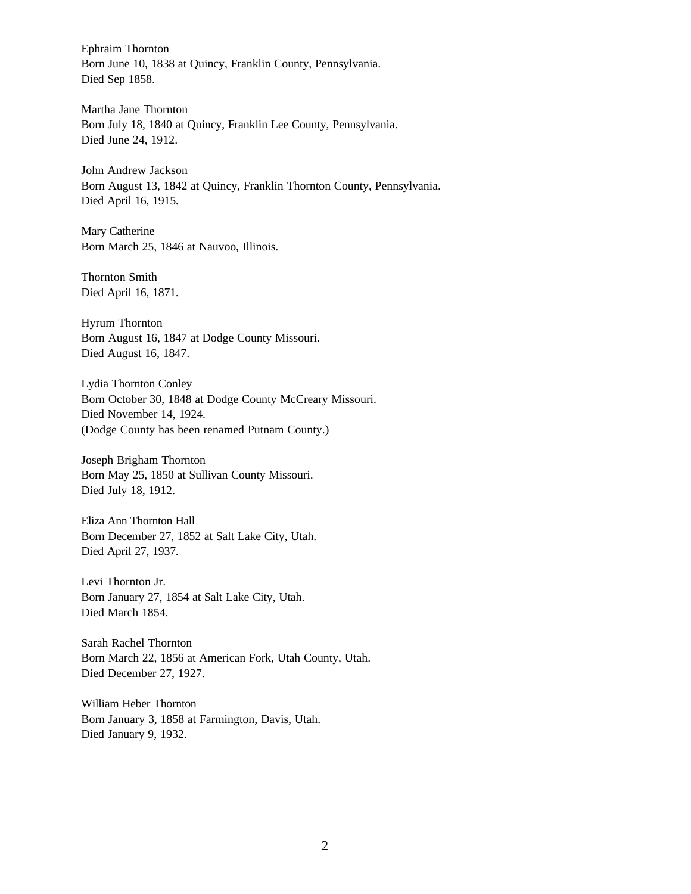Ephraim Thornton Born June 10, 1838 at Quincy, Franklin County, Pennsylvania. Died Sep 1858.

Martha Jane Thornton Born July 18, 1840 at Quincy, Franklin Lee County, Pennsylvania. Died June 24, 1912.

John Andrew Jackson Born August 13, 1842 at Quincy, Franklin Thornton County, Pennsylvania. Died April 16, 1915.

Mary Catherine Born March 25, 1846 at Nauvoo, Illinois.

Thornton Smith Died April 16, 1871.

Hyrum Thornton Born August 16, 1847 at Dodge County Missouri. Died August 16, 1847.

Lydia Thornton Conley Born October 30, 1848 at Dodge County McCreary Missouri. Died November 14, 1924. (Dodge County has been renamed Putnam County.)

Joseph Brigham Thornton Born May 25, 1850 at Sullivan County Missouri. Died July 18, 1912.

Eliza Ann Thornton Hall Born December 27, 1852 at Salt Lake City, Utah. Died April 27, 1937.

Levi Thornton Jr. Born January 27, 1854 at Salt Lake City, Utah. Died March 1854.

Sarah Rachel Thornton Born March 22, 1856 at American Fork, Utah County, Utah. Died December 27, 1927.

William Heber Thornton Born January 3, 1858 at Farmington, Davis, Utah. Died January 9, 1932.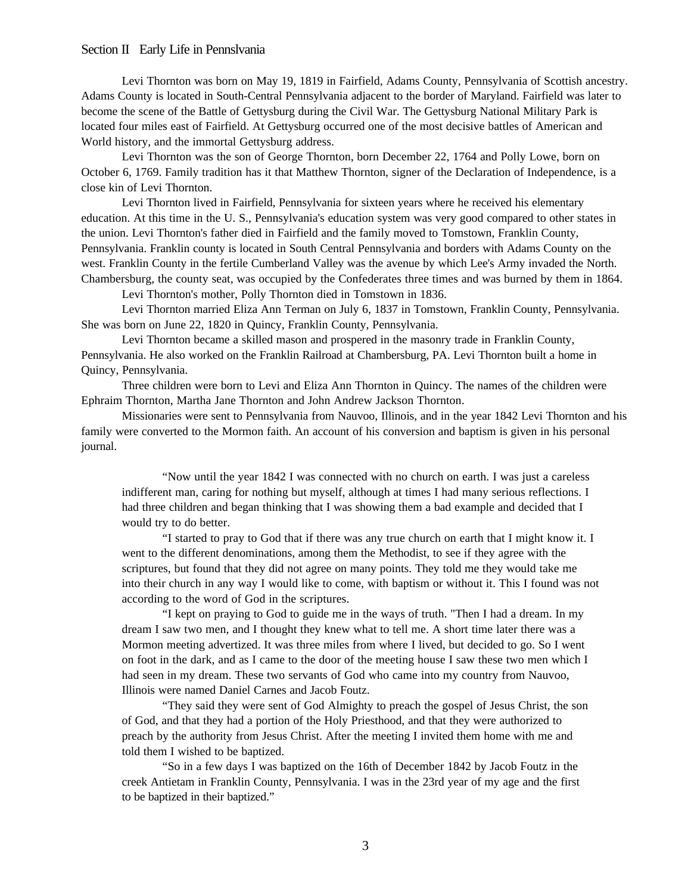## Section II Early Life in Pennslvania

Levi Thornton was born on May 19, 1819 in Fairfield, Adams County, Pennsylvania of Scottish ancestry. Adams County is located in South-Central Pennsylvania adjacent to the border of Maryland. Fairfield was later to become the scene of the Battle of Gettysburg during the Civil War. The Gettysburg National Military Park is located four miles east of Fairfield. At Gettysburg occurred one of the most decisive battles of American and World history, and the immortal Gettysburg address.

Levi Thornton was the son of George Thornton, born December 22, 1764 and Polly Lowe, born on October 6, 1769. Family tradition has it that Matthew Thornton, signer of the Declaration of Independence, is a close kin of Levi Thornton.

Levi Thornton lived in Fairfield, Pennsylvania for sixteen years where he received his elementary education. At this time in the U. S., Pennsylvania's education system was very good compared to other states in the union. Levi Thornton's father died in Fairfield and the family moved to Tomstown, Franklin County, Pennsylvania. Franklin county is located in South Central Pennsylvania and borders with Adams County on the west. Franklin County in the fertile Cumberland Valley was the avenue by which Lee's Army invaded the North. Chambersburg, the county seat, was occupied by the Confederates three times and was burned by them in 1864.

Levi Thornton's mother, Polly Thornton died in Tomstown in 1836.

Levi Thornton married Eliza Ann Terman on July 6, 1837 in Tomstown, Franklin County, Pennsylvania. She was born on June 22, 1820 in Quincy, Franklin County, Pennsylvania.

Levi Thornton became a skilled mason and prospered in the masonry trade in Franklin County, Pennsylvania. He also worked on the Franklin Railroad at Chambersburg, PA. Levi Thornton built a home in Quincy, Pennsylvania.

Three children were born to Levi and Eliza Ann Thornton in Quincy. The names of the children were Ephraim Thornton, Martha Jane Thornton and John Andrew Jackson Thornton.

Missionaries were sent to Pennsylvania from Nauvoo, Illinois, and in the year 1842 Levi Thornton and his family were converted to the Mormon faith. An account of his conversion and baptism is given in his personal journal.

"Now until the year 1842 I was connected with no church on earth. I was just a careless indifferent man, caring for nothing but myself, although at times I had many serious reflections. I had three children and began thinking that I was showing them a bad example and decided that I would try to do better.

"I started to pray to God that if there was any true church on earth that I might know it. I went to the different denominations, among them the Methodist, to see if they agree with the scriptures, but found that they did not agree on many points. They told me they would take me into their church in any way I would like to come, with baptism or without it. This I found was not according to the word of God in the scriptures.

"I kept on praying to God to guide me in the ways of truth. "Then I had a dream. In my dream I saw two men, and I thought they knew what to tell me. A short time later there was a Mormon meeting advertized. It was three miles from where I lived, but decided to go. So I went on foot in the dark, and as I came to the door of the meeting house I saw these two men which I had seen in my dream. These two servants of God who came into my country from Nauvoo, Illinois were named Daniel Carnes and Jacob Foutz.

"They said they were sent of God Almighty to preach the gospel of Jesus Christ, the son of God, and that they had a portion of the Holy Priesthood, and that they were authorized to preach by the authority from Jesus Christ. After the meeting I invited them home with me and told them I wished to be baptized.

"So in a few days I was baptized on the 16th of December 1842 by Jacob Foutz in the creek Antietam in Franklin County, Pennsylvania. I was in the 23rd year of my age and the first to be baptized in their baptized."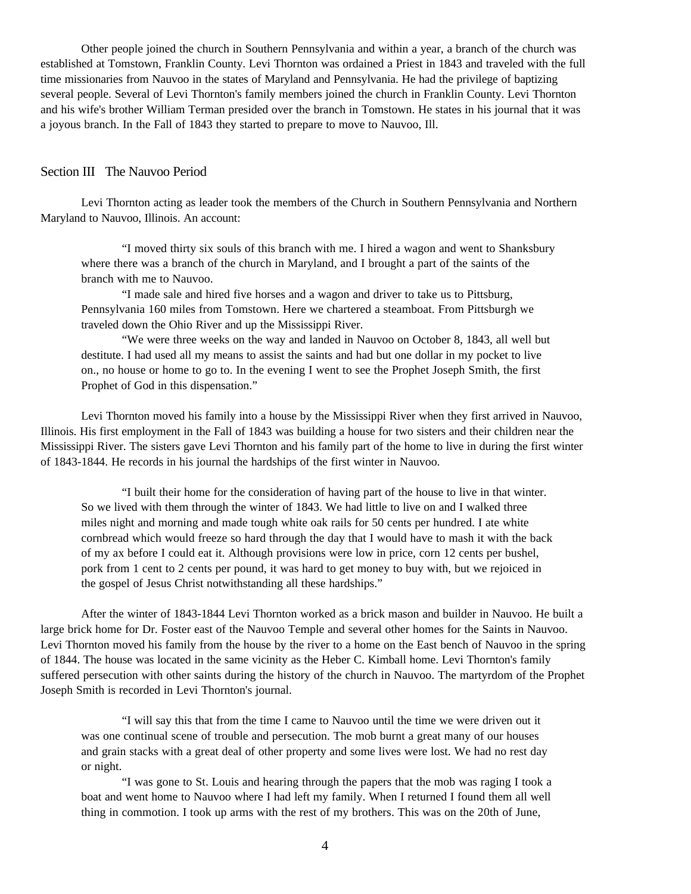Other people joined the church in Southern Pennsylvania and within a year, a branch of the church was established at Tomstown, Franklin County. Levi Thornton was ordained a Priest in 1843 and traveled with the full time missionaries from Nauvoo in the states of Maryland and Pennsylvania. He had the privilege of baptizing several people. Several of Levi Thornton's family members joined the church in Franklin County. Levi Thornton and his wife's brother William Terman presided over the branch in Tomstown. He states in his journal that it was a joyous branch. In the Fall of 1843 they started to prepare to move to Nauvoo, Ill.

## Section III The Nauvoo Period

Levi Thornton acting as leader took the members of the Church in Southern Pennsylvania and Northern Maryland to Nauvoo, Illinois. An account:

"I moved thirty six souls of this branch with me. I hired a wagon and went to Shanksbury where there was a branch of the church in Maryland, and I brought a part of the saints of the branch with me to Nauvoo.

"I made sale and hired five horses and a wagon and driver to take us to Pittsburg, Pennsylvania 160 miles from Tomstown. Here we chartered a steamboat. From Pittsburgh we traveled down the Ohio River and up the Mississippi River.

"We were three weeks on the way and landed in Nauvoo on October 8, 1843, all well but destitute. I had used all my means to assist the saints and had but one dollar in my pocket to live on., no house or home to go to. In the evening I went to see the Prophet Joseph Smith, the first Prophet of God in this dispensation."

Levi Thornton moved his family into a house by the Mississippi River when they first arrived in Nauvoo, Illinois. His first employment in the Fall of 1843 was building a house for two sisters and their children near the Mississippi River. The sisters gave Levi Thornton and his family part of the home to live in during the first winter of 1843-1844. He records in his journal the hardships of the first winter in Nauvoo.

"I built their home for the consideration of having part of the house to live in that winter. So we lived with them through the winter of 1843. We had little to live on and I walked three miles night and morning and made tough white oak rails for 50 cents per hundred. I ate white cornbread which would freeze so hard through the day that I would have to mash it with the back of my ax before I could eat it. Although provisions were low in price, corn 12 cents per bushel, pork from 1 cent to 2 cents per pound, it was hard to get money to buy with, but we rejoiced in the gospel of Jesus Christ notwithstanding all these hardships."

After the winter of 1843-1844 Levi Thornton worked as a brick mason and builder in Nauvoo. He built a large brick home for Dr. Foster east of the Nauvoo Temple and several other homes for the Saints in Nauvoo. Levi Thornton moved his family from the house by the river to a home on the East bench of Nauvoo in the spring of 1844. The house was located in the same vicinity as the Heber C. Kimball home. Levi Thornton's family suffered persecution with other saints during the history of the church in Nauvoo. The martyrdom of the Prophet Joseph Smith is recorded in Levi Thornton's journal.

"I will say this that from the time I came to Nauvoo until the time we were driven out it was one continual scene of trouble and persecution. The mob burnt a great many of our houses and grain stacks with a great deal of other property and some lives were lost. We had no rest day or night.

"I was gone to St. Louis and hearing through the papers that the mob was raging I took a boat and went home to Nauvoo where I had left my family. When I returned I found them all well thing in commotion. I took up arms with the rest of my brothers. This was on the 20th of June,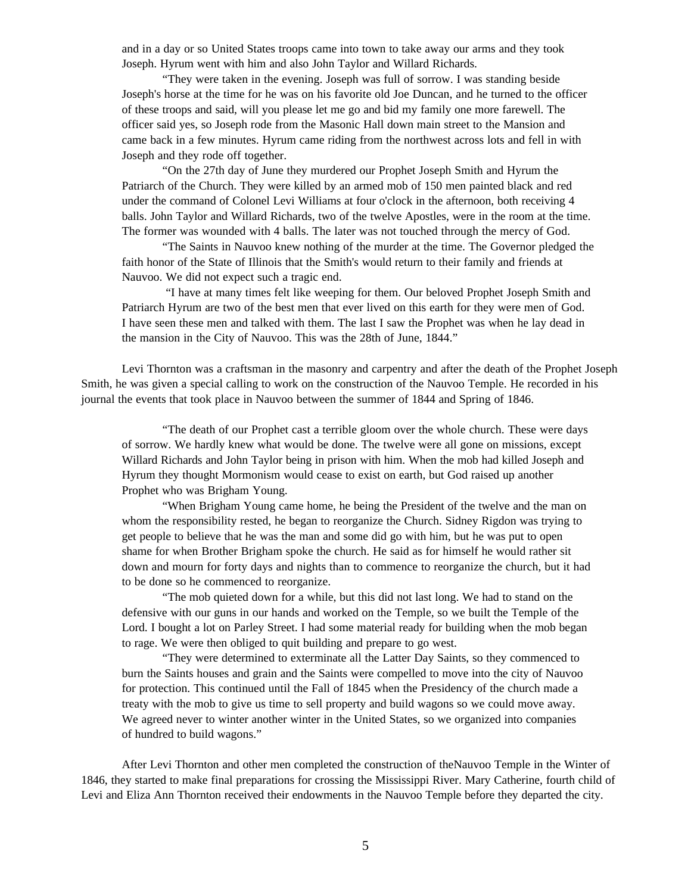and in a day or so United States troops came into town to take away our arms and they took Joseph. Hyrum went with him and also John Taylor and Willard Richards.

"They were taken in the evening. Joseph was full of sorrow. I was standing beside Joseph's horse at the time for he was on his favorite old Joe Duncan, and he turned to the officer of these troops and said, will you please let me go and bid my family one more farewell. The officer said yes, so Joseph rode from the Masonic Hall down main street to the Mansion and came back in a few minutes. Hyrum came riding from the northwest across lots and fell in with Joseph and they rode off together.

"On the 27th day of June they murdered our Prophet Joseph Smith and Hyrum the Patriarch of the Church. They were killed by an armed mob of 150 men painted black and red under the command of Colonel Levi Williams at four o'clock in the afternoon, both receiving 4 balls. John Taylor and Willard Richards, two of the twelve Apostles, were in the room at the time. The former was wounded with 4 balls. The later was not touched through the mercy of God.

"The Saints in Nauvoo knew nothing of the murder at the time. The Governor pledged the faith honor of the State of Illinois that the Smith's would return to their family and friends at Nauvoo. We did not expect such a tragic end.

 "I have at many times felt like weeping for them. Our beloved Prophet Joseph Smith and Patriarch Hyrum are two of the best men that ever lived on this earth for they were men of God. I have seen these men and talked with them. The last I saw the Prophet was when he lay dead in the mansion in the City of Nauvoo. This was the 28th of June, 1844."

Levi Thornton was a craftsman in the masonry and carpentry and after the death of the Prophet Joseph Smith, he was given a special calling to work on the construction of the Nauvoo Temple. He recorded in his journal the events that took place in Nauvoo between the summer of 1844 and Spring of 1846.

"The death of our Prophet cast a terrible gloom over the whole church. These were days of sorrow. We hardly knew what would be done. The twelve were all gone on missions, except Willard Richards and John Taylor being in prison with him. When the mob had killed Joseph and Hyrum they thought Mormonism would cease to exist on earth, but God raised up another Prophet who was Brigham Young.

"When Brigham Young came home, he being the President of the twelve and the man on whom the responsibility rested, he began to reorganize the Church. Sidney Rigdon was trying to get people to believe that he was the man and some did go with him, but he was put to open shame for when Brother Brigham spoke the church. He said as for himself he would rather sit down and mourn for forty days and nights than to commence to reorganize the church, but it had to be done so he commenced to reorganize.

"The mob quieted down for a while, but this did not last long. We had to stand on the defensive with our guns in our hands and worked on the Temple, so we built the Temple of the Lord. I bought a lot on Parley Street. I had some material ready for building when the mob began to rage. We were then obliged to quit building and prepare to go west.

"They were determined to exterminate all the Latter Day Saints, so they commenced to burn the Saints houses and grain and the Saints were compelled to move into the city of Nauvoo for protection. This continued until the Fall of 1845 when the Presidency of the church made a treaty with the mob to give us time to sell property and build wagons so we could move away. We agreed never to winter another winter in the United States, so we organized into companies of hundred to build wagons."

After Levi Thornton and other men completed the construction of theNauvoo Temple in the Winter of 1846, they started to make final preparations for crossing the Mississippi River. Mary Catherine, fourth child of Levi and Eliza Ann Thornton received their endowments in the Nauvoo Temple before they departed the city.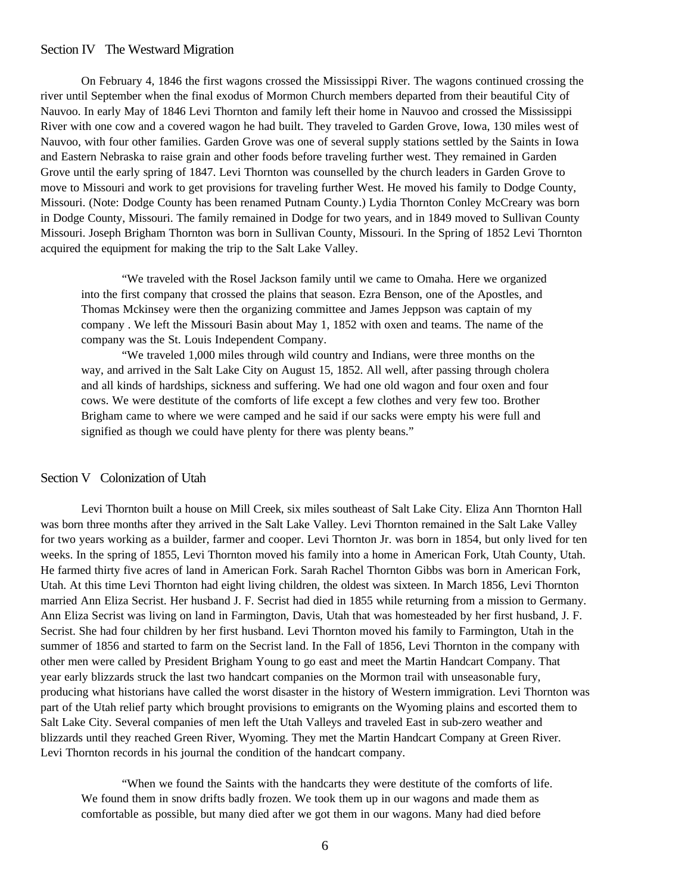## Section IV The Westward Migration

On February 4, 1846 the first wagons crossed the Mississippi River. The wagons continued crossing the river until September when the final exodus of Mormon Church members departed from their beautiful City of Nauvoo. In early May of 1846 Levi Thornton and family left their home in Nauvoo and crossed the Mississippi River with one cow and a covered wagon he had built. They traveled to Garden Grove, Iowa, 130 miles west of Nauvoo, with four other families. Garden Grove was one of several supply stations settled by the Saints in Iowa and Eastern Nebraska to raise grain and other foods before traveling further west. They remained in Garden Grove until the early spring of 1847. Levi Thornton was counselled by the church leaders in Garden Grove to move to Missouri and work to get provisions for traveling further West. He moved his family to Dodge County, Missouri. (Note: Dodge County has been renamed Putnam County.) Lydia Thornton Conley McCreary was born in Dodge County, Missouri. The family remained in Dodge for two years, and in 1849 moved to Sullivan County Missouri. Joseph Brigham Thornton was born in Sullivan County, Missouri. In the Spring of 1852 Levi Thornton acquired the equipment for making the trip to the Salt Lake Valley.

"We traveled with the Rosel Jackson family until we came to Omaha. Here we organized into the first company that crossed the plains that season. Ezra Benson, one of the Apostles, and Thomas Mckinsey were then the organizing committee and James Jeppson was captain of my company . We left the Missouri Basin about May 1, 1852 with oxen and teams. The name of the company was the St. Louis Independent Company.

"We traveled 1,000 miles through wild country and Indians, were three months on the way, and arrived in the Salt Lake City on August 15, 1852. All well, after passing through cholera and all kinds of hardships, sickness and suffering. We had one old wagon and four oxen and four cows. We were destitute of the comforts of life except a few clothes and very few too. Brother Brigham came to where we were camped and he said if our sacks were empty his were full and signified as though we could have plenty for there was plenty beans."

# Section V Colonization of Utah

Levi Thornton built a house on Mill Creek, six miles southeast of Salt Lake City. Eliza Ann Thornton Hall was born three months after they arrived in the Salt Lake Valley. Levi Thornton remained in the Salt Lake Valley for two years working as a builder, farmer and cooper. Levi Thornton Jr. was born in 1854, but only lived for ten weeks. In the spring of 1855, Levi Thornton moved his family into a home in American Fork, Utah County, Utah. He farmed thirty five acres of land in American Fork. Sarah Rachel Thornton Gibbs was born in American Fork, Utah. At this time Levi Thornton had eight living children, the oldest was sixteen. In March 1856, Levi Thornton married Ann Eliza Secrist. Her husband J. F. Secrist had died in 1855 while returning from a mission to Germany. Ann Eliza Secrist was living on land in Farmington, Davis, Utah that was homesteaded by her first husband, J. F. Secrist. She had four children by her first husband. Levi Thornton moved his family to Farmington, Utah in the summer of 1856 and started to farm on the Secrist land. In the Fall of 1856, Levi Thornton in the company with other men were called by President Brigham Young to go east and meet the Martin Handcart Company. That year early blizzards struck the last two handcart companies on the Mormon trail with unseasonable fury, producing what historians have called the worst disaster in the history of Western immigration. Levi Thornton was part of the Utah relief party which brought provisions to emigrants on the Wyoming plains and escorted them to Salt Lake City. Several companies of men left the Utah Valleys and traveled East in sub-zero weather and blizzards until they reached Green River, Wyoming. They met the Martin Handcart Company at Green River. Levi Thornton records in his journal the condition of the handcart company.

"When we found the Saints with the handcarts they were destitute of the comforts of life. We found them in snow drifts badly frozen. We took them up in our wagons and made them as comfortable as possible, but many died after we got them in our wagons. Many had died before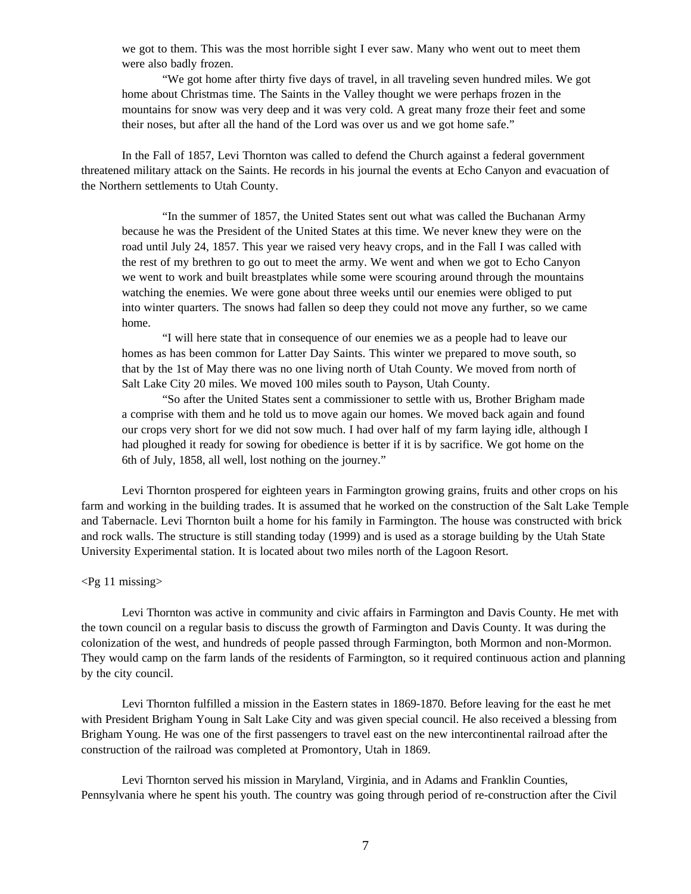we got to them. This was the most horrible sight I ever saw. Many who went out to meet them were also badly frozen.

"We got home after thirty five days of travel, in all traveling seven hundred miles. We got home about Christmas time. The Saints in the Valley thought we were perhaps frozen in the mountains for snow was very deep and it was very cold. A great many froze their feet and some their noses, but after all the hand of the Lord was over us and we got home safe."

In the Fall of 1857, Levi Thornton was called to defend the Church against a federal government threatened military attack on the Saints. He records in his journal the events at Echo Canyon and evacuation of the Northern settlements to Utah County.

"In the summer of 1857, the United States sent out what was called the Buchanan Army because he was the President of the United States at this time. We never knew they were on the road until July 24, 1857. This year we raised very heavy crops, and in the Fall I was called with the rest of my brethren to go out to meet the army. We went and when we got to Echo Canyon we went to work and built breastplates while some were scouring around through the mountains watching the enemies. We were gone about three weeks until our enemies were obliged to put into winter quarters. The snows had fallen so deep they could not move any further, so we came home.

"I will here state that in consequence of our enemies we as a people had to leave our homes as has been common for Latter Day Saints. This winter we prepared to move south, so that by the 1st of May there was no one living north of Utah County. We moved from north of Salt Lake City 20 miles. We moved 100 miles south to Payson, Utah County.

"So after the United States sent a commissioner to settle with us, Brother Brigham made a comprise with them and he told us to move again our homes. We moved back again and found our crops very short for we did not sow much. I had over half of my farm laying idle, although I had ploughed it ready for sowing for obedience is better if it is by sacrifice. We got home on the 6th of July, 1858, all well, lost nothing on the journey."

Levi Thornton prospered for eighteen years in Farmington growing grains, fruits and other crops on his farm and working in the building trades. It is assumed that he worked on the construction of the Salt Lake Temple and Tabernacle. Levi Thornton built a home for his family in Farmington. The house was constructed with brick and rock walls. The structure is still standing today (1999) and is used as a storage building by the Utah State University Experimental station. It is located about two miles north of the Lagoon Resort.

#### $\langle$ Pg 11 missing $>$

Levi Thornton was active in community and civic affairs in Farmington and Davis County. He met with the town council on a regular basis to discuss the growth of Farmington and Davis County. It was during the colonization of the west, and hundreds of people passed through Farmington, both Mormon and non-Mormon. They would camp on the farm lands of the residents of Farmington, so it required continuous action and planning by the city council.

Levi Thornton fulfilled a mission in the Eastern states in 1869-1870. Before leaving for the east he met with President Brigham Young in Salt Lake City and was given special council. He also received a blessing from Brigham Young. He was one of the first passengers to travel east on the new intercontinental railroad after the construction of the railroad was completed at Promontory, Utah in 1869.

Levi Thornton served his mission in Maryland, Virginia, and in Adams and Franklin Counties, Pennsylvania where he spent his youth. The country was going through period of re-construction after the Civil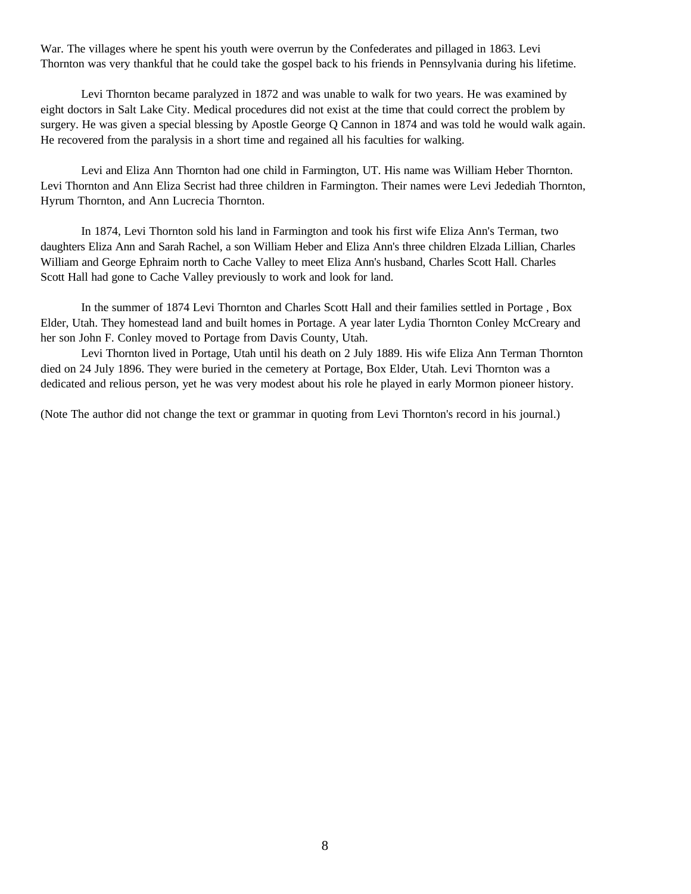War. The villages where he spent his youth were overrun by the Confederates and pillaged in 1863. Levi Thornton was very thankful that he could take the gospel back to his friends in Pennsylvania during his lifetime.

Levi Thornton became paralyzed in 1872 and was unable to walk for two years. He was examined by eight doctors in Salt Lake City. Medical procedures did not exist at the time that could correct the problem by surgery. He was given a special blessing by Apostle George Q Cannon in 1874 and was told he would walk again. He recovered from the paralysis in a short time and regained all his faculties for walking.

Levi and Eliza Ann Thornton had one child in Farmington, UT. His name was William Heber Thornton. Levi Thornton and Ann Eliza Secrist had three children in Farmington. Their names were Levi Jedediah Thornton, Hyrum Thornton, and Ann Lucrecia Thornton.

In 1874, Levi Thornton sold his land in Farmington and took his first wife Eliza Ann's Terman, two daughters Eliza Ann and Sarah Rachel, a son William Heber and Eliza Ann's three children Elzada Lillian, Charles William and George Ephraim north to Cache Valley to meet Eliza Ann's husband, Charles Scott Hall. Charles Scott Hall had gone to Cache Valley previously to work and look for land.

In the summer of 1874 Levi Thornton and Charles Scott Hall and their families settled in Portage , Box Elder, Utah. They homestead land and built homes in Portage. A year later Lydia Thornton Conley McCreary and her son John F. Conley moved to Portage from Davis County, Utah.

Levi Thornton lived in Portage, Utah until his death on 2 July 1889. His wife Eliza Ann Terman Thornton died on 24 July 1896. They were buried in the cemetery at Portage, Box Elder, Utah. Levi Thornton was a dedicated and relious person, yet he was very modest about his role he played in early Mormon pioneer history.

(Note The author did not change the text or grammar in quoting from Levi Thornton's record in his journal.)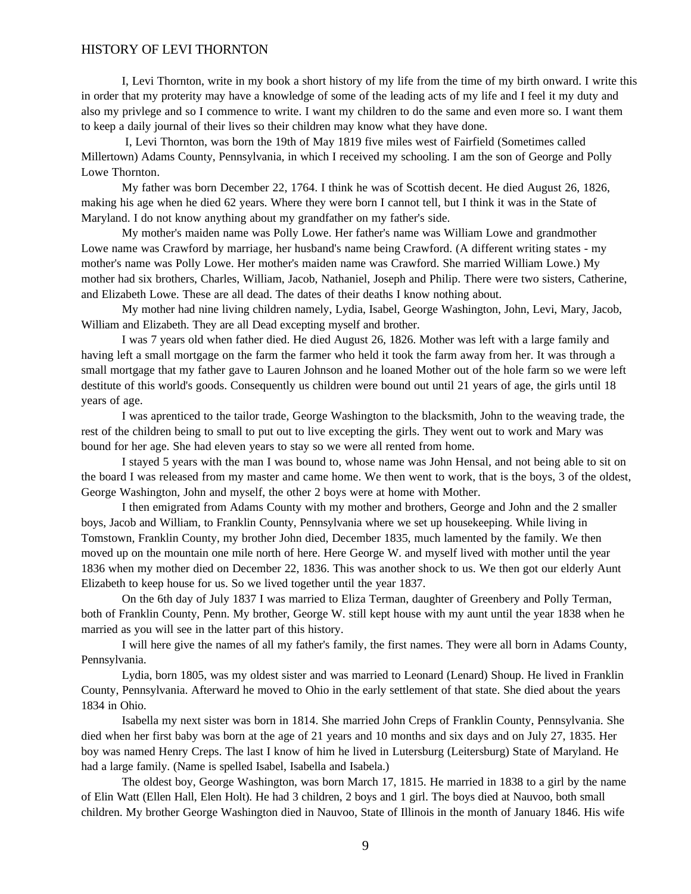# HISTORY OF LEVI THORNTON

I, Levi Thornton, write in my book a short history of my life from the time of my birth onward. I write this in order that my proterity may have a knowledge of some of the leading acts of my life and I feel it my duty and also my privlege and so I commence to write. I want my children to do the same and even more so. I want them to keep a daily journal of their lives so their children may know what they have done.

 I, Levi Thornton, was born the 19th of May 1819 five miles west of Fairfield (Sometimes called Millertown) Adams County, Pennsylvania, in which I received my schooling. I am the son of George and Polly Lowe Thornton.

My father was born December 22, 1764. I think he was of Scottish decent. He died August 26, 1826, making his age when he died 62 years. Where they were born I cannot tell, but I think it was in the State of Maryland. I do not know anything about my grandfather on my father's side.

My mother's maiden name was Polly Lowe. Her father's name was William Lowe and grandmother Lowe name was Crawford by marriage, her husband's name being Crawford. (A different writing states - my mother's name was Polly Lowe. Her mother's maiden name was Crawford. She married William Lowe.) My mother had six brothers, Charles, William, Jacob, Nathaniel, Joseph and Philip. There were two sisters, Catherine, and Elizabeth Lowe. These are all dead. The dates of their deaths I know nothing about.

My mother had nine living children namely, Lydia, Isabel, George Washington, John, Levi, Mary, Jacob, William and Elizabeth. They are all Dead excepting myself and brother.

I was 7 years old when father died. He died August 26, 1826. Mother was left with a large family and having left a small mortgage on the farm the farmer who held it took the farm away from her. It was through a small mortgage that my father gave to Lauren Johnson and he loaned Mother out of the hole farm so we were left destitute of this world's goods. Consequently us children were bound out until 21 years of age, the girls until 18 years of age.

I was aprenticed to the tailor trade, George Washington to the blacksmith, John to the weaving trade, the rest of the children being to small to put out to live excepting the girls. They went out to work and Mary was bound for her age. She had eleven years to stay so we were all rented from home.

I stayed 5 years with the man I was bound to, whose name was John Hensal, and not being able to sit on the board I was released from my master and came home. We then went to work, that is the boys, 3 of the oldest, George Washington, John and myself, the other 2 boys were at home with Mother.

I then emigrated from Adams County with my mother and brothers, George and John and the 2 smaller boys, Jacob and William, to Franklin County, Pennsylvania where we set up housekeeping. While living in Tomstown, Franklin County, my brother John died, December 1835, much lamented by the family. We then moved up on the mountain one mile north of here. Here George W. and myself lived with mother until the year 1836 when my mother died on December 22, 1836. This was another shock to us. We then got our elderly Aunt Elizabeth to keep house for us. So we lived together until the year 1837.

On the 6th day of July 1837 I was married to Eliza Terman, daughter of Greenbery and Polly Terman, both of Franklin County, Penn. My brother, George W. still kept house with my aunt until the year 1838 when he married as you will see in the latter part of this history.

I will here give the names of all my father's family, the first names. They were all born in Adams County, Pennsylvania.

Lydia, born 1805, was my oldest sister and was married to Leonard (Lenard) Shoup. He lived in Franklin County, Pennsylvania. Afterward he moved to Ohio in the early settlement of that state. She died about the years 1834 in Ohio.

Isabella my next sister was born in 1814. She married John Creps of Franklin County, Pennsylvania. She died when her first baby was born at the age of 21 years and 10 months and six days and on July 27, 1835. Her boy was named Henry Creps. The last I know of him he lived in Lutersburg (Leitersburg) State of Maryland. He had a large family. (Name is spelled Isabel, Isabella and Isabela.)

The oldest boy, George Washington, was born March 17, 1815. He married in 1838 to a girl by the name of Elin Watt (Ellen Hall, Elen Holt). He had 3 children, 2 boys and 1 girl. The boys died at Nauvoo, both small children. My brother George Washington died in Nauvoo, State of Illinois in the month of January 1846. His wife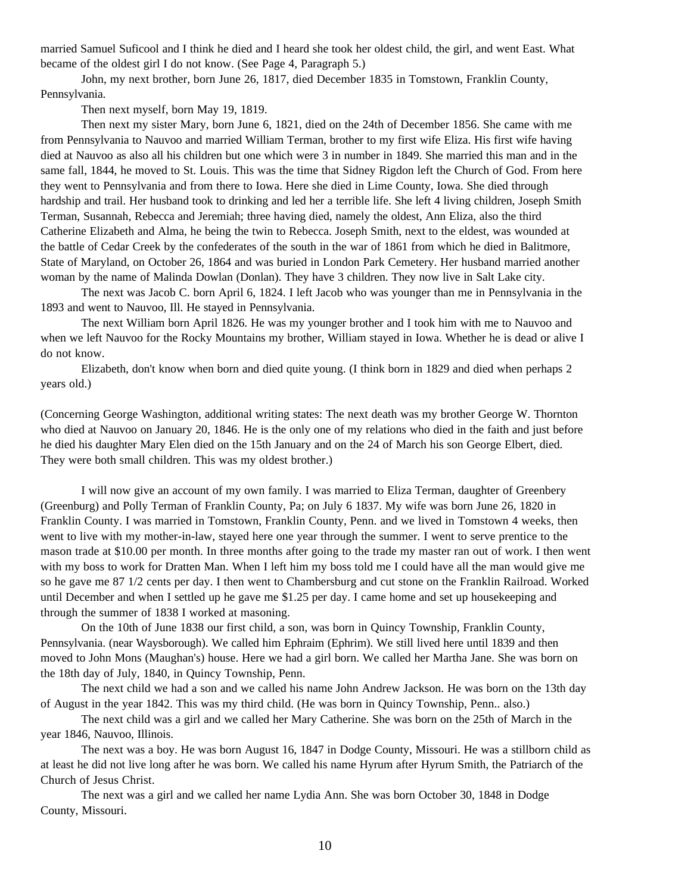married Samuel Suficool and I think he died and I heard she took her oldest child, the girl, and went East. What became of the oldest girl I do not know. (See Page 4, Paragraph 5.)

John, my next brother, born June 26, 1817, died December 1835 in Tomstown, Franklin County, Pennsylvania.

Then next myself, born May 19, 1819.

Then next my sister Mary, born June 6, 1821, died on the 24th of December 1856. She came with me from Pennsylvania to Nauvoo and married William Terman, brother to my first wife Eliza. His first wife having died at Nauvoo as also all his children but one which were 3 in number in 1849. She married this man and in the same fall, 1844, he moved to St. Louis. This was the time that Sidney Rigdon left the Church of God. From here they went to Pennsylvania and from there to Iowa. Here she died in Lime County, Iowa. She died through hardship and trail. Her husband took to drinking and led her a terrible life. She left 4 living children, Joseph Smith Terman, Susannah, Rebecca and Jeremiah; three having died, namely the oldest, Ann Eliza, also the third Catherine Elizabeth and Alma, he being the twin to Rebecca. Joseph Smith, next to the eldest, was wounded at the battle of Cedar Creek by the confederates of the south in the war of 1861 from which he died in Balitmore, State of Maryland, on October 26, 1864 and was buried in London Park Cemetery. Her husband married another woman by the name of Malinda Dowlan (Donlan). They have 3 children. They now live in Salt Lake city.

The next was Jacob C. born April 6, 1824. I left Jacob who was younger than me in Pennsylvania in the 1893 and went to Nauvoo, Ill. He stayed in Pennsylvania.

The next William born April 1826. He was my younger brother and I took him with me to Nauvoo and when we left Nauvoo for the Rocky Mountains my brother, William stayed in Iowa. Whether he is dead or alive I do not know.

Elizabeth, don't know when born and died quite young. (I think born in 1829 and died when perhaps 2 years old.)

(Concerning George Washington, additional writing states: The next death was my brother George W. Thornton who died at Nauvoo on January 20, 1846. He is the only one of my relations who died in the faith and just before he died his daughter Mary Elen died on the 15th January and on the 24 of March his son George Elbert, died. They were both small children. This was my oldest brother.)

I will now give an account of my own family. I was married to Eliza Terman, daughter of Greenbery (Greenburg) and Polly Terman of Franklin County, Pa; on July 6 1837. My wife was born June 26, 1820 in Franklin County. I was married in Tomstown, Franklin County, Penn. and we lived in Tomstown 4 weeks, then went to live with my mother-in-law, stayed here one year through the summer. I went to serve prentice to the mason trade at \$10.00 per month. In three months after going to the trade my master ran out of work. I then went with my boss to work for Dratten Man. When I left him my boss told me I could have all the man would give me so he gave me 87 1/2 cents per day. I then went to Chambersburg and cut stone on the Franklin Railroad. Worked until December and when I settled up he gave me \$1.25 per day. I came home and set up housekeeping and through the summer of 1838 I worked at masoning.

On the 10th of June 1838 our first child, a son, was born in Quincy Township, Franklin County, Pennsylvania. (near Waysborough). We called him Ephraim (Ephrim). We still lived here until 1839 and then moved to John Mons (Maughan's) house. Here we had a girl born. We called her Martha Jane. She was born on the 18th day of July, 1840, in Quincy Township, Penn.

The next child we had a son and we called his name John Andrew Jackson. He was born on the 13th day of August in the year 1842. This was my third child. (He was born in Quincy Township, Penn.. also.)

The next child was a girl and we called her Mary Catherine. She was born on the 25th of March in the year 1846, Nauvoo, Illinois.

The next was a boy. He was born August 16, 1847 in Dodge County, Missouri. He was a stillborn child as at least he did not live long after he was born. We called his name Hyrum after Hyrum Smith, the Patriarch of the Church of Jesus Christ.

The next was a girl and we called her name Lydia Ann. She was born October 30, 1848 in Dodge County, Missouri.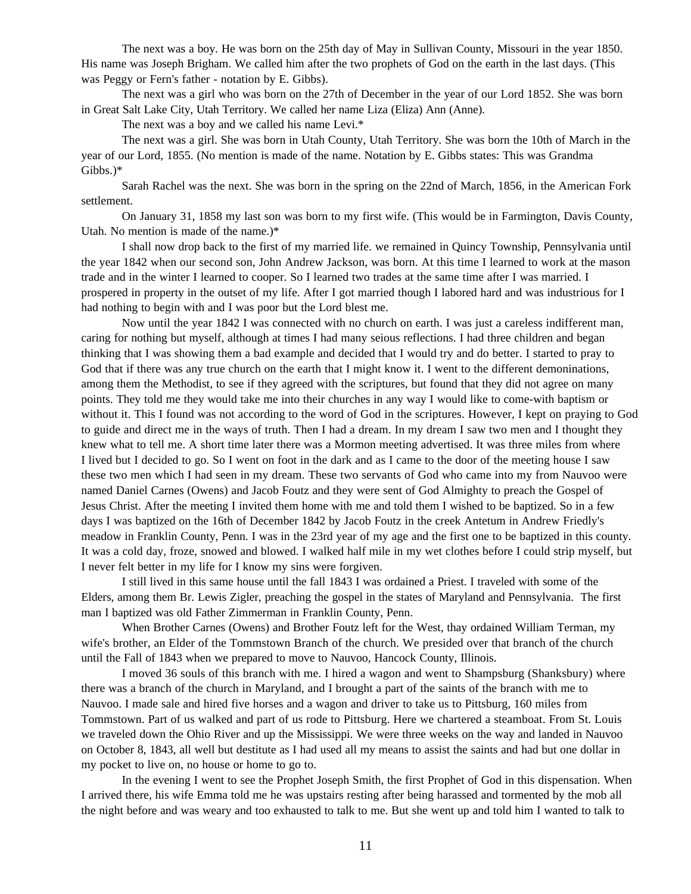The next was a boy. He was born on the 25th day of May in Sullivan County, Missouri in the year 1850. His name was Joseph Brigham. We called him after the two prophets of God on the earth in the last days. (This was Peggy or Fern's father - notation by E. Gibbs).

The next was a girl who was born on the 27th of December in the year of our Lord 1852. She was born in Great Salt Lake City, Utah Territory. We called her name Liza (Eliza) Ann (Anne).

The next was a boy and we called his name Levi.\*

The next was a girl. She was born in Utah County, Utah Territory. She was born the 10th of March in the year of our Lord, 1855. (No mention is made of the name. Notation by E. Gibbs states: This was Grandma Gibbs.)\*

Sarah Rachel was the next. She was born in the spring on the 22nd of March, 1856, in the American Fork settlement.

On January 31, 1858 my last son was born to my first wife. (This would be in Farmington, Davis County, Utah. No mention is made of the name.)\*

I shall now drop back to the first of my married life. we remained in Quincy Township, Pennsylvania until the year 1842 when our second son, John Andrew Jackson, was born. At this time I learned to work at the mason trade and in the winter I learned to cooper. So I learned two trades at the same time after I was married. I prospered in property in the outset of my life. After I got married though I labored hard and was industrious for I had nothing to begin with and I was poor but the Lord blest me.

Now until the year 1842 I was connected with no church on earth. I was just a careless indifferent man, caring for nothing but myself, although at times I had many seious reflections. I had three children and began thinking that I was showing them a bad example and decided that I would try and do better. I started to pray to God that if there was any true church on the earth that I might know it. I went to the different demoninations, among them the Methodist, to see if they agreed with the scriptures, but found that they did not agree on many points. They told me they would take me into their churches in any way I would like to come-with baptism or without it. This I found was not according to the word of God in the scriptures. However, I kept on praying to God to guide and direct me in the ways of truth. Then I had a dream. In my dream I saw two men and I thought they knew what to tell me. A short time later there was a Mormon meeting advertised. It was three miles from where I lived but I decided to go. So I went on foot in the dark and as I came to the door of the meeting house I saw these two men which I had seen in my dream. These two servants of God who came into my from Nauvoo were named Daniel Carnes (Owens) and Jacob Foutz and they were sent of God Almighty to preach the Gospel of Jesus Christ. After the meeting I invited them home with me and told them I wished to be baptized. So in a few days I was baptized on the 16th of December 1842 by Jacob Foutz in the creek Antetum in Andrew Friedly's meadow in Franklin County, Penn. I was in the 23rd year of my age and the first one to be baptized in this county. It was a cold day, froze, snowed and blowed. I walked half mile in my wet clothes before I could strip myself, but I never felt better in my life for I know my sins were forgiven.

I still lived in this same house until the fall 1843 I was ordained a Priest. I traveled with some of the Elders, among them Br. Lewis Zigler, preaching the gospel in the states of Maryland and Pennsylvania. The first man I baptized was old Father Zimmerman in Franklin County, Penn.

When Brother Carnes (Owens) and Brother Foutz left for the West, thay ordained William Terman, my wife's brother, an Elder of the Tommstown Branch of the church. We presided over that branch of the church until the Fall of 1843 when we prepared to move to Nauvoo, Hancock County, Illinois.

I moved 36 souls of this branch with me. I hired a wagon and went to Shampsburg (Shanksbury) where there was a branch of the church in Maryland, and I brought a part of the saints of the branch with me to Nauvoo. I made sale and hired five horses and a wagon and driver to take us to Pittsburg, 160 miles from Tommstown. Part of us walked and part of us rode to Pittsburg. Here we chartered a steamboat. From St. Louis we traveled down the Ohio River and up the Mississippi. We were three weeks on the way and landed in Nauvoo on October 8, 1843, all well but destitute as I had used all my means to assist the saints and had but one dollar in my pocket to live on, no house or home to go to.

In the evening I went to see the Prophet Joseph Smith, the first Prophet of God in this dispensation. When I arrived there, his wife Emma told me he was upstairs resting after being harassed and tormented by the mob all the night before and was weary and too exhausted to talk to me. But she went up and told him I wanted to talk to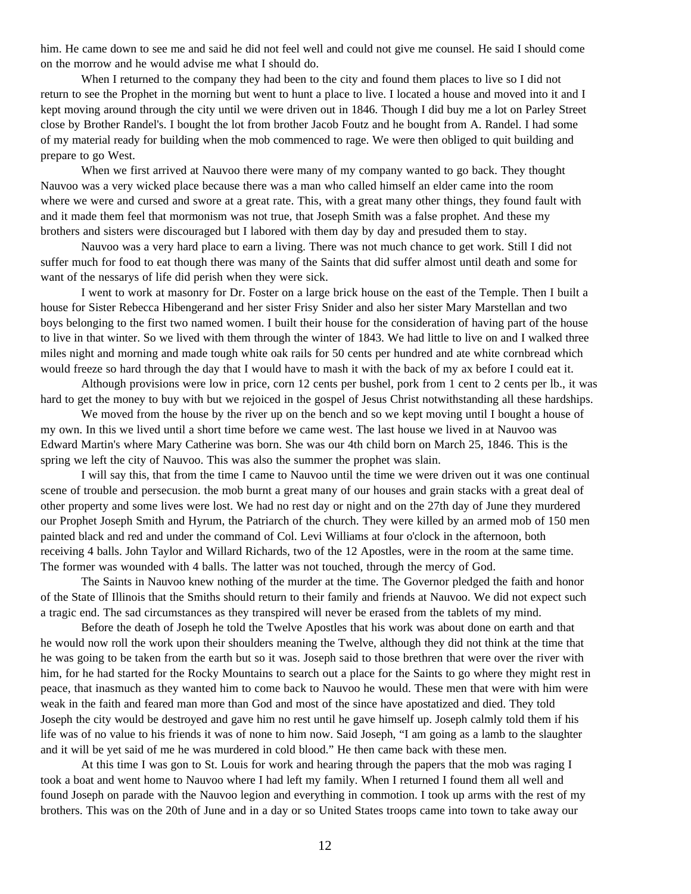him. He came down to see me and said he did not feel well and could not give me counsel. He said I should come on the morrow and he would advise me what I should do.

When I returned to the company they had been to the city and found them places to live so I did not return to see the Prophet in the morning but went to hunt a place to live. I located a house and moved into it and I kept moving around through the city until we were driven out in 1846. Though I did buy me a lot on Parley Street close by Brother Randel's. I bought the lot from brother Jacob Foutz and he bought from A. Randel. I had some of my material ready for building when the mob commenced to rage. We were then obliged to quit building and prepare to go West.

When we first arrived at Nauvoo there were many of my company wanted to go back. They thought Nauvoo was a very wicked place because there was a man who called himself an elder came into the room where we were and cursed and swore at a great rate. This, with a great many other things, they found fault with and it made them feel that mormonism was not true, that Joseph Smith was a false prophet. And these my brothers and sisters were discouraged but I labored with them day by day and presuded them to stay.

Nauvoo was a very hard place to earn a living. There was not much chance to get work. Still I did not suffer much for food to eat though there was many of the Saints that did suffer almost until death and some for want of the nessarys of life did perish when they were sick.

I went to work at masonry for Dr. Foster on a large brick house on the east of the Temple. Then I built a house for Sister Rebecca Hibengerand and her sister Frisy Snider and also her sister Mary Marstellan and two boys belonging to the first two named women. I built their house for the consideration of having part of the house to live in that winter. So we lived with them through the winter of 1843. We had little to live on and I walked three miles night and morning and made tough white oak rails for 50 cents per hundred and ate white cornbread which would freeze so hard through the day that I would have to mash it with the back of my ax before I could eat it.

Although provisions were low in price, corn 12 cents per bushel, pork from 1 cent to 2 cents per lb., it was hard to get the money to buy with but we rejoiced in the gospel of Jesus Christ notwithstanding all these hardships.

We moved from the house by the river up on the bench and so we kept moving until I bought a house of my own. In this we lived until a short time before we came west. The last house we lived in at Nauvoo was Edward Martin's where Mary Catherine was born. She was our 4th child born on March 25, 1846. This is the spring we left the city of Nauvoo. This was also the summer the prophet was slain.

I will say this, that from the time I came to Nauvoo until the time we were driven out it was one continual scene of trouble and persecusion. the mob burnt a great many of our houses and grain stacks with a great deal of other property and some lives were lost. We had no rest day or night and on the 27th day of June they murdered our Prophet Joseph Smith and Hyrum, the Patriarch of the church. They were killed by an armed mob of 150 men painted black and red and under the command of Col. Levi Williams at four o'clock in the afternoon, both receiving 4 balls. John Taylor and Willard Richards, two of the 12 Apostles, were in the room at the same time. The former was wounded with 4 balls. The latter was not touched, through the mercy of God.

The Saints in Nauvoo knew nothing of the murder at the time. The Governor pledged the faith and honor of the State of Illinois that the Smiths should return to their family and friends at Nauvoo. We did not expect such a tragic end. The sad circumstances as they transpired will never be erased from the tablets of my mind.

Before the death of Joseph he told the Twelve Apostles that his work was about done on earth and that he would now roll the work upon their shoulders meaning the Twelve, although they did not think at the time that he was going to be taken from the earth but so it was. Joseph said to those brethren that were over the river with him, for he had started for the Rocky Mountains to search out a place for the Saints to go where they might rest in peace, that inasmuch as they wanted him to come back to Nauvoo he would. These men that were with him were weak in the faith and feared man more than God and most of the since have apostatized and died. They told Joseph the city would be destroyed and gave him no rest until he gave himself up. Joseph calmly told them if his life was of no value to his friends it was of none to him now. Said Joseph, "I am going as a lamb to the slaughter and it will be yet said of me he was murdered in cold blood." He then came back with these men.

At this time I was gon to St. Louis for work and hearing through the papers that the mob was raging I took a boat and went home to Nauvoo where I had left my family. When I returned I found them all well and found Joseph on parade with the Nauvoo legion and everything in commotion. I took up arms with the rest of my brothers. This was on the 20th of June and in a day or so United States troops came into town to take away our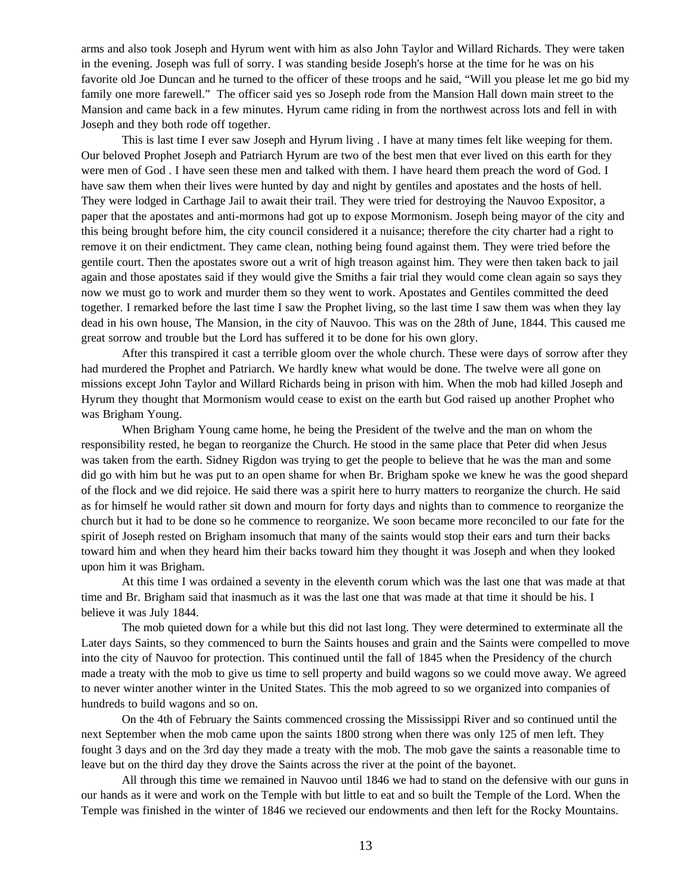arms and also took Joseph and Hyrum went with him as also John Taylor and Willard Richards. They were taken in the evening. Joseph was full of sorry. I was standing beside Joseph's horse at the time for he was on his favorite old Joe Duncan and he turned to the officer of these troops and he said, "Will you please let me go bid my family one more farewell." The officer said yes so Joseph rode from the Mansion Hall down main street to the Mansion and came back in a few minutes. Hyrum came riding in from the northwest across lots and fell in with Joseph and they both rode off together.

This is last time I ever saw Joseph and Hyrum living . I have at many times felt like weeping for them. Our beloved Prophet Joseph and Patriarch Hyrum are two of the best men that ever lived on this earth for they were men of God . I have seen these men and talked with them. I have heard them preach the word of God. I have saw them when their lives were hunted by day and night by gentiles and apostates and the hosts of hell. They were lodged in Carthage Jail to await their trail. They were tried for destroying the Nauvoo Expositor, a paper that the apostates and anti-mormons had got up to expose Mormonism. Joseph being mayor of the city and this being brought before him, the city council considered it a nuisance; therefore the city charter had a right to remove it on their endictment. They came clean, nothing being found against them. They were tried before the gentile court. Then the apostates swore out a writ of high treason against him. They were then taken back to jail again and those apostates said if they would give the Smiths a fair trial they would come clean again so says they now we must go to work and murder them so they went to work. Apostates and Gentiles committed the deed together. I remarked before the last time I saw the Prophet living, so the last time I saw them was when they lay dead in his own house, The Mansion, in the city of Nauvoo. This was on the 28th of June, 1844. This caused me great sorrow and trouble but the Lord has suffered it to be done for his own glory.

After this transpired it cast a terrible gloom over the whole church. These were days of sorrow after they had murdered the Prophet and Patriarch. We hardly knew what would be done. The twelve were all gone on missions except John Taylor and Willard Richards being in prison with him. When the mob had killed Joseph and Hyrum they thought that Mormonism would cease to exist on the earth but God raised up another Prophet who was Brigham Young.

When Brigham Young came home, he being the President of the twelve and the man on whom the responsibility rested, he began to reorganize the Church. He stood in the same place that Peter did when Jesus was taken from the earth. Sidney Rigdon was trying to get the people to believe that he was the man and some did go with him but he was put to an open shame for when Br. Brigham spoke we knew he was the good shepard of the flock and we did rejoice. He said there was a spirit here to hurry matters to reorganize the church. He said as for himself he would rather sit down and mourn for forty days and nights than to commence to reorganize the church but it had to be done so he commence to reorganize. We soon became more reconciled to our fate for the spirit of Joseph rested on Brigham insomuch that many of the saints would stop their ears and turn their backs toward him and when they heard him their backs toward him they thought it was Joseph and when they looked upon him it was Brigham.

At this time I was ordained a seventy in the eleventh corum which was the last one that was made at that time and Br. Brigham said that inasmuch as it was the last one that was made at that time it should be his. I believe it was July 1844.

The mob quieted down for a while but this did not last long. They were determined to exterminate all the Later days Saints, so they commenced to burn the Saints houses and grain and the Saints were compelled to move into the city of Nauvoo for protection. This continued until the fall of 1845 when the Presidency of the church made a treaty with the mob to give us time to sell property and build wagons so we could move away. We agreed to never winter another winter in the United States. This the mob agreed to so we organized into companies of hundreds to build wagons and so on.

On the 4th of February the Saints commenced crossing the Mississippi River and so continued until the next September when the mob came upon the saints 1800 strong when there was only 125 of men left. They fought 3 days and on the 3rd day they made a treaty with the mob. The mob gave the saints a reasonable time to leave but on the third day they drove the Saints across the river at the point of the bayonet.

All through this time we remained in Nauvoo until 1846 we had to stand on the defensive with our guns in our hands as it were and work on the Temple with but little to eat and so built the Temple of the Lord. When the Temple was finished in the winter of 1846 we recieved our endowments and then left for the Rocky Mountains.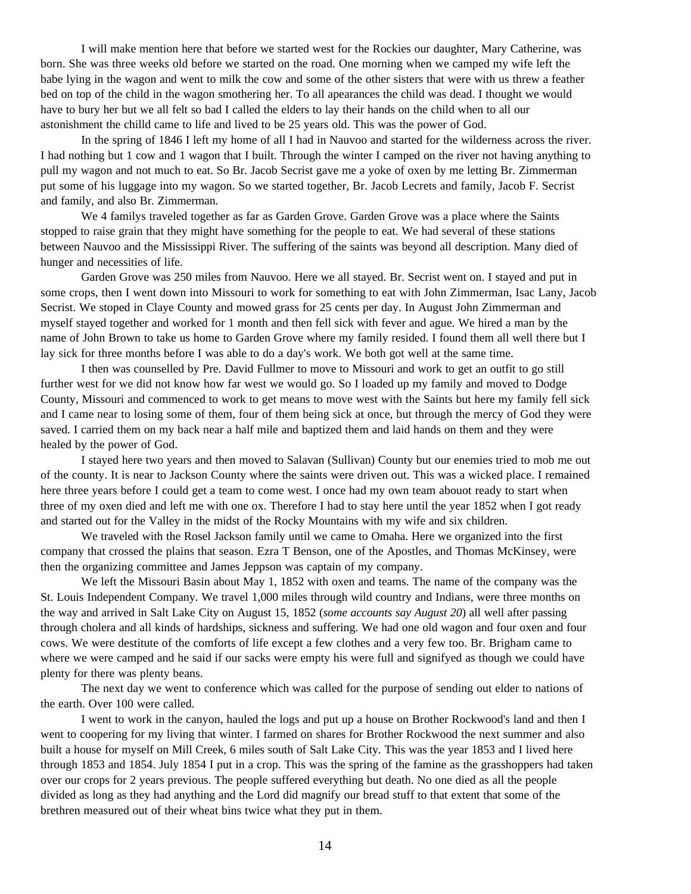I will make mention here that before we started west for the Rockies our daughter, Mary Catherine, was born. She was three weeks old before we started on the road. One morning when we camped my wife left the babe lying in the wagon and went to milk the cow and some of the other sisters that were with us threw a feather bed on top of the child in the wagon smothering her. To all apearances the child was dead. I thought we would have to bury her but we all felt so bad I called the elders to lay their hands on the child when to all our astonishment the chilld came to life and lived to be 25 years old. This was the power of God.

In the spring of 1846 I left my home of all I had in Nauvoo and started for the wilderness across the river. I had nothing but 1 cow and 1 wagon that I built. Through the winter I camped on the river not having anything to pull my wagon and not much to eat. So Br. Jacob Secrist gave me a yoke of oxen by me letting Br. Zimmerman put some of his luggage into my wagon. So we started together, Br. Jacob Lecrets and family, Jacob F. Secrist and family, and also Br. Zimmerman.

We 4 familys traveled together as far as Garden Grove. Garden Grove was a place where the Saints stopped to raise grain that they might have something for the people to eat. We had several of these stations between Nauvoo and the Mississippi River. The suffering of the saints was beyond all description. Many died of hunger and necessities of life.

Garden Grove was 250 miles from Nauvoo. Here we all stayed. Br. Secrist went on. I stayed and put in some crops, then I went down into Missouri to work for something to eat with John Zimmerman, Isac Lany, Jacob Secrist. We stoped in Claye County and mowed grass for 25 cents per day. In August John Zimmerman and myself stayed together and worked for 1 month and then fell sick with fever and ague. We hired a man by the name of John Brown to take us home to Garden Grove where my family resided. I found them all well there but I lay sick for three months before I was able to do a day's work. We both got well at the same time.

I then was counselled by Pre. David Fullmer to move to Missouri and work to get an outfit to go still further west for we did not know how far west we would go. So I loaded up my family and moved to Dodge County, Missouri and commenced to work to get means to move west with the Saints but here my family fell sick and I came near to losing some of them, four of them being sick at once, but through the mercy of God they were saved. I carried them on my back near a half mile and baptized them and laid hands on them and they were healed by the power of God.

I stayed here two years and then moved to Salavan (Sullivan) County but our enemies tried to mob me out of the county. It is near to Jackson County where the saints were driven out. This was a wicked place. I remained here three years before I could get a team to come west. I once had my own team abouot ready to start when three of my oxen died and left me with one ox. Therefore I had to stay here until the year 1852 when I got ready and started out for the Valley in the midst of the Rocky Mountains with my wife and six children.

We traveled with the Rosel Jackson family until we came to Omaha. Here we organized into the first company that crossed the plains that season. Ezra T Benson, one of the Apostles, and Thomas McKinsey, were then the organizing committee and James Jeppson was captain of my company.

We left the Missouri Basin about May 1, 1852 with oxen and teams. The name of the company was the St. Louis Independent Company. We travel 1,000 miles through wild country and Indians, were three months on the way and arrived in Salt Lake City on August 15, 1852 (*some accounts say August 20*) all well after passing through cholera and all kinds of hardships, sickness and suffering. We had one old wagon and four oxen and four cows. We were destitute of the comforts of life except a few clothes and a very few too. Br. Brigham came to where we were camped and he said if our sacks were empty his were full and signifyed as though we could have plenty for there was plenty beans.

The next day we went to conference which was called for the purpose of sending out elder to nations of the earth. Over 100 were called.

I went to work in the canyon, hauled the logs and put up a house on Brother Rockwood's land and then I went to coopering for my living that winter. I farmed on shares for Brother Rockwood the next summer and also built a house for myself on Mill Creek, 6 miles south of Salt Lake City. This was the year 1853 and I lived here through 1853 and 1854. July 1854 I put in a crop. This was the spring of the famine as the grasshoppers had taken over our crops for 2 years previous. The people suffered everything but death. No one died as all the people divided as long as they had anything and the Lord did magnify our bread stuff to that extent that some of the brethren measured out of their wheat bins twice what they put in them.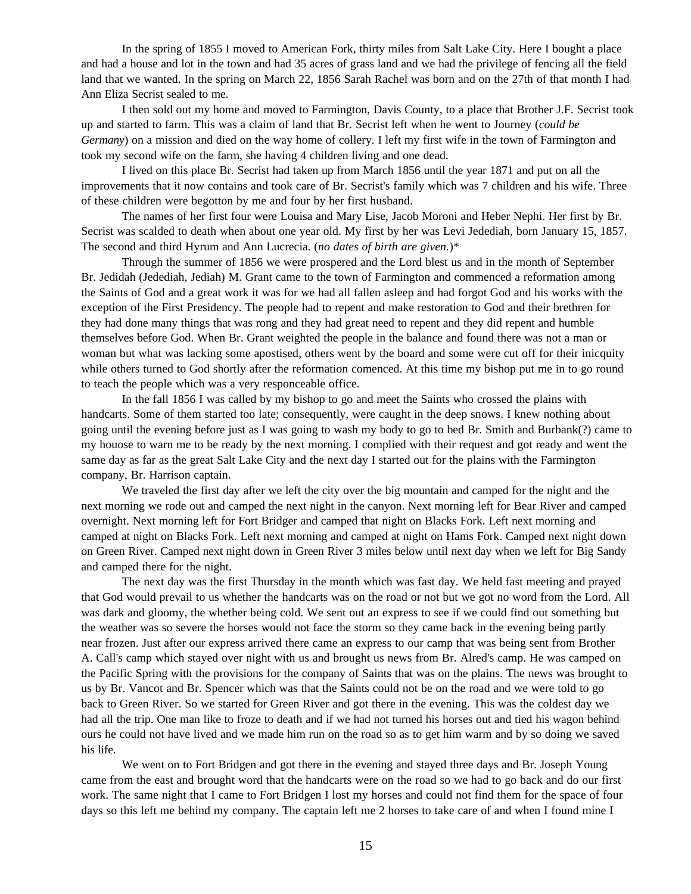In the spring of 1855 I moved to American Fork, thirty miles from Salt Lake City. Here I bought a place and had a house and lot in the town and had 35 acres of grass land and we had the privilege of fencing all the field land that we wanted. In the spring on March 22, 1856 Sarah Rachel was born and on the 27th of that month I had Ann Eliza Secrist sealed to me.

I then sold out my home and moved to Farmington, Davis County, to a place that Brother J.F. Secrist took up and started to farm. This was a claim of land that Br. Secrist left when he went to Journey (*could be Germany*) on a mission and died on the way home of collery. I left my first wife in the town of Farmington and took my second wife on the farm, she having 4 children living and one dead.

I lived on this place Br. Secrist had taken up from March 1856 until the year 1871 and put on all the improvements that it now contains and took care of Br. Secrist's family which was 7 children and his wife. Three of these children were begotton by me and four by her first husband.

The names of her first four were Louisa and Mary Lise, Jacob Moroni and Heber Nephi. Her first by Br. Secrist was scalded to death when about one year old. My first by her was Levi Jedediah, born January 15, 1857. The second and third Hyrum and Ann Lucrecia. (*no dates of birth are given.*)\*

Through the summer of 1856 we were prospered and the Lord blest us and in the month of September Br. Jedidah (Jedediah, Jediah) M. Grant came to the town of Farmington and commenced a reformation among the Saints of God and a great work it was for we had all fallen asleep and had forgot God and his works with the exception of the First Presidency. The people had to repent and make restoration to God and their brethren for they had done many things that was rong and they had great need to repent and they did repent and humble themselves before God. When Br. Grant weighted the people in the balance and found there was not a man or woman but what was lacking some apostised, others went by the board and some were cut off for their inicquity while others turned to God shortly after the reformation comenced. At this time my bishop put me in to go round to teach the people which was a very responceable office.

In the fall 1856 I was called by my bishop to go and meet the Saints who crossed the plains with handcarts. Some of them started too late; consequently, were caught in the deep snows. I knew nothing about going until the evening before just as I was going to wash my body to go to bed Br. Smith and Burbank(?) came to my houose to warn me to be ready by the next morning. I complied with their request and got ready and went the same day as far as the great Salt Lake City and the next day I started out for the plains with the Farmington company, Br. Harrison captain.

We traveled the first day after we left the city over the big mountain and camped for the night and the next morning we rode out and camped the next night in the canyon. Next morning left for Bear River and camped overnight. Next morning left for Fort Bridger and camped that night on Blacks Fork. Left next morning and camped at night on Blacks Fork. Left next morning and camped at night on Hams Fork. Camped next night down on Green River. Camped next night down in Green River 3 miles below until next day when we left for Big Sandy and camped there for the night.

The next day was the first Thursday in the month which was fast day. We held fast meeting and prayed that God would prevail to us whether the handcarts was on the road or not but we got no word from the Lord. All was dark and gloomy, the whether being cold. We sent out an express to see if we could find out something but the weather was so severe the horses would not face the storm so they came back in the evening being partly near frozen. Just after our express arrived there came an express to our camp that was being sent from Brother A. Call's camp which stayed over night with us and brought us news from Br. Alred's camp. He was camped on the Pacific Spring with the provisions for the company of Saints that was on the plains. The news was brought to us by Br. Vancot and Br. Spencer which was that the Saints could not be on the road and we were told to go back to Green River. So we started for Green River and got there in the evening. This was the coldest day we had all the trip. One man like to froze to death and if we had not turned his horses out and tied his wagon behind ours he could not have lived and we made him run on the road so as to get him warm and by so doing we saved his life.

We went on to Fort Bridgen and got there in the evening and stayed three days and Br. Joseph Young came from the east and brought word that the handcarts were on the road so we had to go back and do our first work. The same night that I came to Fort Bridgen I lost my horses and could not find them for the space of four days so this left me behind my company. The captain left me 2 horses to take care of and when I found mine I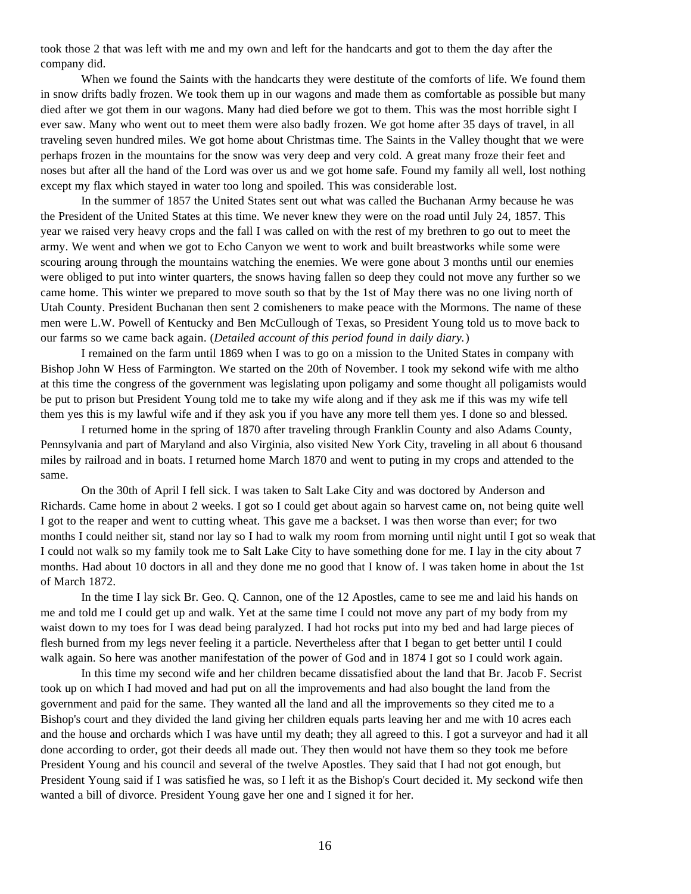took those 2 that was left with me and my own and left for the handcarts and got to them the day after the company did.

When we found the Saints with the handcarts they were destitute of the comforts of life. We found them in snow drifts badly frozen. We took them up in our wagons and made them as comfortable as possible but many died after we got them in our wagons. Many had died before we got to them. This was the most horrible sight I ever saw. Many who went out to meet them were also badly frozen. We got home after 35 days of travel, in all traveling seven hundred miles. We got home about Christmas time. The Saints in the Valley thought that we were perhaps frozen in the mountains for the snow was very deep and very cold. A great many froze their feet and noses but after all the hand of the Lord was over us and we got home safe. Found my family all well, lost nothing except my flax which stayed in water too long and spoiled. This was considerable lost.

In the summer of 1857 the United States sent out what was called the Buchanan Army because he was the President of the United States at this time. We never knew they were on the road until July 24, 1857. This year we raised very heavy crops and the fall I was called on with the rest of my brethren to go out to meet the army. We went and when we got to Echo Canyon we went to work and built breastworks while some were scouring aroung through the mountains watching the enemies. We were gone about 3 months until our enemies were obliged to put into winter quarters, the snows having fallen so deep they could not move any further so we came home. This winter we prepared to move south so that by the 1st of May there was no one living north of Utah County. President Buchanan then sent 2 comisheners to make peace with the Mormons. The name of these men were L.W. Powell of Kentucky and Ben McCullough of Texas, so President Young told us to move back to our farms so we came back again. (*Detailed account of this period found in daily diary.*)

I remained on the farm until 1869 when I was to go on a mission to the United States in company with Bishop John W Hess of Farmington. We started on the 20th of November. I took my sekond wife with me altho at this time the congress of the government was legislating upon poligamy and some thought all poligamists would be put to prison but President Young told me to take my wife along and if they ask me if this was my wife tell them yes this is my lawful wife and if they ask you if you have any more tell them yes. I done so and blessed.

I returned home in the spring of 1870 after traveling through Franklin County and also Adams County, Pennsylvania and part of Maryland and also Virginia, also visited New York City, traveling in all about 6 thousand miles by railroad and in boats. I returned home March 1870 and went to puting in my crops and attended to the same.

On the 30th of April I fell sick. I was taken to Salt Lake City and was doctored by Anderson and Richards. Came home in about 2 weeks. I got so I could get about again so harvest came on, not being quite well I got to the reaper and went to cutting wheat. This gave me a backset. I was then worse than ever; for two months I could neither sit, stand nor lay so I had to walk my room from morning until night until I got so weak that I could not walk so my family took me to Salt Lake City to have something done for me. I lay in the city about 7 months. Had about 10 doctors in all and they done me no good that I know of. I was taken home in about the 1st of March 1872.

In the time I lay sick Br. Geo. Q. Cannon, one of the 12 Apostles, came to see me and laid his hands on me and told me I could get up and walk. Yet at the same time I could not move any part of my body from my waist down to my toes for I was dead being paralyzed. I had hot rocks put into my bed and had large pieces of flesh burned from my legs never feeling it a particle. Nevertheless after that I began to get better until I could walk again. So here was another manifestation of the power of God and in 1874 I got so I could work again.

In this time my second wife and her children became dissatisfied about the land that Br. Jacob F. Secrist took up on which I had moved and had put on all the improvements and had also bought the land from the government and paid for the same. They wanted all the land and all the improvements so they cited me to a Bishop's court and they divided the land giving her children equals parts leaving her and me with 10 acres each and the house and orchards which I was have until my death; they all agreed to this. I got a surveyor and had it all done according to order, got their deeds all made out. They then would not have them so they took me before President Young and his council and several of the twelve Apostles. They said that I had not got enough, but President Young said if I was satisfied he was, so I left it as the Bishop's Court decided it. My seckond wife then wanted a bill of divorce. President Young gave her one and I signed it for her.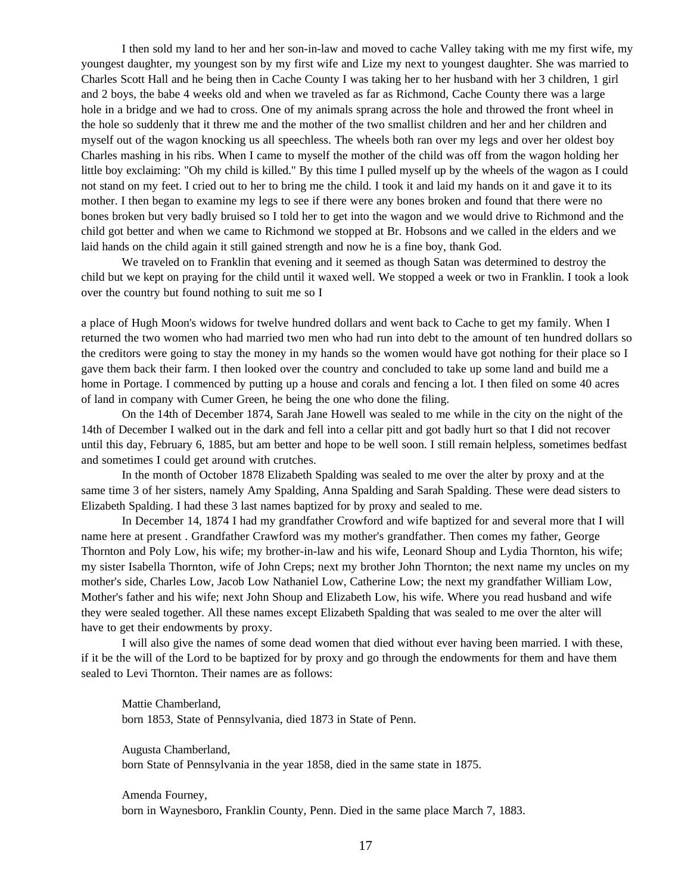I then sold my land to her and her son-in-law and moved to cache Valley taking with me my first wife, my youngest daughter, my youngest son by my first wife and Lize my next to youngest daughter. She was married to Charles Scott Hall and he being then in Cache County I was taking her to her husband with her 3 children, 1 girl and 2 boys, the babe 4 weeks old and when we traveled as far as Richmond, Cache County there was a large hole in a bridge and we had to cross. One of my animals sprang across the hole and throwed the front wheel in the hole so suddenly that it threw me and the mother of the two smallist children and her and her children and myself out of the wagon knocking us all speechless. The wheels both ran over my legs and over her oldest boy Charles mashing in his ribs. When I came to myself the mother of the child was off from the wagon holding her little boy exclaiming: "Oh my child is killed." By this time I pulled myself up by the wheels of the wagon as I could not stand on my feet. I cried out to her to bring me the child. I took it and laid my hands on it and gave it to its mother. I then began to examine my legs to see if there were any bones broken and found that there were no bones broken but very badly bruised so I told her to get into the wagon and we would drive to Richmond and the child got better and when we came to Richmond we stopped at Br. Hobsons and we called in the elders and we laid hands on the child again it still gained strength and now he is a fine boy, thank God.

We traveled on to Franklin that evening and it seemed as though Satan was determined to destroy the child but we kept on praying for the child until it waxed well. We stopped a week or two in Franklin. I took a look over the country but found nothing to suit me so I

a place of Hugh Moon's widows for twelve hundred dollars and went back to Cache to get my family. When I returned the two women who had married two men who had run into debt to the amount of ten hundred dollars so the creditors were going to stay the money in my hands so the women would have got nothing for their place so I gave them back their farm. I then looked over the country and concluded to take up some land and build me a home in Portage. I commenced by putting up a house and corals and fencing a lot. I then filed on some 40 acres of land in company with Cumer Green, he being the one who done the filing.

On the 14th of December 1874, Sarah Jane Howell was sealed to me while in the city on the night of the 14th of December I walked out in the dark and fell into a cellar pitt and got badly hurt so that I did not recover until this day, February 6, 1885, but am better and hope to be well soon. I still remain helpless, sometimes bedfast and sometimes I could get around with crutches.

In the month of October 1878 Elizabeth Spalding was sealed to me over the alter by proxy and at the same time 3 of her sisters, namely Amy Spalding, Anna Spalding and Sarah Spalding. These were dead sisters to Elizabeth Spalding. I had these 3 last names baptized for by proxy and sealed to me.

In December 14, 1874 I had my grandfather Crowford and wife baptized for and several more that I will name here at present . Grandfather Crawford was my mother's grandfather. Then comes my father, George Thornton and Poly Low, his wife; my brother-in-law and his wife, Leonard Shoup and Lydia Thornton, his wife; my sister Isabella Thornton, wife of John Creps; next my brother John Thornton; the next name my uncles on my mother's side, Charles Low, Jacob Low Nathaniel Low, Catherine Low; the next my grandfather William Low, Mother's father and his wife; next John Shoup and Elizabeth Low, his wife. Where you read husband and wife they were sealed together. All these names except Elizabeth Spalding that was sealed to me over the alter will have to get their endowments by proxy.

I will also give the names of some dead women that died without ever having been married. I with these, if it be the will of the Lord to be baptized for by proxy and go through the endowments for them and have them sealed to Levi Thornton. Their names are as follows:

Mattie Chamberland, born 1853, State of Pennsylvania, died 1873 in State of Penn.

Augusta Chamberland, born State of Pennsylvania in the year 1858, died in the same state in 1875.

Amenda Fourney, born in Waynesboro, Franklin County, Penn. Died in the same place March 7, 1883.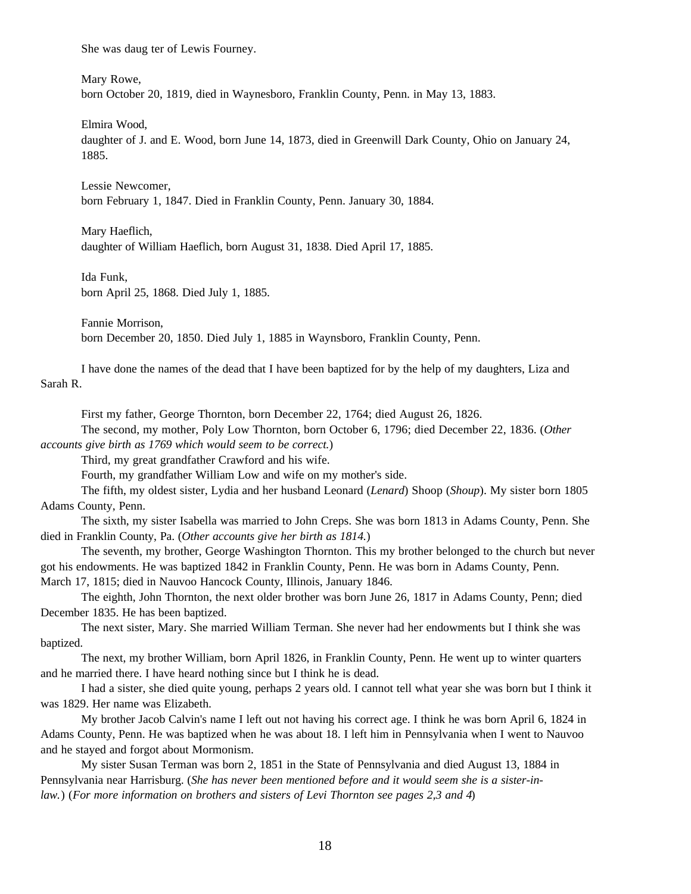She was daug ter of Lewis Fourney.

Mary Rowe,

born October 20, 1819, died in Waynesboro, Franklin County, Penn. in May 13, 1883.

Elmira Wood,

daughter of J. and E. Wood, born June 14, 1873, died in Greenwill Dark County, Ohio on January 24, 1885.

Lessie Newcomer, born February 1, 1847. Died in Franklin County, Penn. January 30, 1884.

Mary Haeflich, daughter of William Haeflich, born August 31, 1838. Died April 17, 1885.

Ida Funk, born April 25, 1868. Died July 1, 1885.

Fannie Morrison, born December 20, 1850. Died July 1, 1885 in Waynsboro, Franklin County, Penn.

I have done the names of the dead that I have been baptized for by the help of my daughters, Liza and Sarah R.

First my father, George Thornton, born December 22, 1764; died August 26, 1826.

The second, my mother, Poly Low Thornton, born October 6, 1796; died December 22, 1836. (*Other accounts give birth as 1769 which would seem to be correct.*)

Third, my great grandfather Crawford and his wife.

Fourth, my grandfather William Low and wife on my mother's side.

The fifth, my oldest sister, Lydia and her husband Leonard (*Lenard*) Shoop (*Shoup*). My sister born 1805 Adams County, Penn.

The sixth, my sister Isabella was married to John Creps. She was born 1813 in Adams County, Penn. She died in Franklin County, Pa. (*Other accounts give her birth as 1814.*)

The seventh, my brother, George Washington Thornton. This my brother belonged to the church but never got his endowments. He was baptized 1842 in Franklin County, Penn. He was born in Adams County, Penn. March 17, 1815; died in Nauvoo Hancock County, Illinois, January 1846.

The eighth, John Thornton, the next older brother was born June 26, 1817 in Adams County, Penn; died December 1835. He has been baptized.

The next sister, Mary. She married William Terman. She never had her endowments but I think she was baptized.

The next, my brother William, born April 1826, in Franklin County, Penn. He went up to winter quarters and he married there. I have heard nothing since but I think he is dead.

I had a sister, she died quite young, perhaps 2 years old. I cannot tell what year she was born but I think it was 1829. Her name was Elizabeth.

My brother Jacob Calvin's name I left out not having his correct age. I think he was born April 6, 1824 in Adams County, Penn. He was baptized when he was about 18. I left him in Pennsylvania when I went to Nauvoo and he stayed and forgot about Mormonism.

My sister Susan Terman was born 2, 1851 in the State of Pennsylvania and died August 13, 1884 in Pennsylvania near Harrisburg. (*She has never been mentioned before and it would seem she is a sister-inlaw.*) (*For more information on brothers and sisters of Levi Thornton see pages 2,3 and 4*)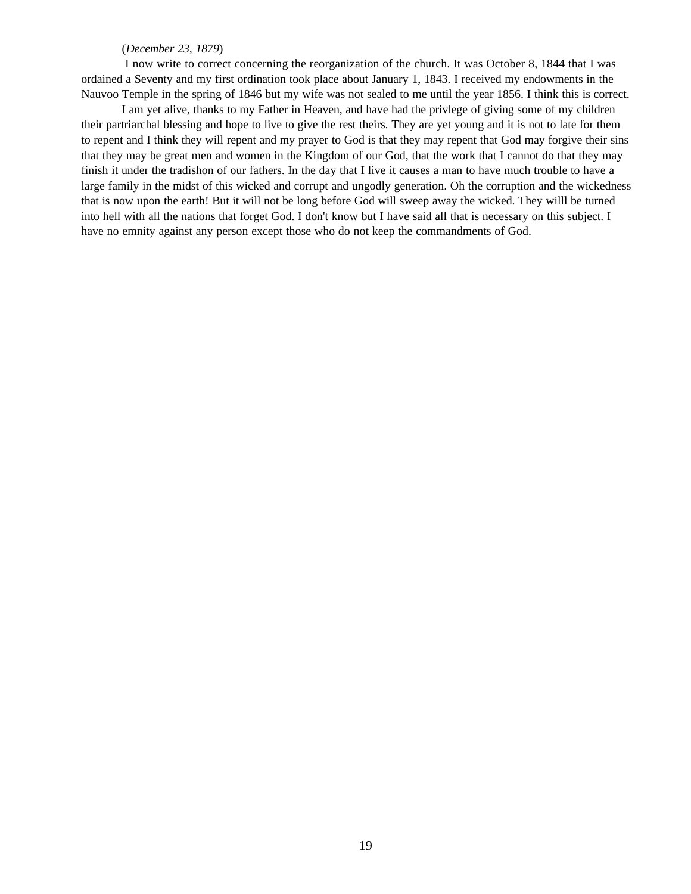#### (*December 23, 1879*)

 I now write to correct concerning the reorganization of the church. It was October 8, 1844 that I was ordained a Seventy and my first ordination took place about January 1, 1843. I received my endowments in the Nauvoo Temple in the spring of 1846 but my wife was not sealed to me until the year 1856. I think this is correct.

I am yet alive, thanks to my Father in Heaven, and have had the privlege of giving some of my children their partriarchal blessing and hope to live to give the rest theirs. They are yet young and it is not to late for them to repent and I think they will repent and my prayer to God is that they may repent that God may forgive their sins that they may be great men and women in the Kingdom of our God, that the work that I cannot do that they may finish it under the tradishon of our fathers. In the day that I live it causes a man to have much trouble to have a large family in the midst of this wicked and corrupt and ungodly generation. Oh the corruption and the wickedness that is now upon the earth! But it will not be long before God will sweep away the wicked. They willl be turned into hell with all the nations that forget God. I don't know but I have said all that is necessary on this subject. I have no emnity against any person except those who do not keep the commandments of God.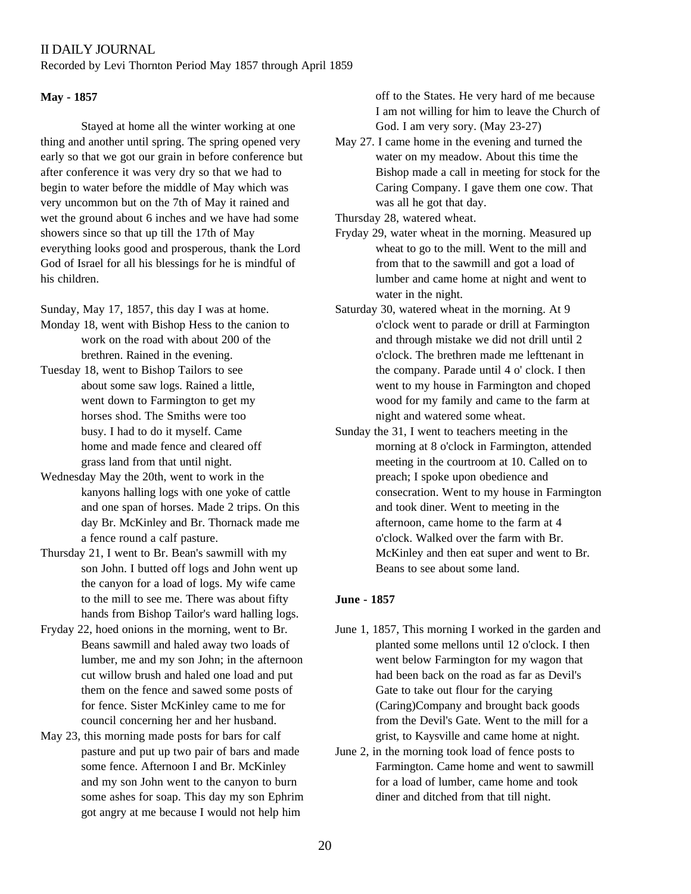# II DAILY JOURNAL

Recorded by Levi Thornton Period May 1857 through April 1859

## **May - 1857**

Stayed at home all the winter working at one thing and another until spring. The spring opened very early so that we got our grain in before conference but after conference it was very dry so that we had to begin to water before the middle of May which was very uncommon but on the 7th of May it rained and wet the ground about 6 inches and we have had some showers since so that up till the 17th of May everything looks good and prosperous, thank the Lord God of Israel for all his blessings for he is mindful of his children.

Sunday, May 17, 1857, this day I was at home.

- Monday 18, went with Bishop Hess to the canion to work on the road with about 200 of the brethren. Rained in the evening.
- Tuesday 18, went to Bishop Tailors to see about some saw logs. Rained a little, went down to Farmington to get my horses shod. The Smiths were too busy. I had to do it myself. Came home and made fence and cleared off grass land from that until night.
- Wednesday May the 20th, went to work in the kanyons halling logs with one yoke of cattle and one span of horses. Made 2 trips. On this day Br. McKinley and Br. Thornack made me a fence round a calf pasture.
- Thursday 21, I went to Br. Bean's sawmill with my son John. I butted off logs and John went up the canyon for a load of logs. My wife came to the mill to see me. There was about fifty hands from Bishop Tailor's ward halling logs.
- Fryday 22, hoed onions in the morning, went to Br. Beans sawmill and haled away two loads of lumber, me and my son John; in the afternoon cut willow brush and haled one load and put them on the fence and sawed some posts of for fence. Sister McKinley came to me for council concerning her and her husband.
- May 23, this morning made posts for bars for calf pasture and put up two pair of bars and made some fence. Afternoon I and Br. McKinley and my son John went to the canyon to burn some ashes for soap. This day my son Ephrim got angry at me because I would not help him

off to the States. He very hard of me because I am not willing for him to leave the Church of God. I am very sory. (May 23-27)

May 27. I came home in the evening and turned the water on my meadow. About this time the Bishop made a call in meeting for stock for the Caring Company. I gave them one cow. That was all he got that day.

Thursday 28, watered wheat.

- Fryday 29, water wheat in the morning. Measured up wheat to go to the mill. Went to the mill and from that to the sawmill and got a load of lumber and came home at night and went to water in the night.
- Saturday 30, watered wheat in the morning. At 9 o'clock went to parade or drill at Farmington and through mistake we did not drill until 2 o'clock. The brethren made me lefttenant in the company. Parade until 4 o' clock. I then went to my house in Farmington and choped wood for my family and came to the farm at night and watered some wheat.
- Sunday the 31, I went to teachers meeting in the morning at 8 o'clock in Farmington, attended meeting in the courtroom at 10. Called on to preach; I spoke upon obedience and consecration. Went to my house in Farmington and took diner. Went to meeting in the afternoon, came home to the farm at 4 o'clock. Walked over the farm with Br. McKinley and then eat super and went to Br. Beans to see about some land.

## **June - 1857**

- June 1, 1857, This morning I worked in the garden and planted some mellons until 12 o'clock. I then went below Farmington for my wagon that had been back on the road as far as Devil's Gate to take out flour for the carying (Caring)Company and brought back goods from the Devil's Gate. Went to the mill for a grist, to Kaysville and came home at night.
- June 2, in the morning took load of fence posts to Farmington. Came home and went to sawmill for a load of lumber, came home and took diner and ditched from that till night.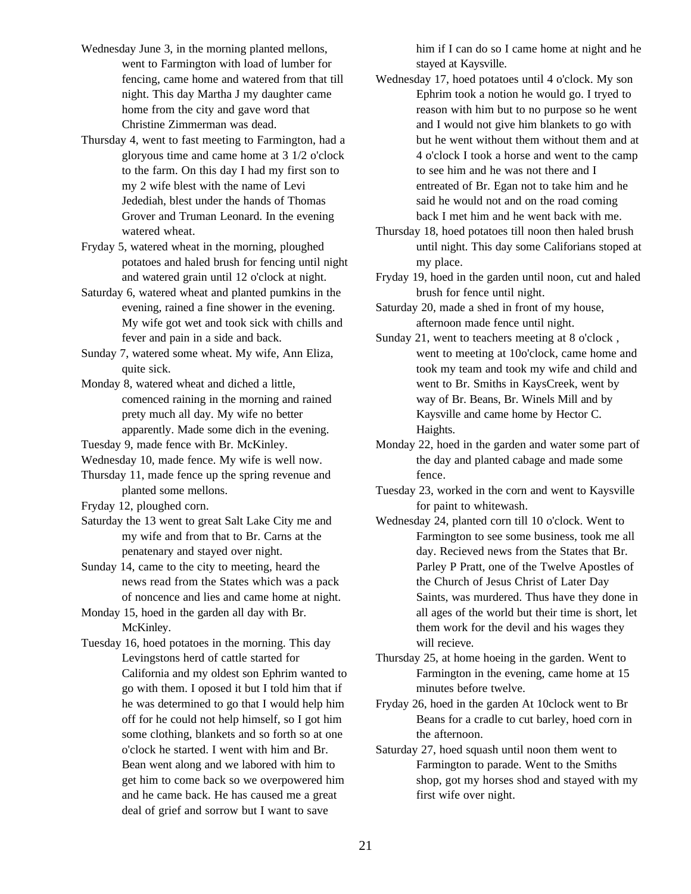- Wednesday June 3, in the morning planted mellons, went to Farmington with load of lumber for fencing, came home and watered from that till night. This day Martha J my daughter came home from the city and gave word that Christine Zimmerman was dead.
- Thursday 4, went to fast meeting to Farmington, had a gloryous time and came home at 3 1/2 o'clock to the farm. On this day I had my first son to my 2 wife blest with the name of Levi Jedediah, blest under the hands of Thomas Grover and Truman Leonard. In the evening watered wheat.
- Fryday 5, watered wheat in the morning, ploughed potatoes and haled brush for fencing until night and watered grain until 12 o'clock at night.
- Saturday 6, watered wheat and planted pumkins in the evening, rained a fine shower in the evening. My wife got wet and took sick with chills and fever and pain in a side and back.
- Sunday 7, watered some wheat. My wife, Ann Eliza, quite sick.
- Monday 8, watered wheat and diched a little, comenced raining in the morning and rained prety much all day. My wife no better apparently. Made some dich in the evening.
- Tuesday 9, made fence with Br. McKinley.
- Wednesday 10, made fence. My wife is well now.
- Thursday 11, made fence up the spring revenue and planted some mellons.
- Fryday 12, ploughed corn.
- Saturday the 13 went to great Salt Lake City me and my wife and from that to Br. Carns at the penatenary and stayed over night.
- Sunday 14, came to the city to meeting, heard the news read from the States which was a pack of noncence and lies and came home at night.
- Monday 15, hoed in the garden all day with Br. McKinley.
- Tuesday 16, hoed potatoes in the morning. This day Levingstons herd of cattle started for California and my oldest son Ephrim wanted to go with them. I oposed it but I told him that if he was determined to go that I would help him off for he could not help himself, so I got him some clothing, blankets and so forth so at one o'clock he started. I went with him and Br. Bean went along and we labored with him to get him to come back so we overpowered him and he came back. He has caused me a great deal of grief and sorrow but I want to save

him if I can do so I came home at night and he stayed at Kaysville.

- Wednesday 17, hoed potatoes until 4 o'clock. My son Ephrim took a notion he would go. I tryed to reason with him but to no purpose so he went and I would not give him blankets to go with but he went without them without them and at 4 o'clock I took a horse and went to the camp to see him and he was not there and I entreated of Br. Egan not to take him and he said he would not and on the road coming back I met him and he went back with me.
- Thursday 18, hoed potatoes till noon then haled brush until night. This day some Califorians stoped at my place.
- Fryday 19, hoed in the garden until noon, cut and haled brush for fence until night.
- Saturday 20, made a shed in front of my house, afternoon made fence until night.
- Sunday 21, went to teachers meeting at 8 o'clock , went to meeting at 10o'clock, came home and took my team and took my wife and child and went to Br. Smiths in KaysCreek, went by way of Br. Beans, Br. Winels Mill and by Kaysville and came home by Hector C. Haights.
- Monday 22, hoed in the garden and water some part of the day and planted cabage and made some fence.
- Tuesday 23, worked in the corn and went to Kaysville for paint to whitewash.
- Wednesday 24, planted corn till 10 o'clock. Went to Farmington to see some business, took me all day. Recieved news from the States that Br. Parley P Pratt, one of the Twelve Apostles of the Church of Jesus Christ of Later Day Saints, was murdered. Thus have they done in all ages of the world but their time is short, let them work for the devil and his wages they will recieve.
- Thursday 25, at home hoeing in the garden. Went to Farmington in the evening, came home at 15 minutes before twelve.
- Fryday 26, hoed in the garden At 10clock went to Br Beans for a cradle to cut barley, hoed corn in the afternoon.
- Saturday 27, hoed squash until noon them went to Farmington to parade. Went to the Smiths shop, got my horses shod and stayed with my first wife over night.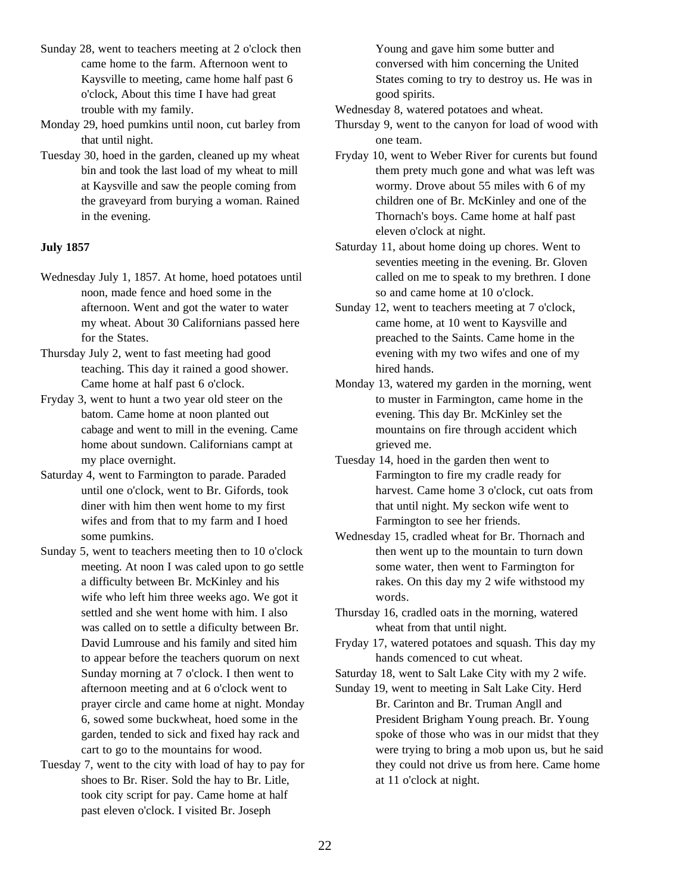- Sunday 28, went to teachers meeting at 2 o'clock then came home to the farm. Afternoon went to Kaysville to meeting, came home half past 6 o'clock, About this time I have had great trouble with my family.
- Monday 29, hoed pumkins until noon, cut barley from that until night.
- Tuesday 30, hoed in the garden, cleaned up my wheat bin and took the last load of my wheat to mill at Kaysville and saw the people coming from the graveyard from burying a woman. Rained in the evening.

## **July 1857**

- Wednesday July 1, 1857. At home, hoed potatoes until noon, made fence and hoed some in the afternoon. Went and got the water to water my wheat. About 30 Californians passed here for the States.
- Thursday July 2, went to fast meeting had good teaching. This day it rained a good shower. Came home at half past 6 o'clock.
- Fryday 3, went to hunt a two year old steer on the batom. Came home at noon planted out cabage and went to mill in the evening. Came home about sundown. Californians campt at my place overnight.
- Saturday 4, went to Farmington to parade. Paraded until one o'clock, went to Br. Gifords, took diner with him then went home to my first wifes and from that to my farm and I hoed some pumkins.
- Sunday 5, went to teachers meeting then to 10 o'clock meeting. At noon I was caled upon to go settle a difficulty between Br. McKinley and his wife who left him three weeks ago. We got it settled and she went home with him. I also was called on to settle a dificulty between Br. David Lumrouse and his family and sited him to appear before the teachers quorum on next Sunday morning at 7 o'clock. I then went to afternoon meeting and at 6 o'clock went to prayer circle and came home at night. Monday 6, sowed some buckwheat, hoed some in the garden, tended to sick and fixed hay rack and cart to go to the mountains for wood.
- Tuesday 7, went to the city with load of hay to pay for shoes to Br. Riser. Sold the hay to Br. Litle, took city script for pay. Came home at half past eleven o'clock. I visited Br. Joseph

Young and gave him some butter and conversed with him concerning the United States coming to try to destroy us. He was in good spirits.

Wednesday 8, watered potatoes and wheat.

Thursday 9, went to the canyon for load of wood with one team.

- Fryday 10, went to Weber River for curents but found them prety much gone and what was left was wormy. Drove about 55 miles with 6 of my children one of Br. McKinley and one of the Thornach's boys. Came home at half past eleven o'clock at night.
- Saturday 11, about home doing up chores. Went to seventies meeting in the evening. Br. Gloven called on me to speak to my brethren. I done so and came home at 10 o'clock.
- Sunday 12, went to teachers meeting at 7 o'clock, came home, at 10 went to Kaysville and preached to the Saints. Came home in the evening with my two wifes and one of my hired hands.
- Monday 13, watered my garden in the morning, went to muster in Farmington, came home in the evening. This day Br. McKinley set the mountains on fire through accident which grieved me.
- Tuesday 14, hoed in the garden then went to Farmington to fire my cradle ready for harvest. Came home 3 o'clock, cut oats from that until night. My seckon wife went to Farmington to see her friends.
- Wednesday 15, cradled wheat for Br. Thornach and then went up to the mountain to turn down some water, then went to Farmington for rakes. On this day my 2 wife withstood my words.
- Thursday 16, cradled oats in the morning, watered wheat from that until night.
- Fryday 17, watered potatoes and squash. This day my hands comenced to cut wheat.
- Saturday 18, went to Salt Lake City with my 2 wife.
- Sunday 19, went to meeting in Salt Lake City. Herd Br. Carinton and Br. Truman Angll and President Brigham Young preach. Br. Young spoke of those who was in our midst that they were trying to bring a mob upon us, but he said they could not drive us from here. Came home at 11 o'clock at night.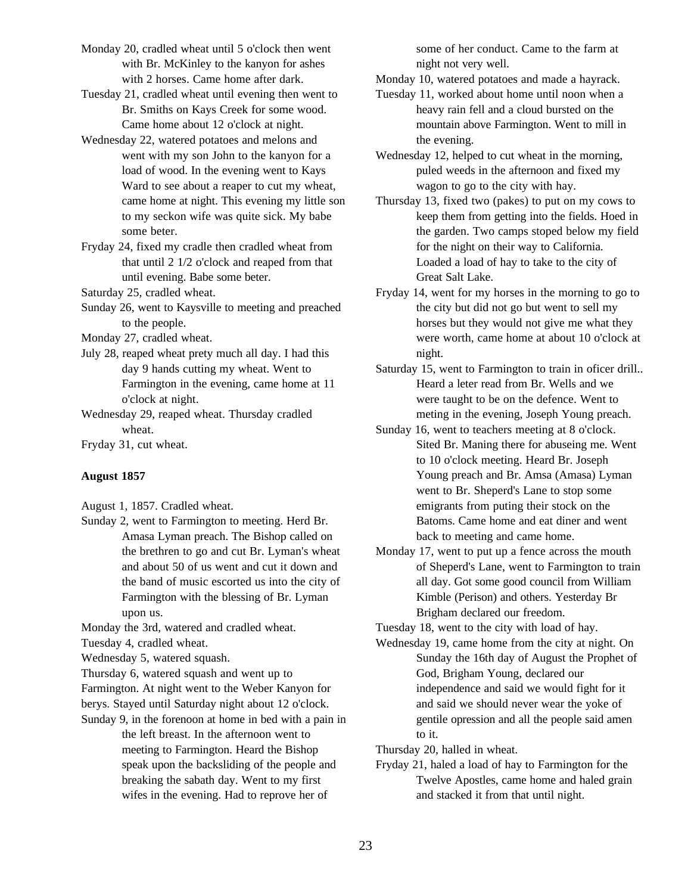Monday 20, cradled wheat until 5 o'clock then went with Br. McKinley to the kanyon for ashes with 2 horses. Came home after dark.

Tuesday 21, cradled wheat until evening then went to Br. Smiths on Kays Creek for some wood. Came home about 12 o'clock at night.

Wednesday 22, watered potatoes and melons and went with my son John to the kanyon for a load of wood. In the evening went to Kays Ward to see about a reaper to cut my wheat, came home at night. This evening my little son to my seckon wife was quite sick. My babe some beter.

Fryday 24, fixed my cradle then cradled wheat from that until 2 1/2 o'clock and reaped from that until evening. Babe some beter.

Saturday 25, cradled wheat.

Sunday 26, went to Kaysville to meeting and preached to the people.

Monday 27, cradled wheat.

July 28, reaped wheat prety much all day. I had this day 9 hands cutting my wheat. Went to Farmington in the evening, came home at 11 o'clock at night.

Wednesday 29, reaped wheat. Thursday cradled wheat.

Fryday 31, cut wheat.

#### **August 1857**

August 1, 1857. Cradled wheat.

Sunday 2, went to Farmington to meeting. Herd Br. Amasa Lyman preach. The Bishop called on the brethren to go and cut Br. Lyman's wheat and about 50 of us went and cut it down and the band of music escorted us into the city of Farmington with the blessing of Br. Lyman upon us.

Monday the 3rd, watered and cradled wheat.

Tuesday 4, cradled wheat.

Wednesday 5, watered squash.

Thursday 6, watered squash and went up to

Farmington. At night went to the Weber Kanyon for

- berys. Stayed until Saturday night about 12 o'clock.
- Sunday 9, in the forenoon at home in bed with a pain in the left breast. In the afternoon went to meeting to Farmington. Heard the Bishop speak upon the backsliding of the people and breaking the sabath day. Went to my first wifes in the evening. Had to reprove her of

some of her conduct. Came to the farm at night not very well.

Monday 10, watered potatoes and made a hayrack.

- Tuesday 11, worked about home until noon when a heavy rain fell and a cloud bursted on the mountain above Farmington. Went to mill in the evening.
- Wednesday 12, helped to cut wheat in the morning, puled weeds in the afternoon and fixed my wagon to go to the city with hay.
- Thursday 13, fixed two (pakes) to put on my cows to keep them from getting into the fields. Hoed in the garden. Two camps stoped below my field for the night on their way to California. Loaded a load of hay to take to the city of Great Salt Lake.
- Fryday 14, went for my horses in the morning to go to the city but did not go but went to sell my horses but they would not give me what they were worth, came home at about 10 o'clock at night.
- Saturday 15, went to Farmington to train in oficer drill.. Heard a leter read from Br. Wells and we were taught to be on the defence. Went to meting in the evening, Joseph Young preach.
- Sunday 16, went to teachers meeting at 8 o'clock. Sited Br. Maning there for abuseing me. Went to 10 o'clock meeting. Heard Br. Joseph Young preach and Br. Amsa (Amasa) Lyman went to Br. Sheperd's Lane to stop some emigrants from puting their stock on the Batoms. Came home and eat diner and went back to meeting and came home.
- Monday 17, went to put up a fence across the mouth of Sheperd's Lane, went to Farmington to train all day. Got some good council from William Kimble (Perison) and others. Yesterday Br Brigham declared our freedom.

Tuesday 18, went to the city with load of hay.

Wednesday 19, came home from the city at night. On Sunday the 16th day of August the Prophet of God, Brigham Young, declared our independence and said we would fight for it and said we should never wear the yoke of gentile opression and all the people said amen to it.

Thursday 20, halled in wheat.

Fryday 21, haled a load of hay to Farmington for the Twelve Apostles, came home and haled grain and stacked it from that until night.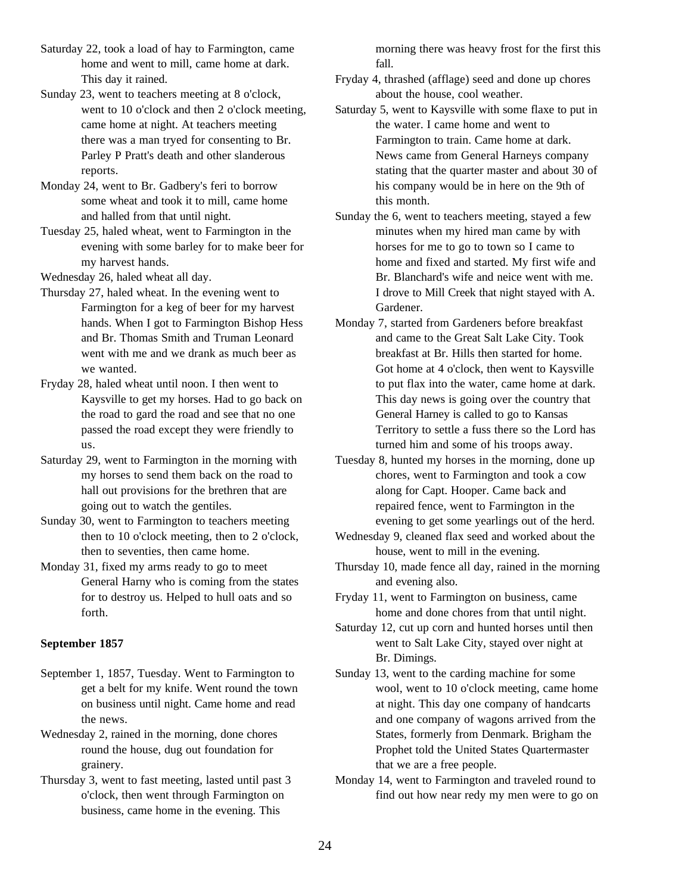Saturday 22, took a load of hay to Farmington, came home and went to mill, came home at dark. This day it rained.

- Sunday 23, went to teachers meeting at 8 o'clock, went to 10 o'clock and then 2 o'clock meeting, came home at night. At teachers meeting there was a man tryed for consenting to Br. Parley P Pratt's death and other slanderous reports.
- Monday 24, went to Br. Gadbery's feri to borrow some wheat and took it to mill, came home and halled from that until night.
- Tuesday 25, haled wheat, went to Farmington in the evening with some barley for to make beer for my harvest hands.

Wednesday 26, haled wheat all day.

- Thursday 27, haled wheat. In the evening went to Farmington for a keg of beer for my harvest hands. When I got to Farmington Bishop Hess and Br. Thomas Smith and Truman Leonard went with me and we drank as much beer as we wanted.
- Fryday 28, haled wheat until noon. I then went to Kaysville to get my horses. Had to go back on the road to gard the road and see that no one passed the road except they were friendly to us.
- Saturday 29, went to Farmington in the morning with my horses to send them back on the road to hall out provisions for the brethren that are going out to watch the gentiles.
- Sunday 30, went to Farmington to teachers meeting then to 10 o'clock meeting, then to 2 o'clock, then to seventies, then came home.
- Monday 31, fixed my arms ready to go to meet General Harny who is coming from the states for to destroy us. Helped to hull oats and so forth.

# **September 1857**

- September 1, 1857, Tuesday. Went to Farmington to get a belt for my knife. Went round the town on business until night. Came home and read the news.
- Wednesday 2, rained in the morning, done chores round the house, dug out foundation for grainery.
- Thursday 3, went to fast meeting, lasted until past 3 o'clock, then went through Farmington on business, came home in the evening. This

morning there was heavy frost for the first this fall.

Fryday 4, thrashed (afflage) seed and done up chores about the house, cool weather.

- Saturday 5, went to Kaysville with some flaxe to put in the water. I came home and went to Farmington to train. Came home at dark. News came from General Harneys company stating that the quarter master and about 30 of his company would be in here on the 9th of this month.
- Sunday the 6, went to teachers meeting, stayed a few minutes when my hired man came by with horses for me to go to town so I came to home and fixed and started. My first wife and Br. Blanchard's wife and neice went with me. I drove to Mill Creek that night stayed with A. Gardener.
- Monday 7, started from Gardeners before breakfast and came to the Great Salt Lake City. Took breakfast at Br. Hills then started for home. Got home at 4 o'clock, then went to Kaysville to put flax into the water, came home at dark. This day news is going over the country that General Harney is called to go to Kansas Territory to settle a fuss there so the Lord has turned him and some of his troops away.
- Tuesday 8, hunted my horses in the morning, done up chores, went to Farmington and took a cow along for Capt. Hooper. Came back and repaired fence, went to Farmington in the evening to get some yearlings out of the herd.
- Wednesday 9, cleaned flax seed and worked about the house, went to mill in the evening.
- Thursday 10, made fence all day, rained in the morning and evening also.
- Fryday 11, went to Farmington on business, came home and done chores from that until night.
- Saturday 12, cut up corn and hunted horses until then went to Salt Lake City, stayed over night at Br. Dimings.
- Sunday 13, went to the carding machine for some wool, went to 10 o'clock meeting, came home at night. This day one company of handcarts and one company of wagons arrived from the States, formerly from Denmark. Brigham the Prophet told the United States Quartermaster that we are a free people.
- Monday 14, went to Farmington and traveled round to find out how near redy my men were to go on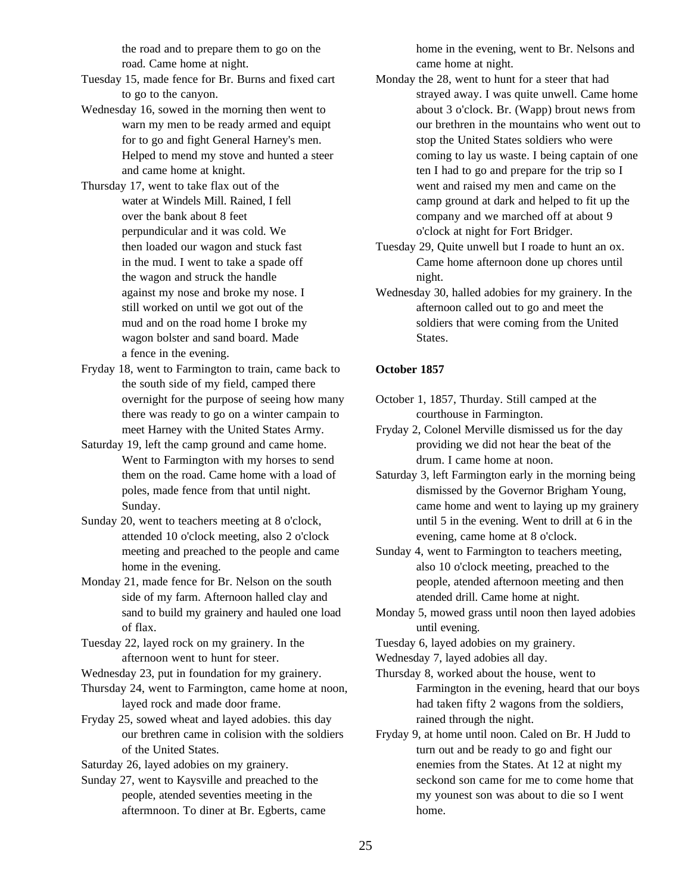the road and to prepare them to go on the road. Came home at night.

Tuesday 15, made fence for Br. Burns and fixed cart to go to the canyon.

- Wednesday 16, sowed in the morning then went to warn my men to be ready armed and equipt for to go and fight General Harney's men. Helped to mend my stove and hunted a steer and came home at knight.
- Thursday 17, went to take flax out of the water at Windels Mill. Rained, I fell over the bank about 8 feet perpundicular and it was cold. We then loaded our wagon and stuck fast in the mud. I went to take a spade off the wagon and struck the handle against my nose and broke my nose. I still worked on until we got out of the mud and on the road home I broke my wagon bolster and sand board. Made a fence in the evening.
- Fryday 18, went to Farmington to train, came back to the south side of my field, camped there overnight for the purpose of seeing how many there was ready to go on a winter campain to meet Harney with the United States Army.
- Saturday 19, left the camp ground and came home. Went to Farmington with my horses to send them on the road. Came home with a load of poles, made fence from that until night. Sunday.
- Sunday 20, went to teachers meeting at 8 o'clock, attended 10 o'clock meeting, also 2 o'clock meeting and preached to the people and came home in the evening.
- Monday 21, made fence for Br. Nelson on the south side of my farm. Afternoon halled clay and sand to build my grainery and hauled one load of flax.

Tuesday 22, layed rock on my grainery. In the afternoon went to hunt for steer.

Wednesday 23, put in foundation for my grainery.

- Thursday 24, went to Farmington, came home at noon, layed rock and made door frame.
- Fryday 25, sowed wheat and layed adobies. this day our brethren came in colision with the soldiers of the United States.

Saturday 26, layed adobies on my grainery.

Sunday 27, went to Kaysville and preached to the people, atended seventies meeting in the aftermnoon. To diner at Br. Egberts, came home in the evening, went to Br. Nelsons and came home at night.

- Monday the 28, went to hunt for a steer that had strayed away. I was quite unwell. Came home about 3 o'clock. Br. (Wapp) brout news from our brethren in the mountains who went out to stop the United States soldiers who were coming to lay us waste. I being captain of one ten I had to go and prepare for the trip so I went and raised my men and came on the camp ground at dark and helped to fit up the company and we marched off at about 9 o'clock at night for Fort Bridger.
- Tuesday 29, Quite unwell but I roade to hunt an ox. Came home afternoon done up chores until night.
- Wednesday 30, halled adobies for my grainery. In the afternoon called out to go and meet the soldiers that were coming from the United States.

# **October 1857**

- October 1, 1857, Thurday. Still camped at the courthouse in Farmington.
- Fryday 2, Colonel Merville dismissed us for the day providing we did not hear the beat of the drum. I came home at noon.
- Saturday 3, left Farmington early in the morning being dismissed by the Governor Brigham Young, came home and went to laying up my grainery until 5 in the evening. Went to drill at 6 in the evening, came home at 8 o'clock.
- Sunday 4, went to Farmington to teachers meeting, also 10 o'clock meeting, preached to the people, atended afternoon meeting and then atended drill. Came home at night.
- Monday 5, mowed grass until noon then layed adobies until evening.

Tuesday 6, layed adobies on my grainery.

Wednesday 7, layed adobies all day.

Thursday 8, worked about the house, went to Farmington in the evening, heard that our boys had taken fifty 2 wagons from the soldiers, rained through the night.

Fryday 9, at home until noon. Caled on Br. H Judd to turn out and be ready to go and fight our enemies from the States. At 12 at night my seckond son came for me to come home that my younest son was about to die so I went home.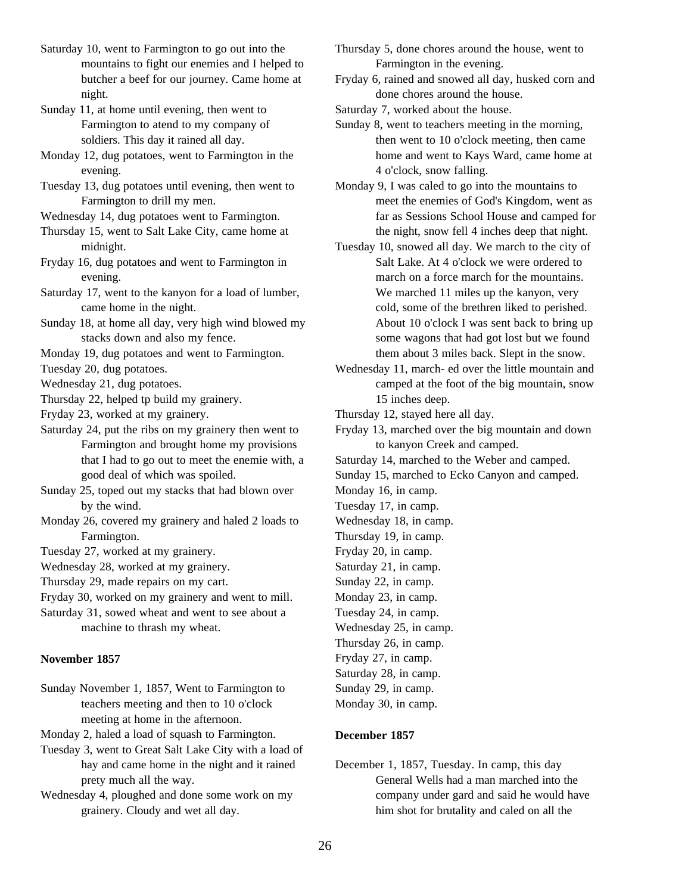- Saturday 10, went to Farmington to go out into the mountains to fight our enemies and I helped to butcher a beef for our journey. Came home at night.
- Sunday 11, at home until evening, then went to Farmington to atend to my company of soldiers. This day it rained all day.
- Monday 12, dug potatoes, went to Farmington in the evening.
- Tuesday 13, dug potatoes until evening, then went to Farmington to drill my men.
- Wednesday 14, dug potatoes went to Farmington.
- Thursday 15, went to Salt Lake City, came home at midnight.
- Fryday 16, dug potatoes and went to Farmington in evening.
- Saturday 17, went to the kanyon for a load of lumber, came home in the night.
- Sunday 18, at home all day, very high wind blowed my stacks down and also my fence.
- Monday 19, dug potatoes and went to Farmington.

Tuesday 20, dug potatoes.

- Wednesday 21, dug potatoes.
- Thursday 22, helped tp build my grainery.
- Fryday 23, worked at my grainery.
- Saturday 24, put the ribs on my grainery then went to Farmington and brought home my provisions that I had to go out to meet the enemie with, a good deal of which was spoiled.
- Sunday 25, toped out my stacks that had blown over by the wind.
- Monday 26, covered my grainery and haled 2 loads to Farmington.
- Tuesday 27, worked at my grainery.
- Wednesday 28, worked at my grainery.
- Thursday 29, made repairs on my cart.
- Fryday 30, worked on my grainery and went to mill.
- Saturday 31, sowed wheat and went to see about a machine to thrash my wheat.

## **November 1857**

- Sunday November 1, 1857, Went to Farmington to teachers meeting and then to 10 o'clock meeting at home in the afternoon.
- Monday 2, haled a load of squash to Farmington.
- Tuesday 3, went to Great Salt Lake City with a load of hay and came home in the night and it rained prety much all the way.
- Wednesday 4, ploughed and done some work on my grainery. Cloudy and wet all day.
- Thursday 5, done chores around the house, went to Farmington in the evening.
- Fryday 6, rained and snowed all day, husked corn and done chores around the house.

Saturday 7, worked about the house.

- Sunday 8, went to teachers meeting in the morning, then went to 10 o'clock meeting, then came home and went to Kays Ward, came home at 4 o'clock, snow falling.
- Monday 9, I was caled to go into the mountains to meet the enemies of God's Kingdom, went as far as Sessions School House and camped for the night, snow fell 4 inches deep that night.
- Tuesday 10, snowed all day. We march to the city of Salt Lake. At 4 o'clock we were ordered to march on a force march for the mountains. We marched 11 miles up the kanyon, very cold, some of the brethren liked to perished. About 10 o'clock I was sent back to bring up some wagons that had got lost but we found them about 3 miles back. Slept in the snow.
- Wednesday 11, march- ed over the little mountain and camped at the foot of the big mountain, snow 15 inches deep.
- Thursday 12, stayed here all day.
- Fryday 13, marched over the big mountain and down to kanyon Creek and camped.
- Saturday 14, marched to the Weber and camped.
- Sunday 15, marched to Ecko Canyon and camped.
- Monday 16, in camp.
- Tuesday 17, in camp.
- Wednesday 18, in camp.
- Thursday 19, in camp. Fryday 20, in camp.
- Saturday 21, in camp.
- Sunday 22, in camp.
- Monday 23, in camp.
- Tuesday 24, in camp.
- Wednesday 25, in camp.
- Thursday 26, in camp.
- Fryday 27, in camp.
- Saturday 28, in camp. Sunday 29, in camp.
- Monday 30, in camp.

## **December 1857**

December 1, 1857, Tuesday. In camp, this day General Wells had a man marched into the company under gard and said he would have him shot for brutality and caled on all the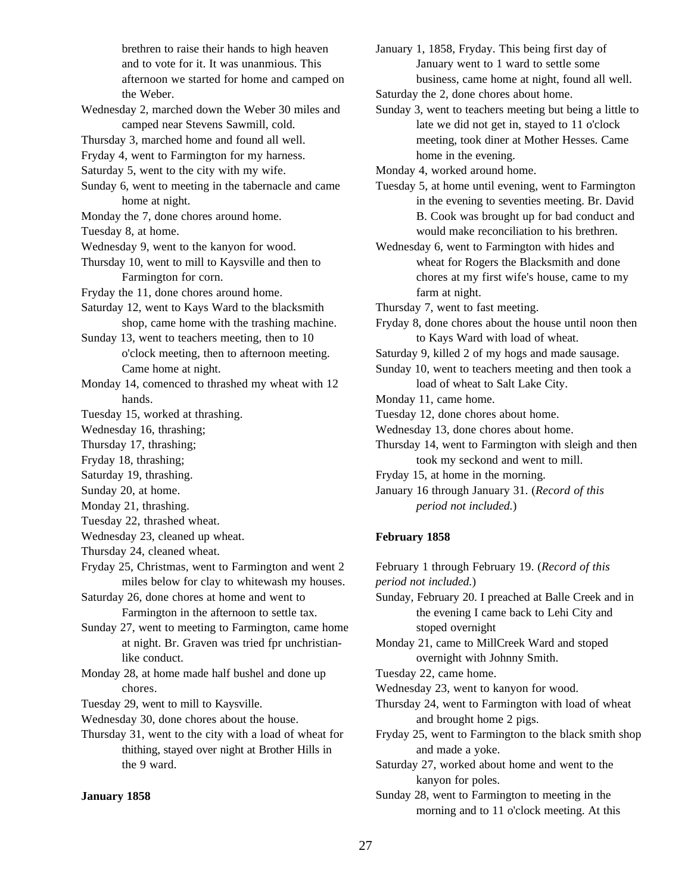brethren to raise their hands to high heaven and to vote for it. It was unanmious. This afternoon we started for home and camped on the Weber. Wednesday 2, marched down the Weber 30 miles and camped near Stevens Sawmill, cold. Thursday 3, marched home and found all well. Fryday 4, went to Farmington for my harness. Saturday 5, went to the city with my wife. Sunday 6, went to meeting in the tabernacle and came home at night. Monday the 7, done chores around home. Tuesday 8, at home. Wednesday 9, went to the kanyon for wood. Thursday 10, went to mill to Kaysville and then to Farmington for corn. Fryday the 11, done chores around home. Saturday 12, went to Kays Ward to the blacksmith shop, came home with the trashing machine. Sunday 13, went to teachers meeting, then to 10 o'clock meeting, then to afternoon meeting. Came home at night. Monday 14, comenced to thrashed my wheat with 12 hands. Tuesday 15, worked at thrashing. Wednesday 16, thrashing; Thursday 17, thrashing; Fryday 18, thrashing; Saturday 19, thrashing. Sunday 20, at home. Monday 21, thrashing. Tuesday 22, thrashed wheat. Wednesday 23, cleaned up wheat. Thursday 24, cleaned wheat. Fryday 25, Christmas, went to Farmington and went 2 miles below for clay to whitewash my houses. Saturday 26, done chores at home and went to Farmington in the afternoon to settle tax. Sunday 27, went to meeting to Farmington, came home at night. Br. Graven was tried fpr unchristianlike conduct. Monday 28, at home made half bushel and done up chores. Tuesday 29, went to mill to Kaysville. Wednesday 30, done chores about the house. Thursday 31, went to the city with a load of wheat for thithing, stayed over night at Brother Hills in the 9 ward.

## **January 1858**

January 1, 1858, Fryday. This being first day of January went to 1 ward to settle some business, came home at night, found all well.

Saturday the 2, done chores about home.

Sunday 3, went to teachers meeting but being a little to late we did not get in, stayed to 11 o'clock meeting, took diner at Mother Hesses. Came home in the evening.

Monday 4, worked around home.

Tuesday 5, at home until evening, went to Farmington in the evening to seventies meeting. Br. David B. Cook was brought up for bad conduct and would make reconciliation to his brethren.

Wednesday 6, went to Farmington with hides and wheat for Rogers the Blacksmith and done chores at my first wife's house, came to my farm at night.

Thursday 7, went to fast meeting.

Fryday 8, done chores about the house until noon then to Kays Ward with load of wheat.

Saturday 9, killed 2 of my hogs and made sausage.

Sunday 10, went to teachers meeting and then took a load of wheat to Salt Lake City.

Monday 11, came home.

- Tuesday 12, done chores about home.
- Wednesday 13, done chores about home.
- Thursday 14, went to Farmington with sleigh and then took my seckond and went to mill.
- Fryday 15, at home in the morning.

January 16 through January 31. (*Record of this period not included.*)

## **February 1858**

February 1 through February 19. (*Record of this period not included.*)

Sunday, February 20. I preached at Balle Creek and in the evening I came back to Lehi City and stoped overnight

Monday 21, came to MillCreek Ward and stoped overnight with Johnny Smith.

Tuesday 22, came home.

Wednesday 23, went to kanyon for wood.

Thursday 24, went to Farmington with load of wheat and brought home 2 pigs.

Fryday 25, went to Farmington to the black smith shop and made a yoke.

Saturday 27, worked about home and went to the kanyon for poles.

Sunday 28, went to Farmington to meeting in the morning and to 11 o'clock meeting. At this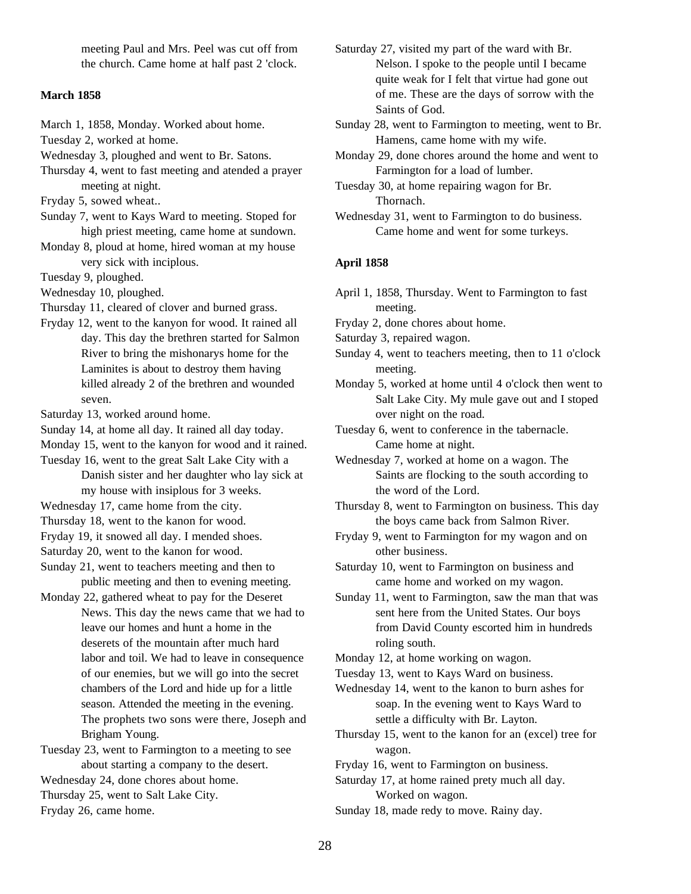meeting Paul and Mrs. Peel was cut off from the church. Came home at half past 2 'clock.

## **March 1858**

- March 1, 1858, Monday. Worked about home.
- Tuesday 2, worked at home.
- Wednesday 3, ploughed and went to Br. Satons.
- Thursday 4, went to fast meeting and atended a prayer meeting at night.
- Fryday 5, sowed wheat..
- Sunday 7, went to Kays Ward to meeting. Stoped for high priest meeting, came home at sundown.
- Monday 8, ploud at home, hired woman at my house very sick with inciplous.
- Tuesday 9, ploughed.
- Wednesday 10, ploughed.
- Thursday 11, cleared of clover and burned grass.
- Fryday 12, went to the kanyon for wood. It rained all day. This day the brethren started for Salmon River to bring the mishonarys home for the Laminites is about to destroy them having killed already 2 of the brethren and wounded seven.
- Saturday 13, worked around home.
- Sunday 14, at home all day. It rained all day today.

Monday 15, went to the kanyon for wood and it rained.

- Tuesday 16, went to the great Salt Lake City with a
	- Danish sister and her daughter who lay sick at my house with insiplous for 3 weeks.
- Wednesday 17, came home from the city.
- Thursday 18, went to the kanon for wood.
- Fryday 19, it snowed all day. I mended shoes.
- Saturday 20, went to the kanon for wood.
- Sunday 21, went to teachers meeting and then to public meeting and then to evening meeting.
- Monday 22, gathered wheat to pay for the Deseret News. This day the news came that we had to leave our homes and hunt a home in the deserets of the mountain after much hard labor and toil. We had to leave in consequence of our enemies, but we will go into the secret chambers of the Lord and hide up for a little season. Attended the meeting in the evening. The prophets two sons were there, Joseph and Brigham Young.

Tuesday 23, went to Farmington to a meeting to see about starting a company to the desert. Wednesday 24, done chores about home. Thursday 25, went to Salt Lake City.

Fryday 26, came home.

- Saturday 27, visited my part of the ward with Br. Nelson. I spoke to the people until I became quite weak for I felt that virtue had gone out of me. These are the days of sorrow with the Saints of God.
- Sunday 28, went to Farmington to meeting, went to Br. Hamens, came home with my wife.
- Monday 29, done chores around the home and went to Farmington for a load of lumber.
- Tuesday 30, at home repairing wagon for Br. Thornach.
- Wednesday 31, went to Farmington to do business. Came home and went for some turkeys.

## **April 1858**

- April 1, 1858, Thursday. Went to Farmington to fast meeting.
- Fryday 2, done chores about home.
- Saturday 3, repaired wagon.
- Sunday 4, went to teachers meeting, then to 11 o'clock meeting.
- Monday 5, worked at home until 4 o'clock then went to Salt Lake City. My mule gave out and I stoped over night on the road.
- Tuesday 6, went to conference in the tabernacle. Came home at night.
- Wednesday 7, worked at home on a wagon. The Saints are flocking to the south according to the word of the Lord.
- Thursday 8, went to Farmington on business. This day the boys came back from Salmon River.
- Fryday 9, went to Farmington for my wagon and on other business.
- Saturday 10, went to Farmington on business and came home and worked on my wagon.
- Sunday 11, went to Farmington, saw the man that was sent here from the United States. Our boys from David County escorted him in hundreds roling south.

Monday 12, at home working on wagon.

- Tuesday 13, went to Kays Ward on business.
- Wednesday 14, went to the kanon to burn ashes for soap. In the evening went to Kays Ward to settle a difficulty with Br. Layton.
- Thursday 15, went to the kanon for an (excel) tree for wagon.
- Fryday 16, went to Farmington on business.
- Saturday 17, at home rained prety much all day. Worked on wagon.
- Sunday 18, made redy to move. Rainy day.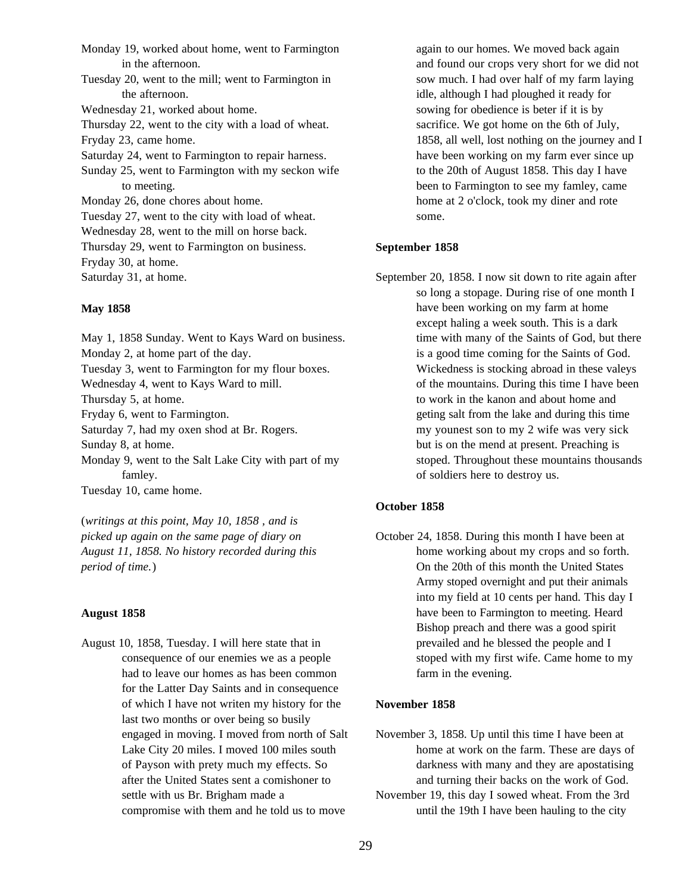Monday 19, worked about home, went to Farmington in the afternoon. Tuesday 20, went to the mill; went to Farmington in the afternoon. Wednesday 21, worked about home. Thursday 22, went to the city with a load of wheat. Fryday 23, came home. Saturday 24, went to Farmington to repair harness. Sunday 25, went to Farmington with my seckon wife to meeting. Monday 26, done chores about home. Tuesday 27, went to the city with load of wheat. Wednesday 28, went to the mill on horse back. Thursday 29, went to Farmington on business. Fryday 30, at home. Saturday 31, at home.

## **May 1858**

May 1, 1858 Sunday. Went to Kays Ward on business. Monday 2, at home part of the day. Tuesday 3, went to Farmington for my flour boxes. Wednesday 4, went to Kays Ward to mill. Thursday 5, at home. Fryday 6, went to Farmington. Saturday 7, had my oxen shod at Br. Rogers. Sunday 8, at home. Monday 9, went to the Salt Lake City with part of my famley. Tuesday 10, came home.

(*writings at this point, May 10, 1858 , and is picked up again on the same page of diary on August 11, 1858. No history recorded during this period of time.*)

#### **August 1858**

August 10, 1858, Tuesday. I will here state that in consequence of our enemies we as a people had to leave our homes as has been common for the Latter Day Saints and in consequence of which I have not writen my history for the last two months or over being so busily engaged in moving. I moved from north of Salt Lake City 20 miles. I moved 100 miles south of Payson with prety much my effects. So after the United States sent a comishoner to settle with us Br. Brigham made a compromise with them and he told us to move

again to our homes. We moved back again and found our crops very short for we did not sow much. I had over half of my farm laying idle, although I had ploughed it ready for sowing for obedience is beter if it is by sacrifice. We got home on the 6th of July, 1858, all well, lost nothing on the journey and I have been working on my farm ever since up to the 20th of August 1858. This day I have been to Farmington to see my famley, came home at 2 o'clock, took my diner and rote some.

#### **September 1858**

September 20, 1858. I now sit down to rite again after so long a stopage. During rise of one month I have been working on my farm at home except haling a week south. This is a dark time with many of the Saints of God, but there is a good time coming for the Saints of God. Wickedness is stocking abroad in these valeys of the mountains. During this time I have been to work in the kanon and about home and geting salt from the lake and during this time my younest son to my 2 wife was very sick but is on the mend at present. Preaching is stoped. Throughout these mountains thousands of soldiers here to destroy us.

## **October 1858**

October 24, 1858. During this month I have been at home working about my crops and so forth. On the 20th of this month the United States Army stoped overnight and put their animals into my field at 10 cents per hand. This day I have been to Farmington to meeting. Heard Bishop preach and there was a good spirit prevailed and he blessed the people and I stoped with my first wife. Came home to my farm in the evening.

## **November 1858**

- November 3, 1858. Up until this time I have been at home at work on the farm. These are days of darkness with many and they are apostatising and turning their backs on the work of God.
- November 19, this day I sowed wheat. From the 3rd until the 19th I have been hauling to the city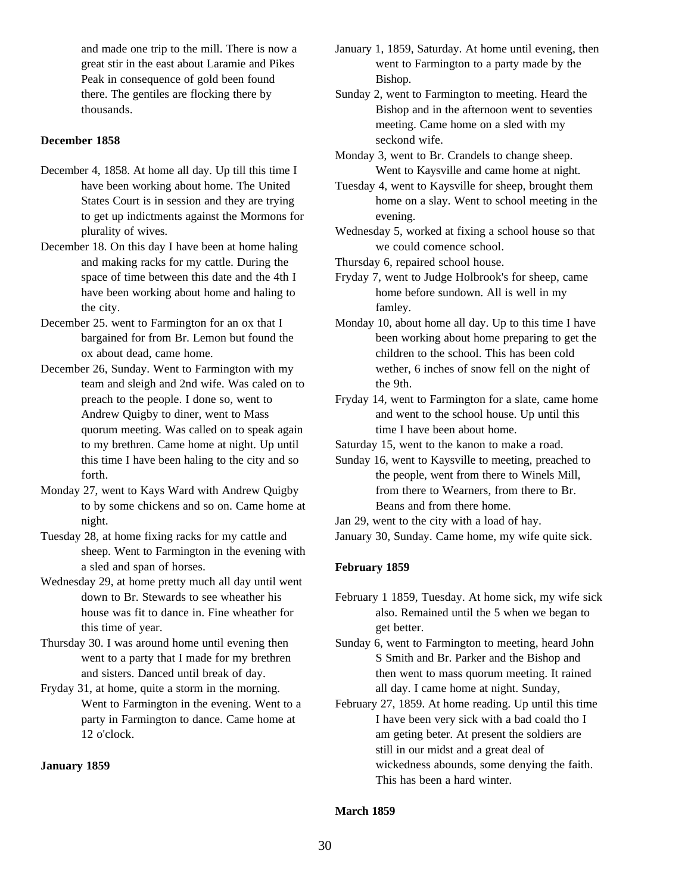and made one trip to the mill. There is now a great stir in the east about Laramie and Pikes Peak in consequence of gold been found there. The gentiles are flocking there by thousands.

## **December 1858**

- December 4, 1858. At home all day. Up till this time I have been working about home. The United States Court is in session and they are trying to get up indictments against the Mormons for plurality of wives.
- December 18. On this day I have been at home haling and making racks for my cattle. During the space of time between this date and the 4th I have been working about home and haling to the city.
- December 25. went to Farmington for an ox that I bargained for from Br. Lemon but found the ox about dead, came home.
- December 26, Sunday. Went to Farmington with my team and sleigh and 2nd wife. Was caled on to preach to the people. I done so, went to Andrew Quigby to diner, went to Mass quorum meeting. Was called on to speak again to my brethren. Came home at night. Up until this time I have been haling to the city and so forth.
- Monday 27, went to Kays Ward with Andrew Quigby to by some chickens and so on. Came home at night.
- Tuesday 28, at home fixing racks for my cattle and sheep. Went to Farmington in the evening with a sled and span of horses.
- Wednesday 29, at home pretty much all day until went down to Br. Stewards to see wheather his house was fit to dance in. Fine wheather for this time of year.
- Thursday 30. I was around home until evening then went to a party that I made for my brethren and sisters. Danced until break of day.
- Fryday 31, at home, quite a storm in the morning. Went to Farmington in the evening. Went to a party in Farmington to dance. Came home at 12 o'clock.

#### **January 1859**

- January 1, 1859, Saturday. At home until evening, then went to Farmington to a party made by the Bishop.
- Sunday 2, went to Farmington to meeting. Heard the Bishop and in the afternoon went to seventies meeting. Came home on a sled with my seckond wife.
- Monday 3, went to Br. Crandels to change sheep. Went to Kaysville and came home at night.
- Tuesday 4, went to Kaysville for sheep, brought them home on a slay. Went to school meeting in the evening.
- Wednesday 5, worked at fixing a school house so that we could comence school.
- Thursday 6, repaired school house.
- Fryday 7, went to Judge Holbrook's for sheep, came home before sundown. All is well in my famley.
- Monday 10, about home all day. Up to this time I have been working about home preparing to get the children to the school. This has been cold wether, 6 inches of snow fell on the night of the 9th.
- Fryday 14, went to Farmington for a slate, came home and went to the school house. Up until this time I have been about home.
- Saturday 15, went to the kanon to make a road.
- Sunday 16, went to Kaysville to meeting, preached to the people, went from there to Winels Mill, from there to Wearners, from there to Br. Beans and from there home.
- Jan 29, went to the city with a load of hay.
- January 30, Sunday. Came home, my wife quite sick.

#### **February 1859**

- February 1 1859, Tuesday. At home sick, my wife sick also. Remained until the 5 when we began to get better.
- Sunday 6, went to Farmington to meeting, heard John S Smith and Br. Parker and the Bishop and then went to mass quorum meeting. It rained all day. I came home at night. Sunday,
- February 27, 1859. At home reading. Up until this time I have been very sick with a bad coald tho I am geting beter. At present the soldiers are still in our midst and a great deal of wickedness abounds, some denying the faith. This has been a hard winter.

## **March 1859**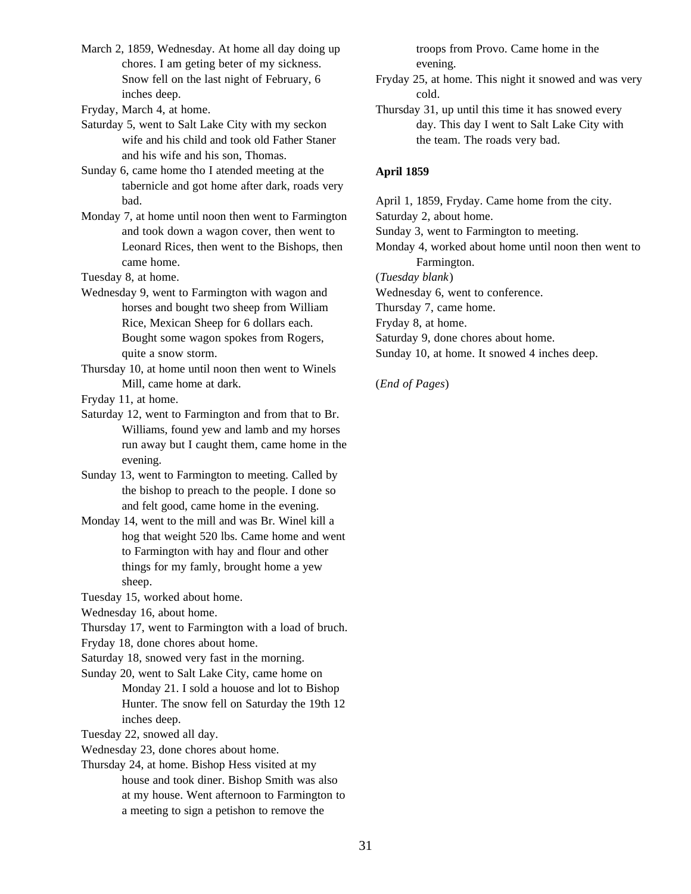March 2, 1859, Wednesday. At home all day doing up chores. I am geting beter of my sickness. Snow fell on the last night of February, 6 inches deep.

Fryday, March 4, at home.

Saturday 5, went to Salt Lake City with my seckon wife and his child and took old Father Staner and his wife and his son, Thomas.

Sunday 6, came home tho I atended meeting at the tabernicle and got home after dark, roads very bad.

Monday 7, at home until noon then went to Farmington and took down a wagon cover, then went to Leonard Rices, then went to the Bishops, then came home.

Tuesday 8, at home.

Wednesday 9, went to Farmington with wagon and horses and bought two sheep from William Rice, Mexican Sheep for 6 dollars each. Bought some wagon spokes from Rogers, quite a snow storm.

Thursday 10, at home until noon then went to Winels Mill, came home at dark.

Fryday 11, at home.

Saturday 12, went to Farmington and from that to Br. Williams, found yew and lamb and my horses run away but I caught them, came home in the evening.

Sunday 13, went to Farmington to meeting. Called by the bishop to preach to the people. I done so and felt good, came home in the evening.

Monday 14, went to the mill and was Br. Winel kill a hog that weight 520 lbs. Came home and went to Farmington with hay and flour and other things for my famly, brought home a yew sheep.

Tuesday 15, worked about home.

Wednesday 16, about home.

Thursday 17, went to Farmington with a load of bruch.

Fryday 18, done chores about home.

Saturday 18, snowed very fast in the morning.

Sunday 20, went to Salt Lake City, came home on Monday 21. I sold a houose and lot to Bishop Hunter. The snow fell on Saturday the 19th 12 inches deep.

Tuesday 22, snowed all day.

Wednesday 23, done chores about home.

Thursday 24, at home. Bishop Hess visited at my house and took diner. Bishop Smith was also at my house. Went afternoon to Farmington to a meeting to sign a petishon to remove the

troops from Provo. Came home in the evening.

Fryday 25, at home. This night it snowed and was very cold.

Thursday 31, up until this time it has snowed every day. This day I went to Salt Lake City with the team. The roads very bad.

## **April 1859**

April 1, 1859, Fryday. Came home from the city.

Saturday 2, about home.

Sunday 3, went to Farmington to meeting.

Monday 4, worked about home until noon then went to Farmington.

(*Tuesday blank*)

Wednesday 6, went to conference.

Thursday 7, came home.

Fryday 8, at home.

Saturday 9, done chores about home.

Sunday 10, at home. It snowed 4 inches deep.

(*End of Pages*)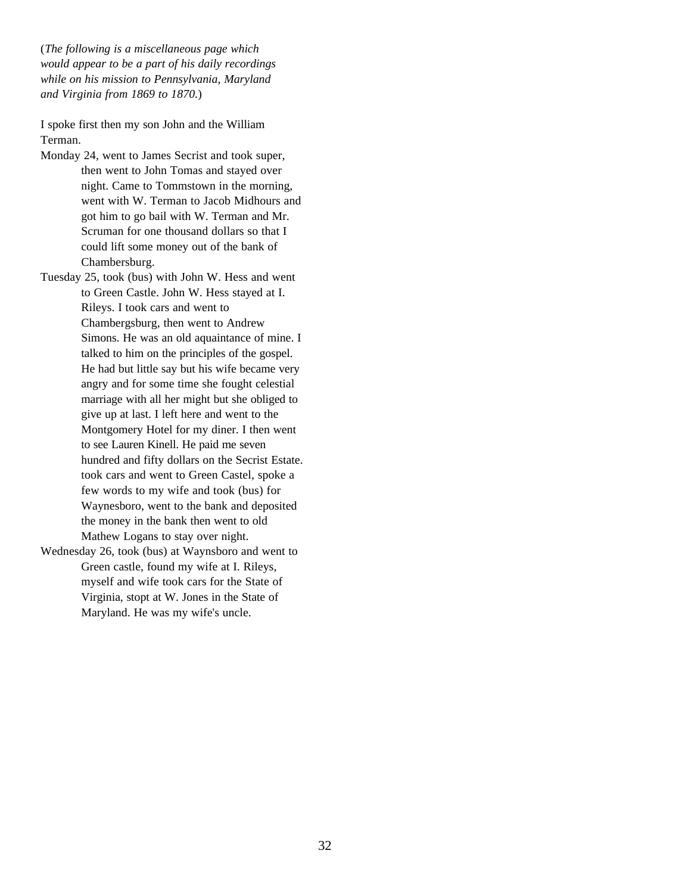(*The following is a miscellaneous page which would appear to be a part of his daily recordings while on his mission to Pennsylvania, Maryland and Virginia from 1869 to 1870.*)

I spoke first then my son John and the William Terman.

- Monday 24, went to James Secrist and took super, then went to John Tomas and stayed over night. Came to Tommstown in the morning, went with W. Terman to Jacob Midhours and got him to go bail with W. Terman and Mr. Scruman for one thousand dollars so that I could lift some money out of the bank of Chambersburg.
- Tuesday 25, took (bus) with John W. Hess and went to Green Castle. John W. Hess stayed at I. Rileys. I took cars and went to Chambergsburg, then went to Andrew Simons. He was an old aquaintance of mine. I talked to him on the principles of the gospel. He had but little say but his wife became very angry and for some time she fought celestial marriage with all her might but she obliged to give up at last. I left here and went to the Montgomery Hotel for my diner. I then went to see Lauren Kinell. He paid me seven hundred and fifty dollars on the Secrist Estate. took cars and went to Green Castel, spoke a few words to my wife and took (bus) for Waynesboro, went to the bank and deposited the money in the bank then went to old Mathew Logans to stay over night.
- Wednesday 26, took (bus) at Waynsboro and went to Green castle, found my wife at I. Rileys, myself and wife took cars for the State of Virginia, stopt at W. Jones in the State of Maryland. He was my wife's uncle.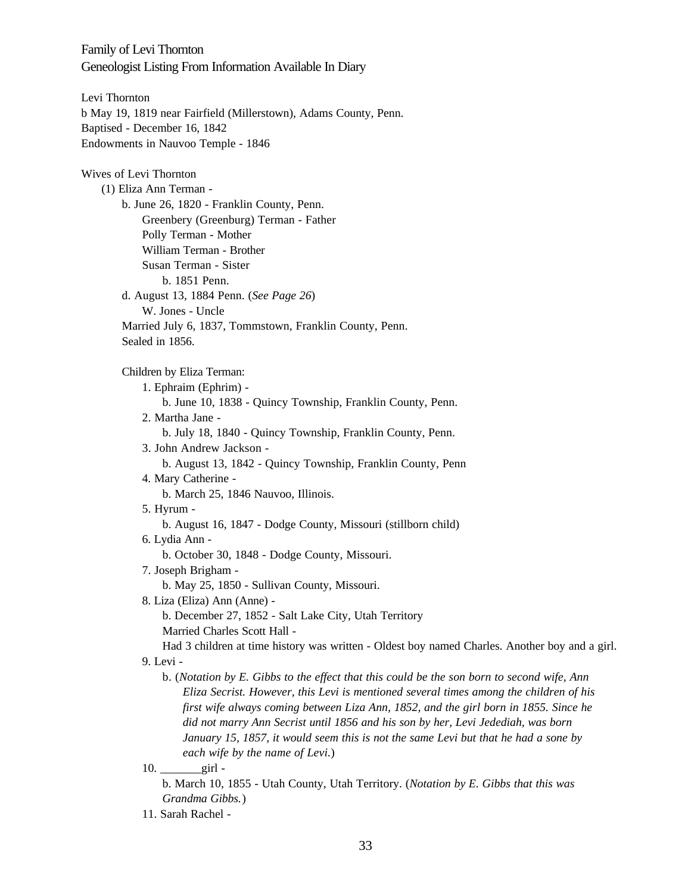Family of Levi Thornton Geneologist Listing From Information Available In Diary

Levi Thornton b May 19, 1819 near Fairfield (Millerstown), Adams County, Penn. Baptised - December 16, 1842 Endowments in Nauvoo Temple - 1846 Wives of Levi Thornton (1) Eliza Ann Terman b. June 26, 1820 - Franklin County, Penn. Greenbery (Greenburg) Terman - Father Polly Terman - Mother William Terman - Brother Susan Terman - Sister b. 1851 Penn. d. August 13, 1884 Penn. (*See Page 26*) W. Jones - Uncle Married July 6, 1837, Tommstown, Franklin County, Penn. Sealed in 1856. Children by Eliza Terman: 1. Ephraim (Ephrim) b. June 10, 1838 - Quincy Township, Franklin County, Penn. 2. Martha Jane b. July 18, 1840 - Quincy Township, Franklin County, Penn. 3. John Andrew Jackson b. August 13, 1842 - Quincy Township, Franklin County, Penn 4. Mary Catherine b. March 25, 1846 Nauvoo, Illinois. 5. Hyrum b. August 16, 1847 - Dodge County, Missouri (stillborn child) 6. Lydia Ann b. October 30, 1848 - Dodge County, Missouri. 7. Joseph Brigham b. May 25, 1850 - Sullivan County, Missouri. 8. Liza (Eliza) Ann (Anne) b. December 27, 1852 - Salt Lake City, Utah Territory Married Charles Scott Hall - Had 3 children at time history was written - Oldest boy named Charles. Another boy and a girl. 9. Levi b. (*Notation by E. Gibbs to the effect that this could be the son born to second wife, Ann Eliza Secrist. However, this Levi is mentioned several times among the children of his first wife always coming between Liza Ann, 1852, and the girl born in 1855. Since he did not marry Ann Secrist until 1856 and his son by her, Levi Jedediah, was born January 15, 1857, it would seem this is not the same Levi but that he had a sone by each wife by the name of Levi.*)  $10.$  girl b. March 10, 1855 - Utah County, Utah Territory. (*Notation by E. Gibbs that this was Grandma Gibbs.*) 11. Sarah Rachel -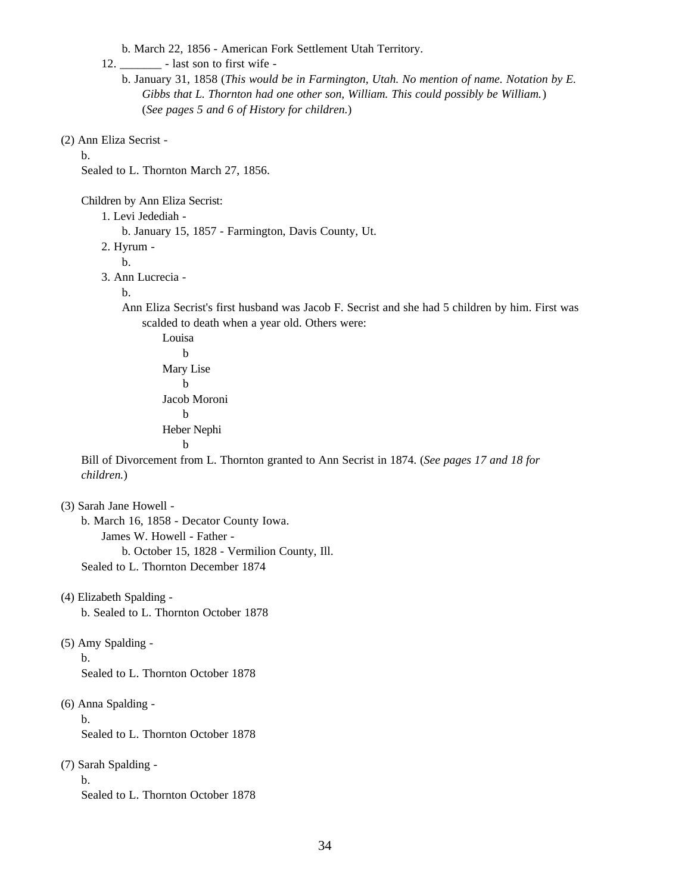b. March 22, 1856 - American Fork Settlement Utah Territory.

12. - last son to first wife -

b. January 31, 1858 (*This would be in Farmington, Utah. No mention of name. Notation by E. Gibbs that L. Thornton had one other son, William. This could possibly be William.*) (*See pages 5 and 6 of History for children.*)

(2) Ann Eliza Secrist -

b.

Sealed to L. Thornton March 27, 1856.

Children by Ann Eliza Secrist:

1. Levi Jedediah -

b. January 15, 1857 - Farmington, Davis County, Ut.

2. Hyrum -

b.

3. Ann Lucrecia -

#### b.

Ann Eliza Secrist's first husband was Jacob F. Secrist and she had 5 children by him. First was scalded to death when a year old. Others were:

Louisa b Mary Lise b Jacob Moroni b Heber Nephi b

Bill of Divorcement from L. Thornton granted to Ann Secrist in 1874. (*See pages 17 and 18 for children.*)

(3) Sarah Jane Howell -

b. March 16, 1858 - Decator County Iowa. James W. Howell - Father b. October 15, 1828 - Vermilion County, Ill. Sealed to L. Thornton December 1874

(4) Elizabeth Spalding b. Sealed to L. Thornton October 1878

(5) Amy Spalding b. Sealed to L. Thornton October 1878

- (6) Anna Spalding b. Sealed to L. Thornton October 1878
- (7) Sarah Spalding b. Sealed to L. Thornton October 1878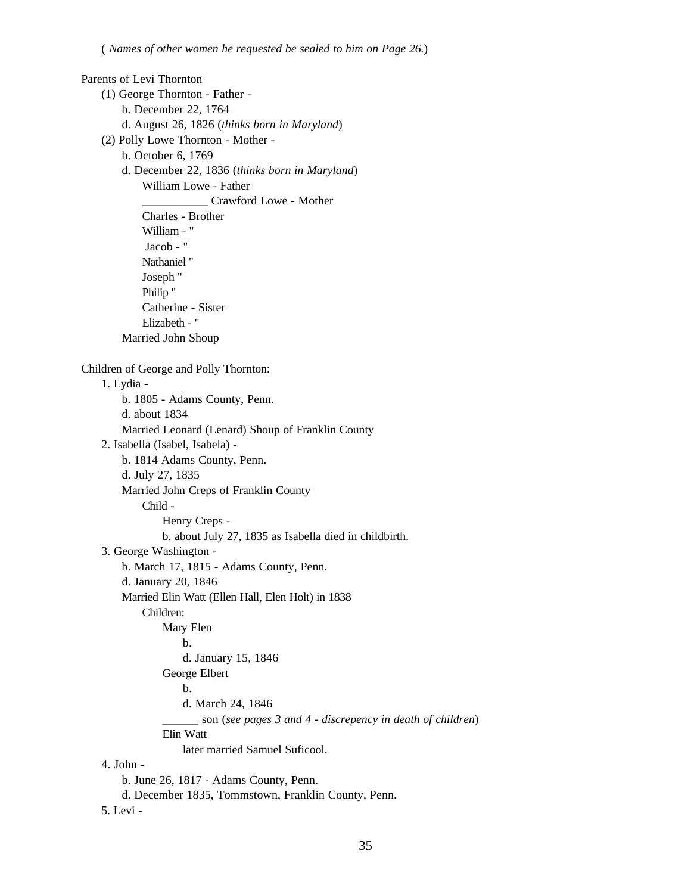Parents of Levi Thornton (1) George Thornton - Father b. December 22, 1764 d. August 26, 1826 (*thinks born in Maryland*) (2) Polly Lowe Thornton - Mother b. October 6, 1769 d. December 22, 1836 (*thinks born in Maryland*) William Lowe - Father \_\_\_\_\_\_\_\_\_\_\_ Crawford Lowe - Mother Charles - Brother William - " Jacob - " Nathaniel " Joseph " Philip " Catherine - Sister Elizabeth - " Married John Shoup Children of George and Polly Thornton: 1. Lydia b. 1805 - Adams County, Penn. d. about 1834 Married Leonard (Lenard) Shoup of Franklin County 2. Isabella (Isabel, Isabela) b. 1814 Adams County, Penn. d. July 27, 1835 Married John Creps of Franklin County Child - Henry Creps b. about July 27, 1835 as Isabella died in childbirth. 3. George Washington b. March 17, 1815 - Adams County, Penn. d. January 20, 1846 Married Elin Watt (Ellen Hall, Elen Holt) in 1838 Children: Mary Elen b. d. January 15, 1846 George Elbert b. d. March 24, 1846 \_\_\_\_\_\_ son (*see pages 3 and 4 - discrepency in death of children*) Elin Watt later married Samuel Suficool. 4. John b. June 26, 1817 - Adams County, Penn. d. December 1835, Tommstown, Franklin County, Penn.

5. Levi -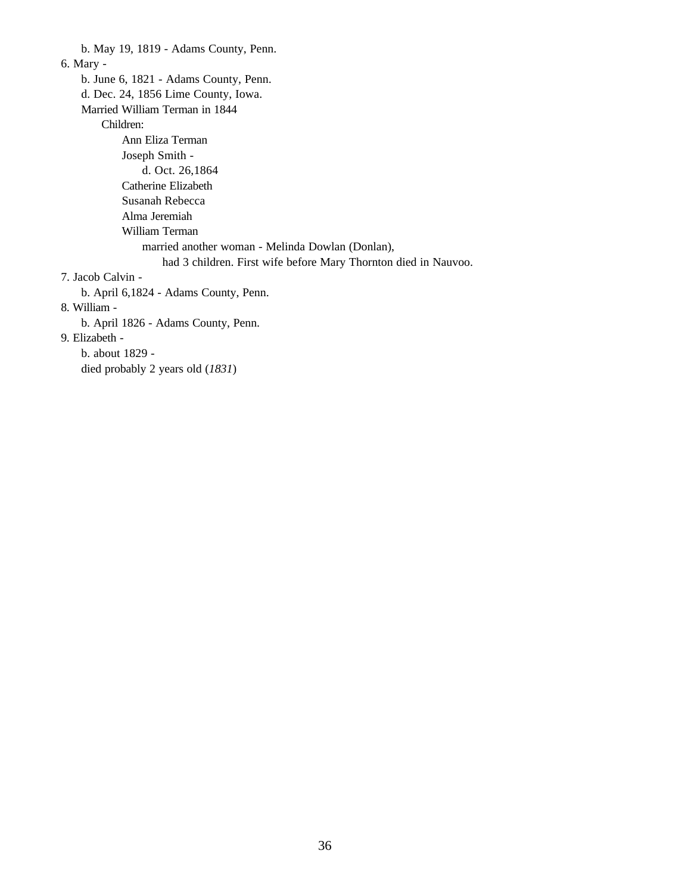b. May 19, 1819 - Adams County, Penn. 6. Mary b. June 6, 1821 - Adams County, Penn. d. Dec. 24, 1856 Lime County, Iowa. Married William Terman in 1844 Children: Ann Eliza Terman Joseph Smith d. Oct. 26,1864 Catherine Elizabeth Susanah Rebecca Alma Jeremiah William Terman married another woman - Melinda Dowlan (Donlan), had 3 children. First wife before Mary Thornton died in Nauvoo. 7. Jacob Calvin b. April 6,1824 - Adams County, Penn. 8. William b. April 1826 - Adams County, Penn. 9. Elizabeth b. about 1829 died probably 2 years old (*1831*)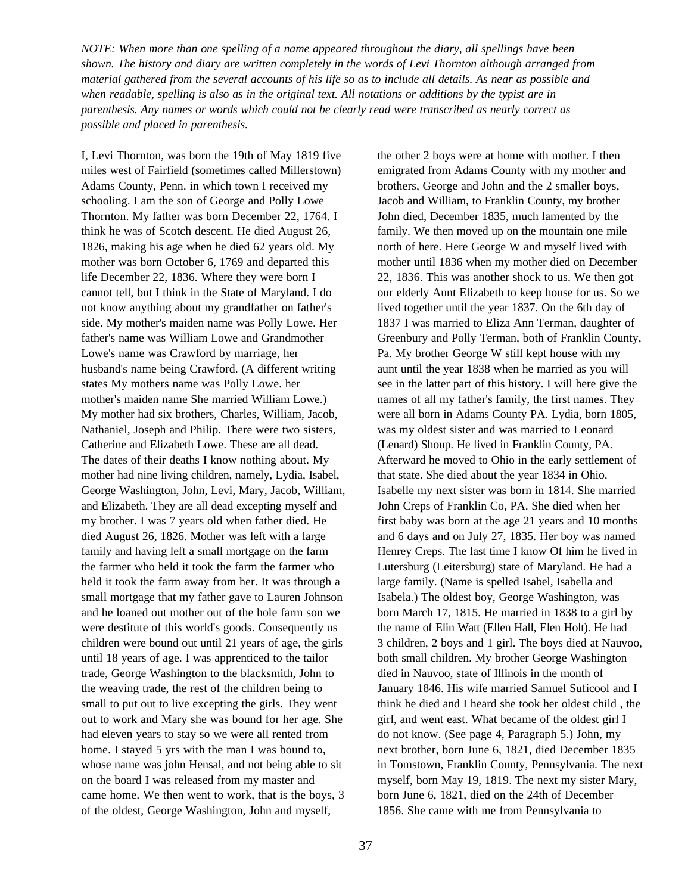*NOTE: When more than one spelling of a name appeared throughout the diary, all spellings have been shown. The history and diary are written completely in the words of Levi Thornton although arranged from material gathered from the several accounts of his life so as to include all details. As near as possible and when readable, spelling is also as in the original text. All notations or additions by the typist are in parenthesis. Any names or words which could not be clearly read were transcribed as nearly correct as possible and placed in parenthesis.* 

I, Levi Thornton, was born the 19th of May 1819 five miles west of Fairfield (sometimes called Millerstown) Adams County, Penn. in which town I received my schooling. I am the son of George and Polly Lowe Thornton. My father was born December 22, 1764. I think he was of Scotch descent. He died August 26, 1826, making his age when he died 62 years old. My mother was born October 6, 1769 and departed this life December 22, 1836. Where they were born I cannot tell, but I think in the State of Maryland. I do not know anything about my grandfather on father's side. My mother's maiden name was Polly Lowe. Her father's name was William Lowe and Grandmother Lowe's name was Crawford by marriage, her husband's name being Crawford. (A different writing states My mothers name was Polly Lowe. her mother's maiden name She married William Lowe.) My mother had six brothers, Charles, William, Jacob, Nathaniel, Joseph and Philip. There were two sisters, Catherine and Elizabeth Lowe. These are all dead. The dates of their deaths I know nothing about. My mother had nine living children, namely, Lydia, Isabel, George Washington, John, Levi, Mary, Jacob, William, and Elizabeth. They are all dead excepting myself and my brother. I was 7 years old when father died. He died August 26, 1826. Mother was left with a large family and having left a small mortgage on the farm the farmer who held it took the farm the farmer who held it took the farm away from her. It was through a small mortgage that my father gave to Lauren Johnson and he loaned out mother out of the hole farm son we were destitute of this world's goods. Consequently us children were bound out until 21 years of age, the girls until 18 years of age. I was apprenticed to the tailor trade, George Washington to the blacksmith, John to the weaving trade, the rest of the children being to small to put out to live excepting the girls. They went out to work and Mary she was bound for her age. She had eleven years to stay so we were all rented from home. I stayed 5 yrs with the man I was bound to, whose name was john Hensal, and not being able to sit on the board I was released from my master and came home. We then went to work, that is the boys, 3 of the oldest, George Washington, John and myself,

the other 2 boys were at home with mother. I then emigrated from Adams County with my mother and brothers, George and John and the 2 smaller boys, Jacob and William, to Franklin County, my brother John died, December 1835, much lamented by the family. We then moved up on the mountain one mile north of here. Here George W and myself lived with mother until 1836 when my mother died on December 22, 1836. This was another shock to us. We then got our elderly Aunt Elizabeth to keep house for us. So we lived together until the year 1837. On the 6th day of 1837 I was married to Eliza Ann Terman, daughter of Greenbury and Polly Terman, both of Franklin County, Pa. My brother George W still kept house with my aunt until the year 1838 when he married as you will see in the latter part of this history. I will here give the names of all my father's family, the first names. They were all born in Adams County PA. Lydia, born 1805, was my oldest sister and was married to Leonard (Lenard) Shoup. He lived in Franklin County, PA. Afterward he moved to Ohio in the early settlement of that state. She died about the year 1834 in Ohio. Isabelle my next sister was born in 1814. She married John Creps of Franklin Co, PA. She died when her first baby was born at the age 21 years and 10 months and 6 days and on July 27, 1835. Her boy was named Henrey Creps. The last time I know Of him he lived in Lutersburg (Leitersburg) state of Maryland. He had a large family. (Name is spelled Isabel, Isabella and Isabela.) The oldest boy, George Washington, was born March 17, 1815. He married in 1838 to a girl by the name of Elin Watt (Ellen Hall, Elen Holt). He had 3 children, 2 boys and 1 girl. The boys died at Nauvoo, both small children. My brother George Washington died in Nauvoo, state of Illinois in the month of January 1846. His wife married Samuel Suficool and I think he died and I heard she took her oldest child , the girl, and went east. What became of the oldest girl I do not know. (See page 4, Paragraph 5.) John, my next brother, born June 6, 1821, died December 1835 in Tomstown, Franklin County, Pennsylvania. The next myself, born May 19, 1819. The next my sister Mary, born June 6, 1821, died on the 24th of December 1856. She came with me from Pennsylvania to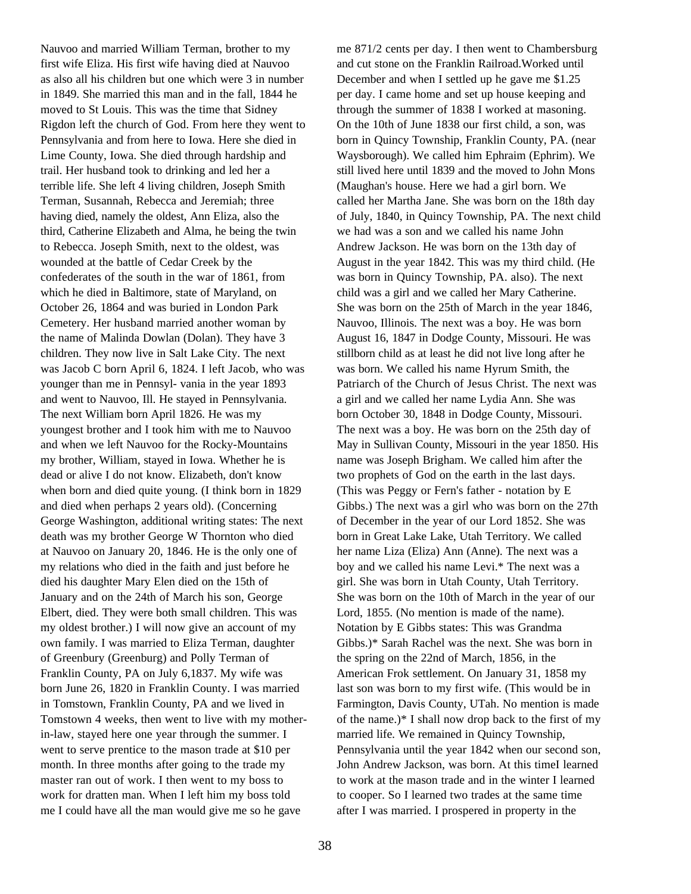Nauvoo and married William Terman, brother to my first wife Eliza. His first wife having died at Nauvoo as also all his children but one which were 3 in number in 1849. She married this man and in the fall, 1844 he moved to St Louis. This was the time that Sidney Rigdon left the church of God. From here they went to Pennsylvania and from here to Iowa. Here she died in Lime County, Iowa. She died through hardship and trail. Her husband took to drinking and led her a terrible life. She left 4 living children, Joseph Smith Terman, Susannah, Rebecca and Jeremiah; three having died, namely the oldest, Ann Eliza, also the third, Catherine Elizabeth and Alma, he being the twin to Rebecca. Joseph Smith, next to the oldest, was wounded at the battle of Cedar Creek by the confederates of the south in the war of 1861, from which he died in Baltimore, state of Maryland, on October 26, 1864 and was buried in London Park Cemetery. Her husband married another woman by the name of Malinda Dowlan (Dolan). They have 3 children. They now live in Salt Lake City. The next was Jacob C born April 6, 1824. I left Jacob, who was younger than me in Pennsyl- vania in the year 1893 and went to Nauvoo, Ill. He stayed in Pennsylvania. The next William born April 1826. He was my youngest brother and I took him with me to Nauvoo and when we left Nauvoo for the Rocky-Mountains my brother, William, stayed in Iowa. Whether he is dead or alive I do not know. Elizabeth, don't know when born and died quite young. (I think born in 1829 and died when perhaps 2 years old). (Concerning George Washington, additional writing states: The next death was my brother George W Thornton who died at Nauvoo on January 20, 1846. He is the only one of my relations who died in the faith and just before he died his daughter Mary Elen died on the 15th of January and on the 24th of March his son, George Elbert, died. They were both small children. This was my oldest brother.) I will now give an account of my own family. I was married to Eliza Terman, daughter of Greenbury (Greenburg) and Polly Terman of Franklin County, PA on July 6,1837. My wife was born June 26, 1820 in Franklin County. I was married in Tomstown, Franklin County, PA and we lived in Tomstown 4 weeks, then went to live with my motherin-law, stayed here one year through the summer. I went to serve prentice to the mason trade at \$10 per month. In three months after going to the trade my master ran out of work. I then went to my boss to work for dratten man. When I left him my boss told me I could have all the man would give me so he gave

me 871/2 cents per day. I then went to Chambersburg and cut stone on the Franklin Railroad.Worked until December and when I settled up he gave me \$1.25 per day. I came home and set up house keeping and through the summer of 1838 I worked at masoning. On the 10th of June 1838 our first child, a son, was born in Quincy Township, Franklin County, PA. (near Waysborough). We called him Ephraim (Ephrim). We still lived here until 1839 and the moved to John Mons (Maughan's house. Here we had a girl born. We called her Martha Jane. She was born on the 18th day of July, 1840, in Quincy Township, PA. The next child we had was a son and we called his name John Andrew Jackson. He was born on the 13th day of August in the year 1842. This was my third child. (He was born in Quincy Township, PA. also). The next child was a girl and we called her Mary Catherine. She was born on the 25th of March in the year 1846, Nauvoo, Illinois. The next was a boy. He was born August 16, 1847 in Dodge County, Missouri. He was stillborn child as at least he did not live long after he was born. We called his name Hyrum Smith, the Patriarch of the Church of Jesus Christ. The next was a girl and we called her name Lydia Ann. She was born October 30, 1848 in Dodge County, Missouri. The next was a boy. He was born on the 25th day of May in Sullivan County, Missouri in the year 1850. His name was Joseph Brigham. We called him after the two prophets of God on the earth in the last days. (This was Peggy or Fern's father - notation by E Gibbs.) The next was a girl who was born on the 27th of December in the year of our Lord 1852. She was born in Great Lake Lake, Utah Territory. We called her name Liza (Eliza) Ann (Anne). The next was a boy and we called his name Levi.\* The next was a girl. She was born in Utah County, Utah Territory. She was born on the 10th of March in the year of our Lord, 1855. (No mention is made of the name). Notation by E Gibbs states: This was Grandma Gibbs.)\* Sarah Rachel was the next. She was born in the spring on the 22nd of March, 1856, in the American Frok settlement. On January 31, 1858 my last son was born to my first wife. (This would be in Farmington, Davis County, UTah. No mention is made of the name.)\* I shall now drop back to the first of my married life. We remained in Quincy Township, Pennsylvania until the year 1842 when our second son, John Andrew Jackson, was born. At this timeI learned to work at the mason trade and in the winter I learned to cooper. So I learned two trades at the same time after I was married. I prospered in property in the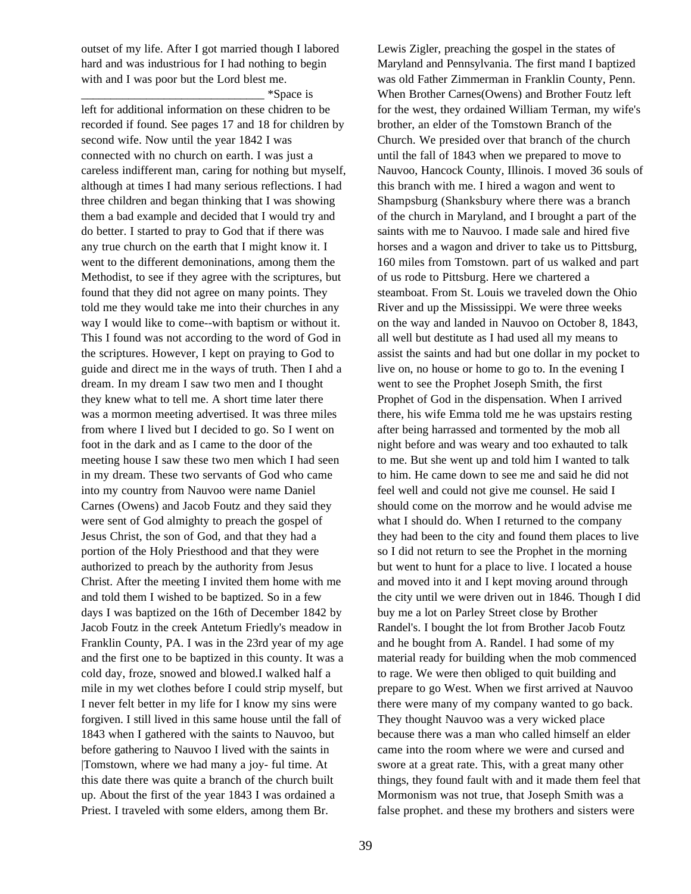outset of my life. After I got married though I labored hard and was industrious for I had nothing to begin with and I was poor but the Lord blest me.

\_\_\_\_\_\_\_\_\_\_\_\_\_\_\_\_\_\_\_\_\_\_\_\_\_\_\_\_\_\_\_ \*Space is left for additional information on these chidren to be recorded if found. See pages 17 and 18 for children by second wife. Now until the year 1842 I was connected with no church on earth. I was just a careless indifferent man, caring for nothing but myself, although at times I had many serious reflections. I had three children and began thinking that I was showing them a bad example and decided that I would try and do better. I started to pray to God that if there was any true church on the earth that I might know it. I went to the different demoninations, among them the Methodist, to see if they agree with the scriptures, but found that they did not agree on many points. They told me they would take me into their churches in any way I would like to come--with baptism or without it. This I found was not according to the word of God in the scriptures. However, I kept on praying to God to guide and direct me in the ways of truth. Then I ahd a dream. In my dream I saw two men and I thought they knew what to tell me. A short time later there was a mormon meeting advertised. It was three miles from where I lived but I decided to go. So I went on foot in the dark and as I came to the door of the meeting house I saw these two men which I had seen in my dream. These two servants of God who came into my country from Nauvoo were name Daniel Carnes (Owens) and Jacob Foutz and they said they were sent of God almighty to preach the gospel of Jesus Christ, the son of God, and that they had a portion of the Holy Priesthood and that they were authorized to preach by the authority from Jesus Christ. After the meeting I invited them home with me and told them I wished to be baptized. So in a few days I was baptized on the 16th of December 1842 by Jacob Foutz in the creek Antetum Friedly's meadow in Franklin County, PA. I was in the 23rd year of my age and the first one to be baptized in this county. It was a cold day, froze, snowed and blowed.I walked half a mile in my wet clothes before I could strip myself, but I never felt better in my life for I know my sins were forgiven. I still lived in this same house until the fall of 1843 when I gathered with the saints to Nauvoo, but before gathering to Nauvoo I lived with the saints in |Tomstown, where we had many a joy- ful time. At this date there was quite a branch of the church built up. About the first of the year 1843 I was ordained a Priest. I traveled with some elders, among them Br.

Maryland and Pennsylvania. The first mand I baptized was old Father Zimmerman in Franklin County, Penn. When Brother Carnes(Owens) and Brother Foutz left for the west, they ordained William Terman, my wife's brother, an elder of the Tomstown Branch of the Church. We presided over that branch of the church until the fall of 1843 when we prepared to move to Nauvoo, Hancock County, Illinois. I moved 36 souls of this branch with me. I hired a wagon and went to Shampsburg (Shanksbury where there was a branch of the church in Maryland, and I brought a part of the saints with me to Nauvoo. I made sale and hired five horses and a wagon and driver to take us to Pittsburg, 160 miles from Tomstown. part of us walked and part of us rode to Pittsburg. Here we chartered a steamboat. From St. Louis we traveled down the Ohio River and up the Mississippi. We were three weeks on the way and landed in Nauvoo on October 8, 1843, all well but destitute as I had used all my means to assist the saints and had but one dollar in my pocket to live on, no house or home to go to. In the evening I went to see the Prophet Joseph Smith, the first Prophet of God in the dispensation. When I arrived there, his wife Emma told me he was upstairs resting after being harrassed and tormented by the mob all night before and was weary and too exhauted to talk to me. But she went up and told him I wanted to talk to him. He came down to see me and said he did not feel well and could not give me counsel. He said I should come on the morrow and he would advise me what I should do. When I returned to the company they had been to the city and found them places to live so I did not return to see the Prophet in the morning but went to hunt for a place to live. I located a house and moved into it and I kept moving around through the city until we were driven out in 1846. Though I did buy me a lot on Parley Street close by Brother Randel's. I bought the lot from Brother Jacob Foutz and he bought from A. Randel. I had some of my material ready for building when the mob commenced to rage. We were then obliged to quit building and prepare to go West. When we first arrived at Nauvoo there were many of my company wanted to go back. They thought Nauvoo was a very wicked place because there was a man who called himself an elder came into the room where we were and cursed and swore at a great rate. This, with a great many other things, they found fault with and it made them feel that Mormonism was not true, that Joseph Smith was a false prophet. and these my brothers and sisters were

Lewis Zigler, preaching the gospel in the states of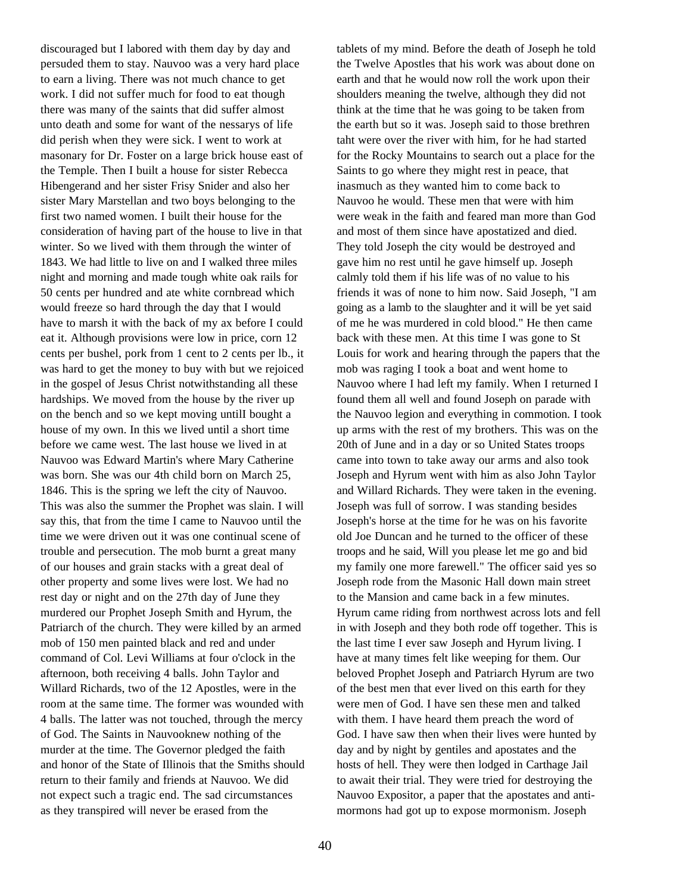discouraged but I labored with them day by day and persuded them to stay. Nauvoo was a very hard place to earn a living. There was not much chance to get work. I did not suffer much for food to eat though there was many of the saints that did suffer almost unto death and some for want of the nessarys of life did perish when they were sick. I went to work at masonary for Dr. Foster on a large brick house east of the Temple. Then I built a house for sister Rebecca Hibengerand and her sister Frisy Snider and also her sister Mary Marstellan and two boys belonging to the first two named women. I built their house for the consideration of having part of the house to live in that winter. So we lived with them through the winter of 1843. We had little to live on and I walked three miles night and morning and made tough white oak rails for 50 cents per hundred and ate white cornbread which would freeze so hard through the day that I would have to marsh it with the back of my ax before I could eat it. Although provisions were low in price, corn 12 cents per bushel, pork from 1 cent to 2 cents per lb., it was hard to get the money to buy with but we rejoiced in the gospel of Jesus Christ notwithstanding all these hardships. We moved from the house by the river up on the bench and so we kept moving untilI bought a house of my own. In this we lived until a short time before we came west. The last house we lived in at Nauvoo was Edward Martin's where Mary Catherine was born. She was our 4th child born on March 25, 1846. This is the spring we left the city of Nauvoo. This was also the summer the Prophet was slain. I will say this, that from the time I came to Nauvoo until the time we were driven out it was one continual scene of trouble and persecution. The mob burnt a great many of our houses and grain stacks with a great deal of other property and some lives were lost. We had no rest day or night and on the 27th day of June they murdered our Prophet Joseph Smith and Hyrum, the Patriarch of the church. They were killed by an armed mob of 150 men painted black and red and under command of Col. Levi Williams at four o'clock in the afternoon, both receiving 4 balls. John Taylor and Willard Richards, two of the 12 Apostles, were in the room at the same time. The former was wounded with 4 balls. The latter was not touched, through the mercy of God. The Saints in Nauvooknew nothing of the murder at the time. The Governor pledged the faith and honor of the State of Illinois that the Smiths should return to their family and friends at Nauvoo. We did not expect such a tragic end. The sad circumstances as they transpired will never be erased from the

earth and that he would now roll the work upon their shoulders meaning the twelve, although they did not think at the time that he was going to be taken from the earth but so it was. Joseph said to those brethren taht were over the river with him, for he had started for the Rocky Mountains to search out a place for the Saints to go where they might rest in peace, that inasmuch as they wanted him to come back to Nauvoo he would. These men that were with him were weak in the faith and feared man more than God and most of them since have apostatized and died. They told Joseph the city would be destroyed and gave him no rest until he gave himself up. Joseph calmly told them if his life was of no value to his friends it was of none to him now. Said Joseph, "I am going as a lamb to the slaughter and it will be yet said of me he was murdered in cold blood." He then came back with these men. At this time I was gone to St Louis for work and hearing through the papers that the mob was raging I took a boat and went home to Nauvoo where I had left my family. When I returned I found them all well and found Joseph on parade with the Nauvoo legion and everything in commotion. I took up arms with the rest of my brothers. This was on the 20th of June and in a day or so United States troops came into town to take away our arms and also took Joseph and Hyrum went with him as also John Taylor and Willard Richards. They were taken in the evening. Joseph was full of sorrow. I was standing besides Joseph's horse at the time for he was on his favorite old Joe Duncan and he turned to the officer of these troops and he said, Will you please let me go and bid my family one more farewell." The officer said yes so Joseph rode from the Masonic Hall down main street to the Mansion and came back in a few minutes. Hyrum came riding from northwest across lots and fell in with Joseph and they both rode off together. This is the last time I ever saw Joseph and Hyrum living. I have at many times felt like weeping for them. Our beloved Prophet Joseph and Patriarch Hyrum are two of the best men that ever lived on this earth for they were men of God. I have sen these men and talked with them. I have heard them preach the word of God. I have saw then when their lives were hunted by day and by night by gentiles and apostates and the hosts of hell. They were then lodged in Carthage Jail to await their trial. They were tried for destroying the Nauvoo Expositor, a paper that the apostates and antimormons had got up to expose mormonism. Joseph

tablets of my mind. Before the death of Joseph he told the Twelve Apostles that his work was about done on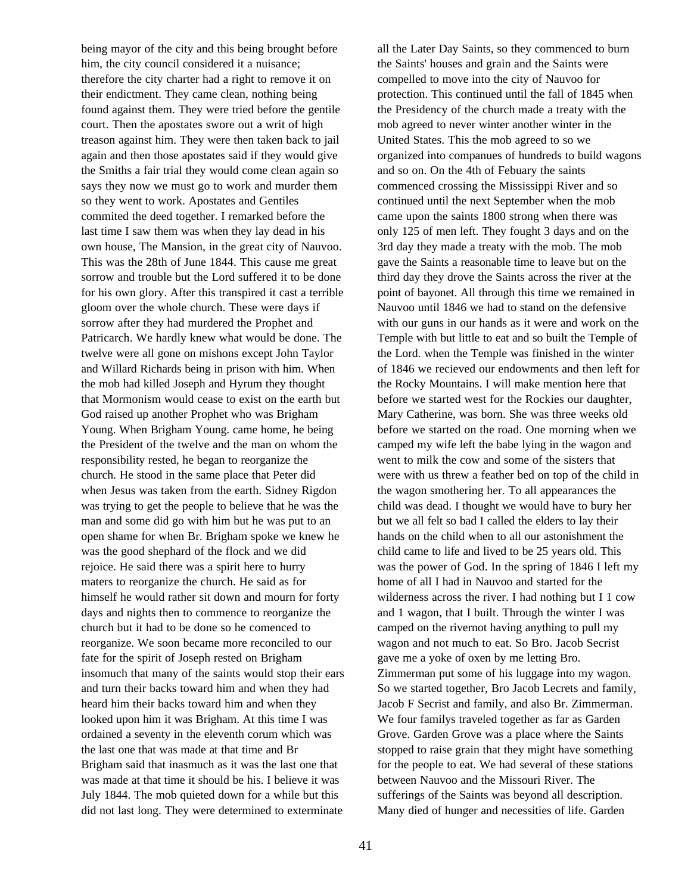being mayor of the city and this being brought before him, the city council considered it a nuisance; therefore the city charter had a right to remove it on their endictment. They came clean, nothing being found against them. They were tried before the gentile court. Then the apostates swore out a writ of high treason against him. They were then taken back to jail again and then those apostates said if they would give the Smiths a fair trial they would come clean again so says they now we must go to work and murder them so they went to work. Apostates and Gentiles commited the deed together. I remarked before the last time I saw them was when they lay dead in his own house, The Mansion, in the great city of Nauvoo. This was the 28th of June 1844. This cause me great sorrow and trouble but the Lord suffered it to be done for his own glory. After this transpired it cast a terrible gloom over the whole church. These were days if sorrow after they had murdered the Prophet and Patricarch. We hardly knew what would be done. The twelve were all gone on mishons except John Taylor and Willard Richards being in prison with him. When the mob had killed Joseph and Hyrum they thought that Mormonism would cease to exist on the earth but God raised up another Prophet who was Brigham Young. When Brigham Young. came home, he being the President of the twelve and the man on whom the responsibility rested, he began to reorganize the church. He stood in the same place that Peter did when Jesus was taken from the earth. Sidney Rigdon was trying to get the people to believe that he was the man and some did go with him but he was put to an open shame for when Br. Brigham spoke we knew he was the good shephard of the flock and we did rejoice. He said there was a spirit here to hurry maters to reorganize the church. He said as for himself he would rather sit down and mourn for forty days and nights then to commence to reorganize the church but it had to be done so he comenced to reorganize. We soon became more reconciled to our fate for the spirit of Joseph rested on Brigham insomuch that many of the saints would stop their ears and turn their backs toward him and when they had heard him their backs toward him and when they looked upon him it was Brigham. At this time I was ordained a seventy in the eleventh corum which was the last one that was made at that time and Br Brigham said that inasmuch as it was the last one that was made at that time it should be his. I believe it was July 1844. The mob quieted down for a while but this did not last long. They were determined to exterminate

all the Later Day Saints, so they commenced to burn the Saints' houses and grain and the Saints were compelled to move into the city of Nauvoo for protection. This continued until the fall of 1845 when the Presidency of the church made a treaty with the mob agreed to never winter another winter in the United States. This the mob agreed to so we organized into companues of hundreds to build wagons and so on. On the 4th of Febuary the saints commenced crossing the Mississippi River and so continued until the next September when the mob came upon the saints 1800 strong when there was only 125 of men left. They fought 3 days and on the 3rd day they made a treaty with the mob. The mob gave the Saints a reasonable time to leave but on the third day they drove the Saints across the river at the point of bayonet. All through this time we remained in Nauvoo until 1846 we had to stand on the defensive with our guns in our hands as it were and work on the Temple with but little to eat and so built the Temple of the Lord. when the Temple was finished in the winter of 1846 we recieved our endowments and then left for the Rocky Mountains. I will make mention here that before we started west for the Rockies our daughter, Mary Catherine, was born. She was three weeks old before we started on the road. One morning when we camped my wife left the babe lying in the wagon and went to milk the cow and some of the sisters that were with us threw a feather bed on top of the child in the wagon smothering her. To all appearances the child was dead. I thought we would have to bury her but we all felt so bad I called the elders to lay their hands on the child when to all our astonishment the child came to life and lived to be 25 years old. This was the power of God. In the spring of 1846 I left my home of all I had in Nauvoo and started for the wilderness across the river. I had nothing but I 1 cow and 1 wagon, that I built. Through the winter I was camped on the rivernot having anything to pull my wagon and not much to eat. So Bro. Jacob Secrist gave me a yoke of oxen by me letting Bro. Zimmerman put some of his luggage into my wagon. So we started together, Bro Jacob Lecrets and family, Jacob F Secrist and family, and also Br. Zimmerman. We four familys traveled together as far as Garden Grove. Garden Grove was a place where the Saints stopped to raise grain that they might have something for the people to eat. We had several of these stations between Nauvoo and the Missouri River. The sufferings of the Saints was beyond all description. Many died of hunger and necessities of life. Garden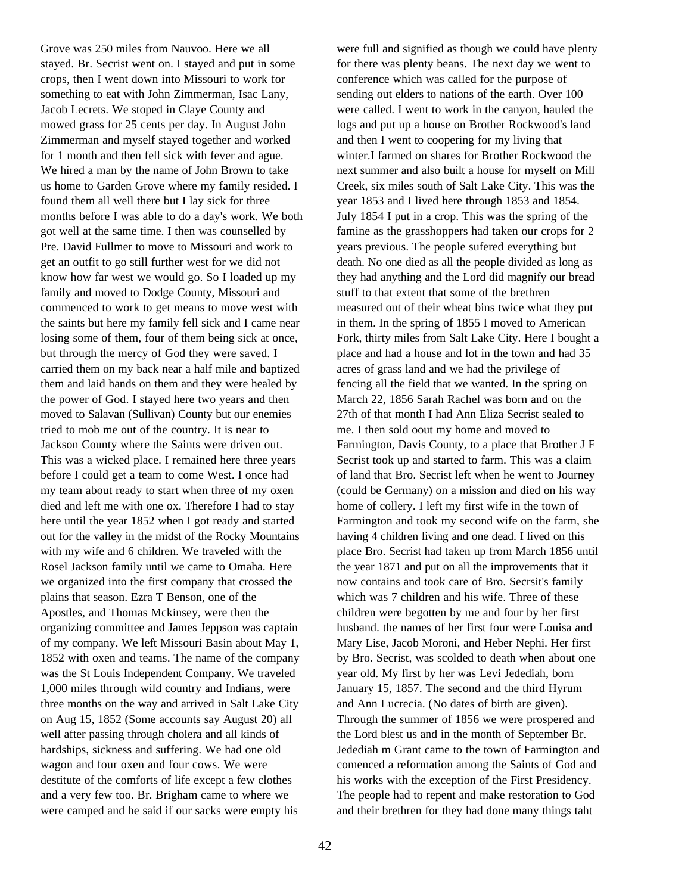Grove was 250 miles from Nauvoo. Here we all stayed. Br. Secrist went on. I stayed and put in some crops, then I went down into Missouri to work for something to eat with John Zimmerman, Isac Lany, Jacob Lecrets. We stoped in Claye County and mowed grass for 25 cents per day. In August John Zimmerman and myself stayed together and worked for 1 month and then fell sick with fever and ague. We hired a man by the name of John Brown to take us home to Garden Grove where my family resided. I found them all well there but I lay sick for three months before I was able to do a day's work. We both got well at the same time. I then was counselled by Pre. David Fullmer to move to Missouri and work to get an outfit to go still further west for we did not know how far west we would go. So I loaded up my family and moved to Dodge County, Missouri and commenced to work to get means to move west with the saints but here my family fell sick and I came near losing some of them, four of them being sick at once, but through the mercy of God they were saved. I carried them on my back near a half mile and baptized them and laid hands on them and they were healed by the power of God. I stayed here two years and then moved to Salavan (Sullivan) County but our enemies tried to mob me out of the country. It is near to Jackson County where the Saints were driven out. This was a wicked place. I remained here three years before I could get a team to come West. I once had my team about ready to start when three of my oxen died and left me with one ox. Therefore I had to stay here until the year 1852 when I got ready and started out for the valley in the midst of the Rocky Mountains with my wife and 6 children. We traveled with the Rosel Jackson family until we came to Omaha. Here we organized into the first company that crossed the plains that season. Ezra T Benson, one of the Apostles, and Thomas Mckinsey, were then the organizing committee and James Jeppson was captain of my company. We left Missouri Basin about May 1, 1852 with oxen and teams. The name of the company was the St Louis Independent Company. We traveled 1,000 miles through wild country and Indians, were three months on the way and arrived in Salt Lake City on Aug 15, 1852 (Some accounts say August 20) all well after passing through cholera and all kinds of hardships, sickness and suffering. We had one old wagon and four oxen and four cows. We were destitute of the comforts of life except a few clothes and a very few too. Br. Brigham came to where we were camped and he said if our sacks were empty his

were full and signified as though we could have plenty for there was plenty beans. The next day we went to conference which was called for the purpose of sending out elders to nations of the earth. Over 100 were called. I went to work in the canyon, hauled the logs and put up a house on Brother Rockwood's land and then I went to coopering for my living that winter.I farmed on shares for Brother Rockwood the next summer and also built a house for myself on Mill Creek, six miles south of Salt Lake City. This was the year 1853 and I lived here through 1853 and 1854. July 1854 I put in a crop. This was the spring of the famine as the grasshoppers had taken our crops for 2 years previous. The people sufered everything but death. No one died as all the people divided as long as they had anything and the Lord did magnify our bread stuff to that extent that some of the brethren measured out of their wheat bins twice what they put in them. In the spring of 1855 I moved to American Fork, thirty miles from Salt Lake City. Here I bought a place and had a house and lot in the town and had 35 acres of grass land and we had the privilege of fencing all the field that we wanted. In the spring on March 22, 1856 Sarah Rachel was born and on the 27th of that month I had Ann Eliza Secrist sealed to me. I then sold oout my home and moved to Farmington, Davis County, to a place that Brother J F Secrist took up and started to farm. This was a claim of land that Bro. Secrist left when he went to Journey (could be Germany) on a mission and died on his way home of collery. I left my first wife in the town of Farmington and took my second wife on the farm, she having 4 children living and one dead. I lived on this place Bro. Secrist had taken up from March 1856 until the year 1871 and put on all the improvements that it now contains and took care of Bro. Secrsit's family which was 7 children and his wife. Three of these children were begotten by me and four by her first husband. the names of her first four were Louisa and Mary Lise, Jacob Moroni, and Heber Nephi. Her first by Bro. Secrist, was scolded to death when about one year old. My first by her was Levi Jedediah, born January 15, 1857. The second and the third Hyrum and Ann Lucrecia. (No dates of birth are given). Through the summer of 1856 we were prospered and the Lord blest us and in the month of September Br. Jedediah m Grant came to the town of Farmington and comenced a reformation among the Saints of God and his works with the exception of the First Presidency. The people had to repent and make restoration to God and their brethren for they had done many things taht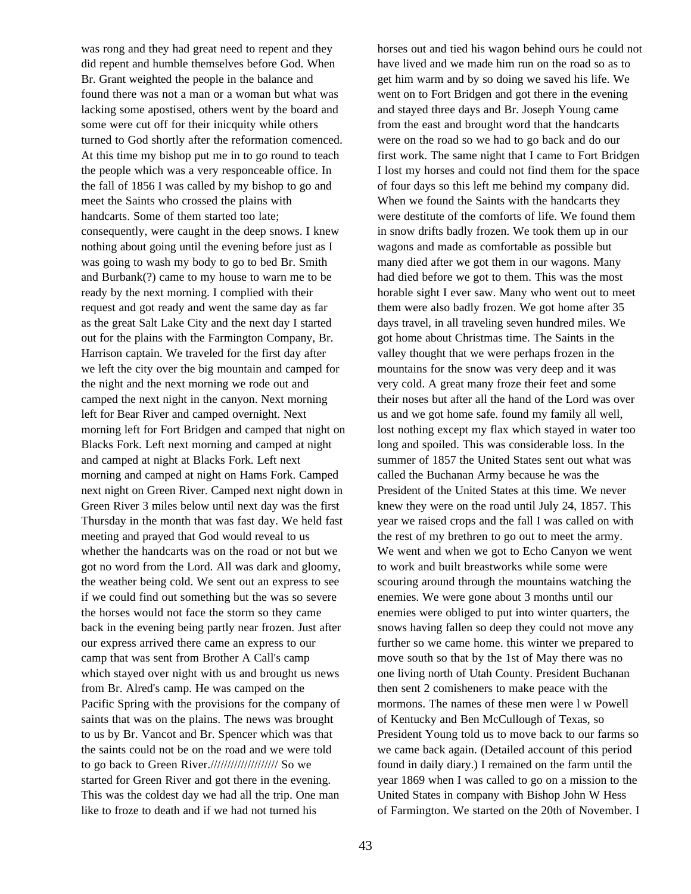was rong and they had great need to repent and they did repent and humble themselves before God. When Br. Grant weighted the people in the balance and found there was not a man or a woman but what was lacking some apostised, others went by the board and some were cut off for their inicquity while others turned to God shortly after the reformation comenced. At this time my bishop put me in to go round to teach the people which was a very responceable office. In the fall of 1856 I was called by my bishop to go and meet the Saints who crossed the plains with handcarts. Some of them started too late; consequently, were caught in the deep snows. I knew nothing about going until the evening before just as I was going to wash my body to go to bed Br. Smith and Burbank(?) came to my house to warn me to be ready by the next morning. I complied with their request and got ready and went the same day as far as the great Salt Lake City and the next day I started out for the plains with the Farmington Company, Br. Harrison captain. We traveled for the first day after we left the city over the big mountain and camped for the night and the next morning we rode out and camped the next night in the canyon. Next morning left for Bear River and camped overnight. Next morning left for Fort Bridgen and camped that night on Blacks Fork. Left next morning and camped at night and camped at night at Blacks Fork. Left next morning and camped at night on Hams Fork. Camped next night on Green River. Camped next night down in Green River 3 miles below until next day was the first Thursday in the month that was fast day. We held fast meeting and prayed that God would reveal to us whether the handcarts was on the road or not but we got no word from the Lord. All was dark and gloomy, the weather being cold. We sent out an express to see if we could find out something but the was so severe the horses would not face the storm so they came back in the evening being partly near frozen. Just after our express arrived there came an express to our camp that was sent from Brother A Call's camp which stayed over night with us and brought us news from Br. Alred's camp. He was camped on the Pacific Spring with the provisions for the company of saints that was on the plains. The news was brought to us by Br. Vancot and Br. Spencer which was that the saints could not be on the road and we were told to go back to Green River.//////////////////// So we started for Green River and got there in the evening. This was the coldest day we had all the trip. One man like to froze to death and if we had not turned his

horses out and tied his wagon behind ours he could not have lived and we made him run on the road so as to get him warm and by so doing we saved his life. We went on to Fort Bridgen and got there in the evening and stayed three days and Br. Joseph Young came from the east and brought word that the handcarts were on the road so we had to go back and do our first work. The same night that I came to Fort Bridgen I lost my horses and could not find them for the space of four days so this left me behind my company did. When we found the Saints with the handcarts they were destitute of the comforts of life. We found them in snow drifts badly frozen. We took them up in our wagons and made as comfortable as possible but many died after we got them in our wagons. Many had died before we got to them. This was the most horable sight I ever saw. Many who went out to meet them were also badly frozen. We got home after 35 days travel, in all traveling seven hundred miles. We got home about Christmas time. The Saints in the valley thought that we were perhaps frozen in the mountains for the snow was very deep and it was very cold. A great many froze their feet and some their noses but after all the hand of the Lord was over us and we got home safe. found my family all well, lost nothing except my flax which stayed in water too long and spoiled. This was considerable loss. In the summer of 1857 the United States sent out what was called the Buchanan Army because he was the President of the United States at this time. We never knew they were on the road until July 24, 1857. This year we raised crops and the fall I was called on with the rest of my brethren to go out to meet the army. We went and when we got to Echo Canyon we went to work and built breastworks while some were scouring around through the mountains watching the enemies. We were gone about 3 months until our enemies were obliged to put into winter quarters, the snows having fallen so deep they could not move any further so we came home. this winter we prepared to move south so that by the 1st of May there was no one living north of Utah County. President Buchanan then sent 2 comisheners to make peace with the mormons. The names of these men were l w Powell of Kentucky and Ben McCullough of Texas, so President Young told us to move back to our farms so we came back again. (Detailed account of this period found in daily diary.) I remained on the farm until the year 1869 when I was called to go on a mission to the United States in company with Bishop John W Hess of Farmington. We started on the 20th of November. I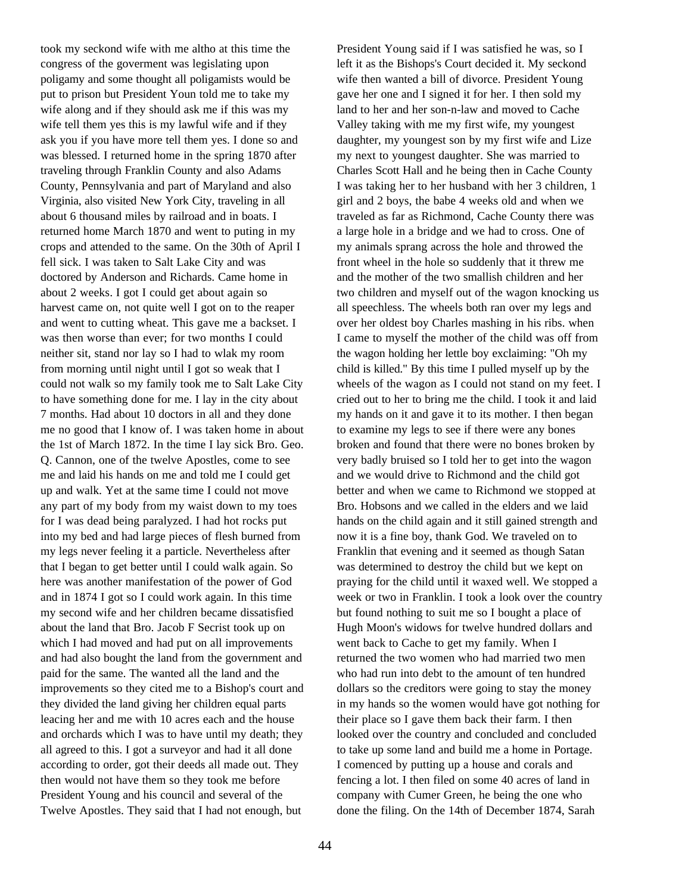took my seckond wife with me altho at this time the congress of the goverment was legislating upon poligamy and some thought all poligamists would be put to prison but President Youn told me to take my wife along and if they should ask me if this was my wife tell them yes this is my lawful wife and if they ask you if you have more tell them yes. I done so and was blessed. I returned home in the spring 1870 after traveling through Franklin County and also Adams County, Pennsylvania and part of Maryland and also Virginia, also visited New York City, traveling in all about 6 thousand miles by railroad and in boats. I returned home March 1870 and went to puting in my crops and attended to the same. On the 30th of April I fell sick. I was taken to Salt Lake City and was doctored by Anderson and Richards. Came home in about 2 weeks. I got I could get about again so harvest came on, not quite well I got on to the reaper and went to cutting wheat. This gave me a backset. I was then worse than ever; for two months I could neither sit, stand nor lay so I had to wlak my room from morning until night until I got so weak that I could not walk so my family took me to Salt Lake City to have something done for me. I lay in the city about 7 months. Had about 10 doctors in all and they done me no good that I know of. I was taken home in about the 1st of March 1872. In the time I lay sick Bro. Geo. Q. Cannon, one of the twelve Apostles, come to see me and laid his hands on me and told me I could get up and walk. Yet at the same time I could not move any part of my body from my waist down to my toes for I was dead being paralyzed. I had hot rocks put into my bed and had large pieces of flesh burned from my legs never feeling it a particle. Nevertheless after that I began to get better until I could walk again. So here was another manifestation of the power of God and in 1874 I got so I could work again. In this time my second wife and her children became dissatisfied about the land that Bro. Jacob F Secrist took up on which I had moved and had put on all improvements and had also bought the land from the government and paid for the same. The wanted all the land and the improvements so they cited me to a Bishop's court and they divided the land giving her children equal parts leacing her and me with 10 acres each and the house and orchards which I was to have until my death; they all agreed to this. I got a surveyor and had it all done according to order, got their deeds all made out. They then would not have them so they took me before President Young and his council and several of the Twelve Apostles. They said that I had not enough, but

wife then wanted a bill of divorce. President Young gave her one and I signed it for her. I then sold my land to her and her son-n-law and moved to Cache Valley taking with me my first wife, my youngest daughter, my youngest son by my first wife and Lize my next to youngest daughter. She was married to Charles Scott Hall and he being then in Cache County I was taking her to her husband with her 3 children, 1 girl and 2 boys, the babe 4 weeks old and when we traveled as far as Richmond, Cache County there was a large hole in a bridge and we had to cross. One of my animals sprang across the hole and throwed the front wheel in the hole so suddenly that it threw me and the mother of the two smallish children and her two children and myself out of the wagon knocking us all speechless. The wheels both ran over my legs and over her oldest boy Charles mashing in his ribs. when I came to myself the mother of the child was off from the wagon holding her lettle boy exclaiming: "Oh my child is killed." By this time I pulled myself up by the wheels of the wagon as I could not stand on my feet. I cried out to her to bring me the child. I took it and laid my hands on it and gave it to its mother. I then began to examine my legs to see if there were any bones broken and found that there were no bones broken by very badly bruised so I told her to get into the wagon and we would drive to Richmond and the child got better and when we came to Richmond we stopped at Bro. Hobsons and we called in the elders and we laid hands on the child again and it still gained strength and now it is a fine boy, thank God. We traveled on to Franklin that evening and it seemed as though Satan was determined to destroy the child but we kept on praying for the child until it waxed well. We stopped a week or two in Franklin. I took a look over the country but found nothing to suit me so I bought a place of Hugh Moon's widows for twelve hundred dollars and went back to Cache to get my family. When I returned the two women who had married two men who had run into debt to the amount of ten hundred dollars so the creditors were going to stay the money in my hands so the women would have got nothing for their place so I gave them back their farm. I then looked over the country and concluded and concluded to take up some land and build me a home in Portage. I comenced by putting up a house and corals and fencing a lot. I then filed on some 40 acres of land in company with Cumer Green, he being the one who done the filing. On the 14th of December 1874, Sarah

President Young said if I was satisfied he was, so I left it as the Bishops's Court decided it. My seckond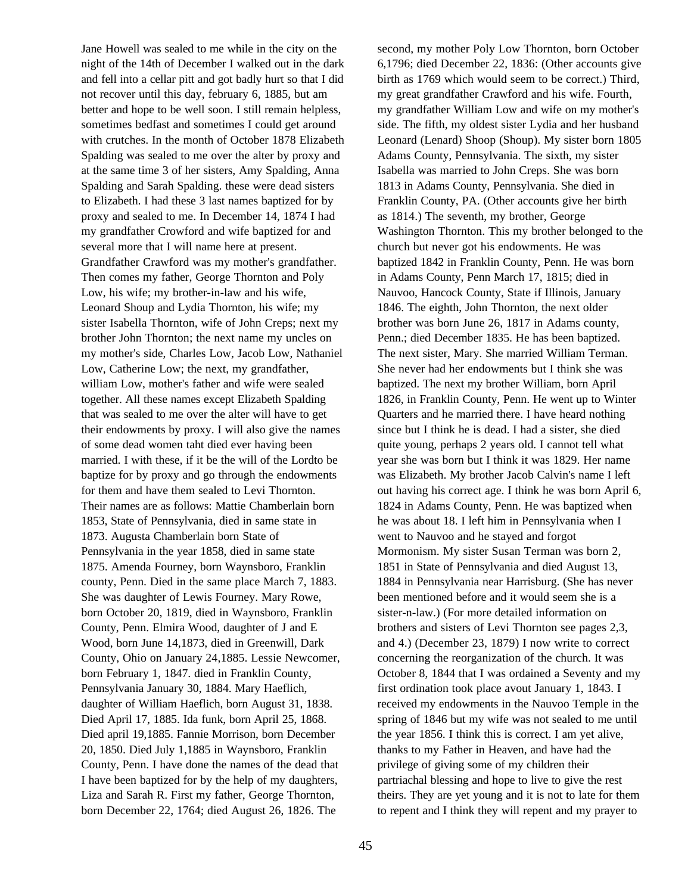Jane Howell was sealed to me while in the city on the night of the 14th of December I walked out in the dark and fell into a cellar pitt and got badly hurt so that I did not recover until this day, february 6, 1885, but am better and hope to be well soon. I still remain helpless, sometimes bedfast and sometimes I could get around with crutches. In the month of October 1878 Elizabeth Spalding was sealed to me over the alter by proxy and at the same time 3 of her sisters, Amy Spalding, Anna Spalding and Sarah Spalding. these were dead sisters to Elizabeth. I had these 3 last names baptized for by proxy and sealed to me. In December 14, 1874 I had my grandfather Crowford and wife baptized for and several more that I will name here at present. Grandfather Crawford was my mother's grandfather. Then comes my father, George Thornton and Poly Low, his wife; my brother-in-law and his wife, Leonard Shoup and Lydia Thornton, his wife; my sister Isabella Thornton, wife of John Creps; next my brother John Thornton; the next name my uncles on my mother's side, Charles Low, Jacob Low, Nathaniel Low, Catherine Low; the next, my grandfather, william Low, mother's father and wife were sealed together. All these names except Elizabeth Spalding that was sealed to me over the alter will have to get their endowments by proxy. I will also give the names of some dead women taht died ever having been married. I with these, if it be the will of the Lordto be baptize for by proxy and go through the endowments for them and have them sealed to Levi Thornton. Their names are as follows: Mattie Chamberlain born 1853, State of Pennsylvania, died in same state in 1873. Augusta Chamberlain born State of Pennsylvania in the year 1858, died in same state 1875. Amenda Fourney, born Waynsboro, Franklin county, Penn. Died in the same place March 7, 1883. She was daughter of Lewis Fourney. Mary Rowe, born October 20, 1819, died in Waynsboro, Franklin County, Penn. Elmira Wood, daughter of J and E Wood, born June 14,1873, died in Greenwill, Dark County, Ohio on January 24,1885. Lessie Newcomer, born February 1, 1847. died in Franklin County, Pennsylvania January 30, 1884. Mary Haeflich, daughter of William Haeflich, born August 31, 1838. Died April 17, 1885. Ida funk, born April 25, 1868. Died april 19,1885. Fannie Morrison, born December 20, 1850. Died July 1,1885 in Waynsboro, Franklin County, Penn. I have done the names of the dead that I have been baptized for by the help of my daughters, Liza and Sarah R. First my father, George Thornton, born December 22, 1764; died August 26, 1826. The

second, my mother Poly Low Thornton, born October 6,1796; died December 22, 1836: (Other accounts give birth as 1769 which would seem to be correct.) Third, my great grandfather Crawford and his wife. Fourth, my grandfather William Low and wife on my mother's side. The fifth, my oldest sister Lydia and her husband Leonard (Lenard) Shoop (Shoup). My sister born 1805 Adams County, Pennsylvania. The sixth, my sister Isabella was married to John Creps. She was born 1813 in Adams County, Pennsylvania. She died in Franklin County, PA. (Other accounts give her birth as 1814.) The seventh, my brother, George Washington Thornton. This my brother belonged to the church but never got his endowments. He was baptized 1842 in Franklin County, Penn. He was born in Adams County, Penn March 17, 1815; died in Nauvoo, Hancock County, State if Illinois, January 1846. The eighth, John Thornton, the next older brother was born June 26, 1817 in Adams county, Penn.; died December 1835. He has been baptized. The next sister, Mary. She married William Terman. She never had her endowments but I think she was baptized. The next my brother William, born April 1826, in Franklin County, Penn. He went up to Winter Quarters and he married there. I have heard nothing since but I think he is dead. I had a sister, she died quite young, perhaps 2 years old. I cannot tell what year she was born but I think it was 1829. Her name was Elizabeth. My brother Jacob Calvin's name I left out having his correct age. I think he was born April 6, 1824 in Adams County, Penn. He was baptized when he was about 18. I left him in Pennsylvania when I went to Nauvoo and he stayed and forgot Mormonism. My sister Susan Terman was born 2, 1851 in State of Pennsylvania and died August 13, 1884 in Pennsylvania near Harrisburg. (She has never been mentioned before and it would seem she is a sister-n-law.) (For more detailed information on brothers and sisters of Levi Thornton see pages 2,3, and 4.) (December 23, 1879) I now write to correct concerning the reorganization of the church. It was October 8, 1844 that I was ordained a Seventy and my first ordination took place avout January 1, 1843. I received my endowments in the Nauvoo Temple in the spring of 1846 but my wife was not sealed to me until the year 1856. I think this is correct. I am yet alive, thanks to my Father in Heaven, and have had the privilege of giving some of my children their partriachal blessing and hope to live to give the rest theirs. They are yet young and it is not to late for them to repent and I think they will repent and my prayer to